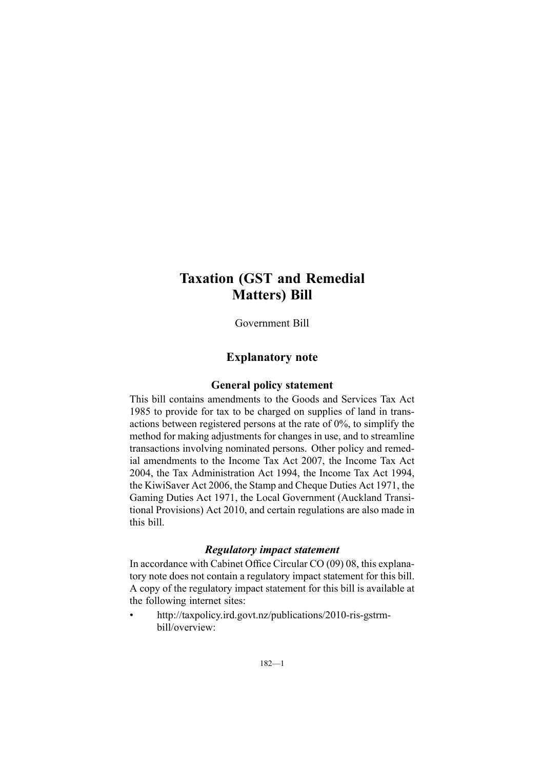# **Taxation (GST and Remedial Matters) Bill**

Government Bill

### **Explanatory note**

### **General policy statement**

This bill contains amendments to the Goods and Services Tax Act 1985 to provide for tax to be charged on supplies of land in transactions between registered persons at the rate of 0%, to simplify the method for making adjustments for changes in use, and to streamline transactions involving nominated persons. Other policy and remedial amendments to the Income Tax Act 2007, the Income Tax Act 2004, the Tax Administration Act 1994, the Income Tax Act 1994, the KiwiSaver Act 2006, the Stamp and Cheque Duties Act 1971, the Gaming Duties Act 1971, the Local Government (Auckland Transitional Provisions) Act 2010, and certain regulations are also made in this bill.

#### *Regulatory impact statement*

In accordance with Cabinet Office Circular CO (09) 08, this explanatory note does not contain <sup>a</sup> regulatory impact statement for this bill. A copy of the regulatory impact statement for this bill is available at the following internet sites:

• [http://taxpolicy.ird.govt.nz/publications/2010-ris-gstrm](http://taxpolicy.ird.govt.nz/publications/2010-ris-gstrm-bill/overview)[bill/overview](http://taxpolicy.ird.govt.nz/publications/2010-ris-gstrm-bill/overview):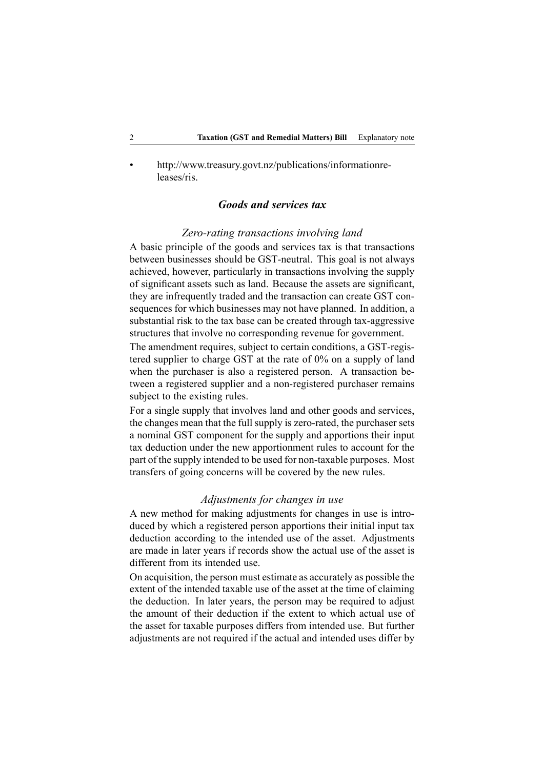• [http://www.treasury.govt.nz/publications/informationre](http://www.treasury.govt.nz/publications/informationreleases/ris)[leases/ris](http://www.treasury.govt.nz/publications/informationreleases/ris).

### *Goods and services tax*

#### *Zero-rating transactions involving land*

A basic principle of the goods and services tax is that transactions between businesses should be GST-neutral. This goal is not always achieved, however, particularly in transactions involving the supply of significant assets such as land. Because the assets are significant, they are infrequently traded and the transaction can create GST consequences for which businesses may not have planned. In addition, <sup>a</sup> substantial risk to the tax base can be created through tax-aggressive structures that involve no corresponding revenue for government.

The amendment requires, subject to certain conditions, <sup>a</sup> GST-registered supplier to charge GST at the rate of 0% on <sup>a</sup> supply of land when the purchaser is also <sup>a</sup> registered person. A transaction between <sup>a</sup> registered supplier and <sup>a</sup> non-registered purchaser remains subject to the existing rules.

For <sup>a</sup> single supply that involves land and other goods and services, the changes mean that the full supply is zero-rated, the purchaser sets <sup>a</sup> nominal GST componen<sup>t</sup> for the supply and apportions their input tax deduction under the new apportionment rules to account for the par<sup>t</sup> of the supply intended to be used for non-taxable purposes. Most transfers of going concerns will be covered by the new rules.

### *Adjustments for changes in use*

A new method for making adjustments for changes in use is introduced by which <sup>a</sup> registered person apportions their initial input tax deduction according to the intended use of the asset. Adjustments are made in later years if records show the actual use of the asset is different from its intended use.

On acquisition, the person must estimate as accurately as possible the extent of the intended taxable use of the asset at the time of claiming the deduction. In later years, the person may be required to adjust the amount of their deduction if the extent to which actual use of the asset for taxable purposes differs from intended use. But further adjustments are not required if the actual and intended uses differ by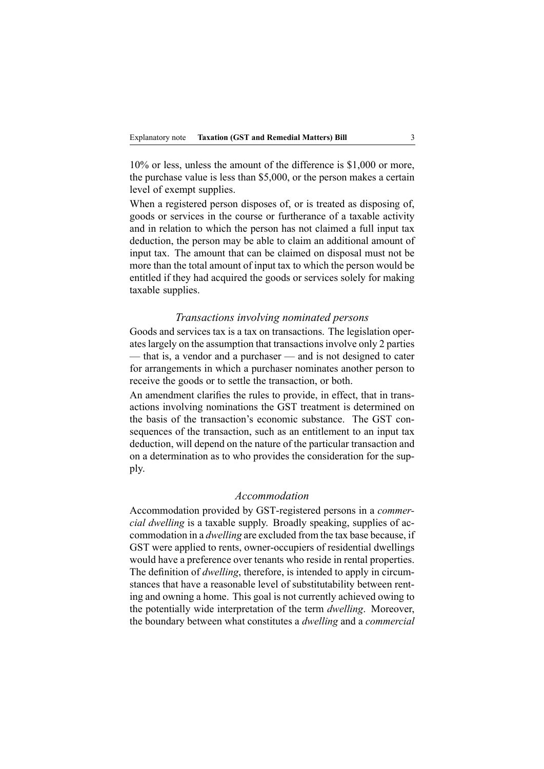10% or less, unless the amount of the difference is \$1,000 or more, the purchase value is less than \$5,000, or the person makes <sup>a</sup> certain level of exemp<sup>t</sup> supplies.

When <sup>a</sup> registered person disposes of, or is treated as disposing of, goods or services in the course or furtherance of <sup>a</sup> taxable activity and in relation to which the person has not claimed <sup>a</sup> full input tax deduction, the person may be able to claim an additional amount of input tax. The amount that can be claimed on disposal must not be more than the total amount of input tax to which the person would be entitled if they had acquired the goods or services solely for making taxable supplies.

#### *Transactions involving nominated persons*

Goods and services tax is <sup>a</sup> tax on transactions. The legislation operates largely on the assumption that transactions involve only 2 parties — that is, a vendor and a purchaser — and is not designed to cater for arrangements in which <sup>a</sup> purchaser nominates another person to receive the goods or to settle the transaction, or both.

An amendment clarifies the rules to provide, in effect, that in transactions involving nominations the GST treatment is determined on the basis of the transaction's economic substance. The GST consequences of the transaction, such as an entitlement to an input tax deduction, will depend on the nature of the particular transaction and on <sup>a</sup> determination as to who provides the consideration for the supply.

### *Accommodation*

Accommodation provided by GST-registered persons in <sup>a</sup> *commercial dwelling* is <sup>a</sup> taxable supply. Broadly speaking, supplies of accommodation in <sup>a</sup> *dwelling* are excluded from the tax base because, if GST were applied to rents, owner-occupiers of residential dwellings would have <sup>a</sup> preference over tenants who reside in rental properties. The definition of *dwelling*, therefore, is intended to apply in circumstances that have <sup>a</sup> reasonable level of substitutability between renting and owning <sup>a</sup> home. This goal is not currently achieved owing to the potentially wide interpretation of the term *dwelling*. Moreover, the boundary between what constitutes <sup>a</sup> *dwelling* and <sup>a</sup> *commercial*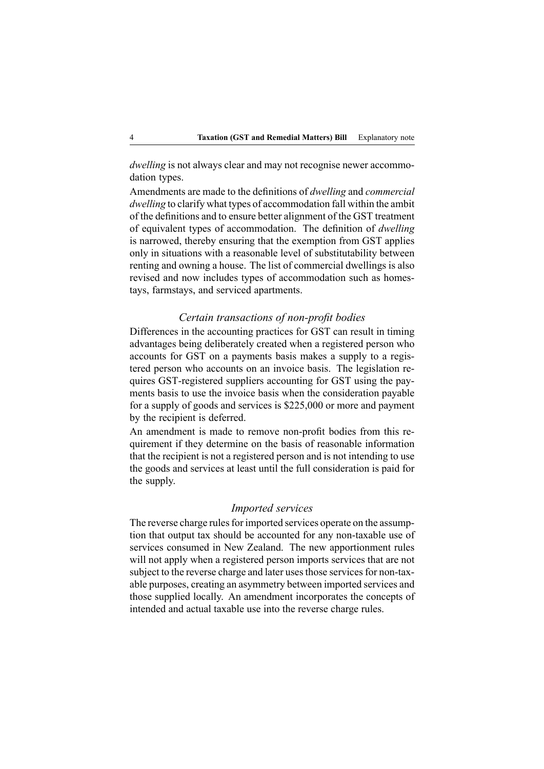*dwelling* is not always clear and may not recognise newer accommodation types.

Amendments are made to the definitions of *dwelling* and *commercial dwelling* to clarify what types of accommodation fall within the ambit of the definitions and to ensure better alignment of the GST treatment of equivalent types of accommodation. The definition of *dwelling* is narrowed, thereby ensuring that the exemption from GST applies only in situations with <sup>a</sup> reasonable level of substitutability between renting and owning <sup>a</sup> house. The list of commercial dwellings is also revised and now includes types of accommodation such as homestays, farmstays, and serviced apartments.

#### *Certain transactions of non-profit bodies*

Differences in the accounting practices for GST can result in timing advantages being deliberately created when <sup>a</sup> registered person who accounts for GST on <sup>a</sup> payments basis makes <sup>a</sup> supply to <sup>a</sup> registered person who accounts on an invoice basis. The legislation requires GST-registered suppliers accounting for GST using the payments basis to use the invoice basis when the consideration payable for <sup>a</sup> supply of goods and services is \$225,000 or more and paymen<sup>t</sup> by the recipient is deferred.

An amendment is made to remove non-profit bodies from this requirement if they determine on the basis of reasonable information that the recipient is not <sup>a</sup> registered person and is not intending to use the goods and services at least until the full consideration is paid for the supply.

#### *Imported services*

The reverse charge rules for imported services operate on the assumption that output tax should be accounted for any non-taxable use of services consumed in New Zealand. The new apportionment rules will not apply when <sup>a</sup> registered person imports services that are not subject to the reverse charge and later uses those services for non-taxable purposes, creating an asymmetry between imported services and those supplied locally. An amendment incorporates the concepts of intended and actual taxable use into the reverse charge rules.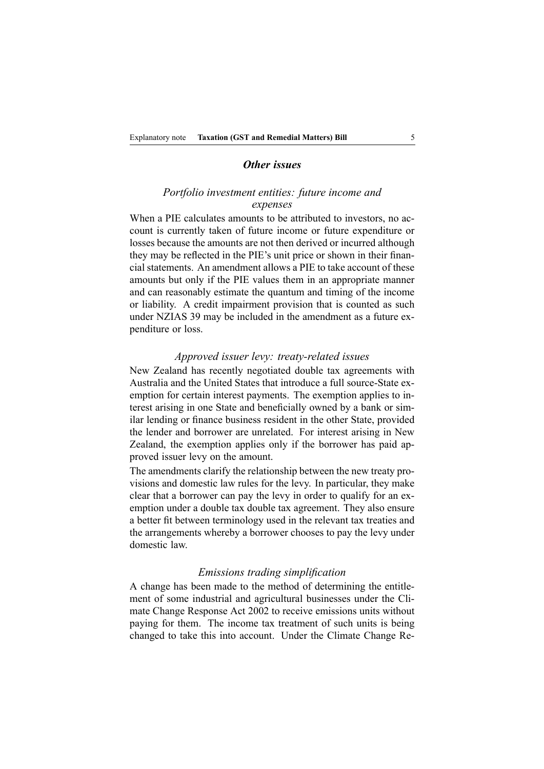#### *Other issues*

#### *Portfolio investment entities: future income and expenses*

When <sup>a</sup> PIE calculates amounts to be attributed to investors, no account is currently taken of future income or future expenditure or losses because the amounts are not then derived or incurred although they may be reflected in the PIE's unit price or shown in their financial statements. An amendment allows <sup>a</sup> PIE to take account of these amounts but only if the PIE values them in an appropriate manner and can reasonably estimate the quantum and timing of the income or liability. A credit impairment provision that is counted as such under NZIAS 39 may be included in the amendment as <sup>a</sup> future expenditure or loss.

#### *Approved issuer levy: treaty-related issues*

New Zealand has recently negotiated double tax agreements with Australia and the United States that introduce <sup>a</sup> full source-State exemption for certain interest payments. The exemption applies to interest arising in one State and beneficially owned by <sup>a</sup> bank or similar lending or finance business resident in the other State, provided the lender and borrower are unrelated. For interest arising in New Zealand, the exemption applies only if the borrower has paid approved issuer levy on the amount.

The amendments clarify the relationship between the new treaty provisions and domestic law rules for the levy. In particular, they make clear that <sup>a</sup> borrower can pay the levy in order to qualify for an exemption under <sup>a</sup> double tax double tax agreement. They also ensure <sup>a</sup> better fit between terminology used in the relevant tax treaties and the arrangements whereby <sup>a</sup> borrower chooses to pay the levy under domestic law.

#### *Emissions trading simplification*

A change has been made to the method of determining the entitlement of some industrial and agricultural businesses under the Climate Change Response Act 2002 to receive emissions units without paying for them. The income tax treatment of such units is being changed to take this into account. Under the Climate Change Re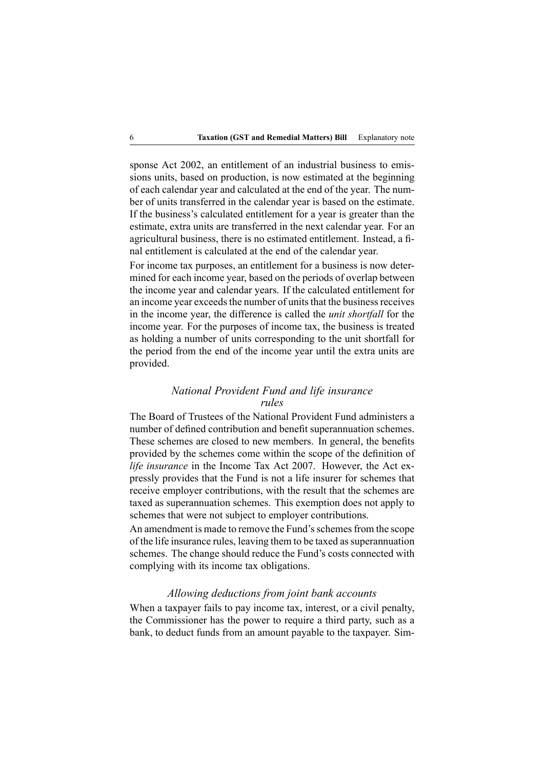sponse Act 2002, an entitlement of an industrial business to emissions units, based on production, is now estimated at the beginning of each calendar year and calculated at the end of the year. The number of units transferred in the calendar year is based on the estimate. If the business's calculated entitlement for <sup>a</sup> year is greater than the estimate, extra units are transferred in the next calendar year. For an agricultural business, there is no estimated entitlement. Instead, <sup>a</sup> final entitlement is calculated at the end of the calendar year.

For income tax purposes, an entitlement for <sup>a</sup> business is now determined for each income year, based on the periods of overlap between the income year and calendar years. If the calculated entitlement for an income year exceeds the number of units that the business receives in the income year, the difference is called the *unit shortfall* for the income year. For the purposes of income tax, the business is treated as holding <sup>a</sup> number of units corresponding to the unit shortfall for the period from the end of the income year until the extra units are provided.

### *National Provident Fund and life insurance rules*

The Board of Trustees of the National Provident Fund administers <sup>a</sup> number of defined contribution and benefit superannuation schemes. These schemes are closed to new members. In general, the benefits provided by the schemes come within the scope of the definition of *life insurance* in the Income Tax Act 2007. However, the Act expressly provides that the Fund is not <sup>a</sup> life insurer for schemes that receive employer contributions, with the result that the schemes are taxed as superannuation schemes. This exemption does not apply to schemes that were not subject to employer contributions.

An amendment is made to remove the Fund's schemes from the scope of the life insurance rules, leaving them to be taxed as superannuation schemes. The change should reduce the Fund's costs connected with complying with its income tax obligations.

### *Allowing deductions from joint bank accounts*

When <sup>a</sup> taxpayer fails to pay income tax, interest, or <sup>a</sup> civil penalty, the Commissioner has the power to require <sup>a</sup> third party, such as <sup>a</sup> bank, to deduct funds from an amount payable to the taxpayer. Sim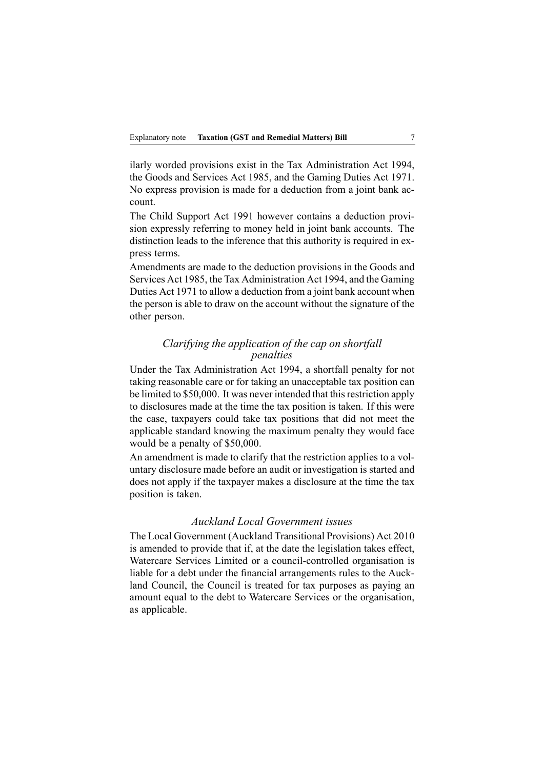ilarly worded provisions exist in the Tax Administration Act 1994, the Goods and Services Act 1985, and the Gaming Duties Act 1971. No express provision is made for <sup>a</sup> deduction from <sup>a</sup> joint bank account.

The Child Support Act 1991 however contains <sup>a</sup> deduction provision expressly referring to money held in joint bank accounts. The distinction leads to the inference that this authority is required in express terms.

Amendments are made to the deduction provisions in the Goods and Services Act 1985, the Tax Administration Act 1994, and the Gaming Duties Act 1971 to allow <sup>a</sup> deduction from <sup>a</sup> joint bank account when the person is able to draw on the account without the signature of the other person.

### *Clarifying the application of the cap on shortfall penalties*

Under the Tax Administration Act 1994, <sup>a</sup> shortfall penalty for not taking reasonable care or for taking an unacceptable tax position can be limited to \$50,000. It was never intended that this restriction apply to disclosures made at the time the tax position is taken. If this were the case, taxpayers could take tax positions that did not meet the applicable standard knowing the maximum penalty they would face would be <sup>a</sup> penalty of \$50,000.

An amendment is made to clarify that the restriction applies to <sup>a</sup> voluntary disclosure made before an audit or investigation is started and does not apply if the taxpayer makes <sup>a</sup> disclosure at the time the tax position is taken.

### *Auckland Local Government issues*

The Local Government (Auckland Transitional Provisions) Act 2010 is amended to provide that if, at the date the legislation takes effect, Watercare Services Limited or <sup>a</sup> council-controlled organisation is liable for <sup>a</sup> debt under the financial arrangements rules to the Auckland Council, the Council is treated for tax purposes as paying an amount equal to the debt to Watercare Services or the organisation, as applicable.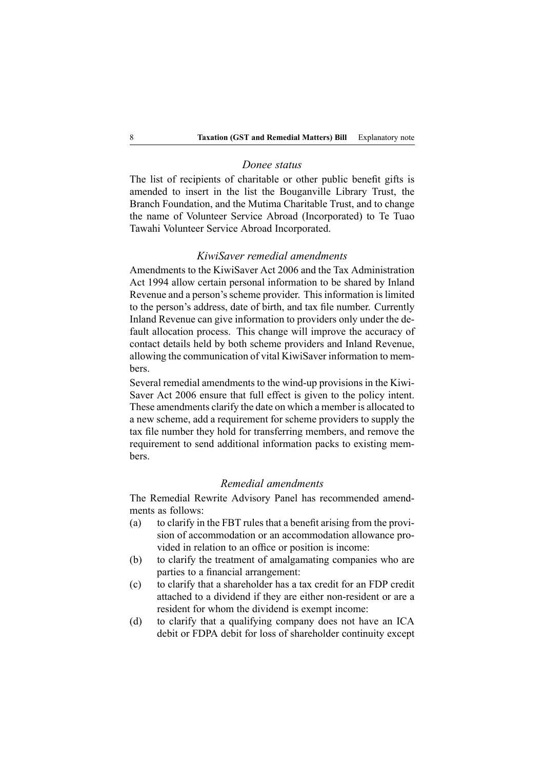#### *Donee status*

The list of recipients of charitable or other public benefit gifts is amended to insert in the list the Bouganville Library Trust, the Branch Foundation, and the Mutima Charitable Trust, and to change the name of Volunteer Service Abroad (Incorporated) to Te Tuao Tawahi Volunteer Service Abroad Incorporated.

#### *KiwiSaver remedial amendments*

Amendments to the KiwiSaver Act 2006 and the Tax Administration Act 1994 allow certain personal information to be shared by Inland Revenue and <sup>a</sup> person's scheme provider. This information is limited to the person's address, date of birth, and tax file number. Currently Inland Revenue can give information to providers only under the default allocation process. This change will improve the accuracy of contact details held by both scheme providers and Inland Revenue, allowing the communication of vital KiwiSaver information to members.

Several remedial amendments to the wind-up provisions in the Kiwi-Saver Act 2006 ensure that full effect is given to the policy intent. These amendments clarify the date on which <sup>a</sup> member is allocated to <sup>a</sup> new scheme, add <sup>a</sup> requirement for scheme providers to supply the tax file number they hold for transferring members, and remove the requirement to send additional information packs to existing members.

#### *Remedial amendments*

The Remedial Rewrite Advisory Panel has recommended amendments as follows:

- (a) to clarify in the FBT rules that <sup>a</sup> benefit arising from the provision of accommodation or an accommodation allowance provided in relation to an office or position is income:
- (b) to clarify the treatment of amalgamating companies who are parties to <sup>a</sup> financial arrangement:
- (c) to clarify that <sup>a</sup> shareholder has <sup>a</sup> tax credit for an FDP credit attached to <sup>a</sup> dividend if they are either non-resident or are <sup>a</sup> resident for whom the dividend is exemp<sup>t</sup> income:
- (d) to clarify that <sup>a</sup> qualifying company does not have an ICA debit or FDPA debit for loss of shareholder continuity excep<sup>t</sup>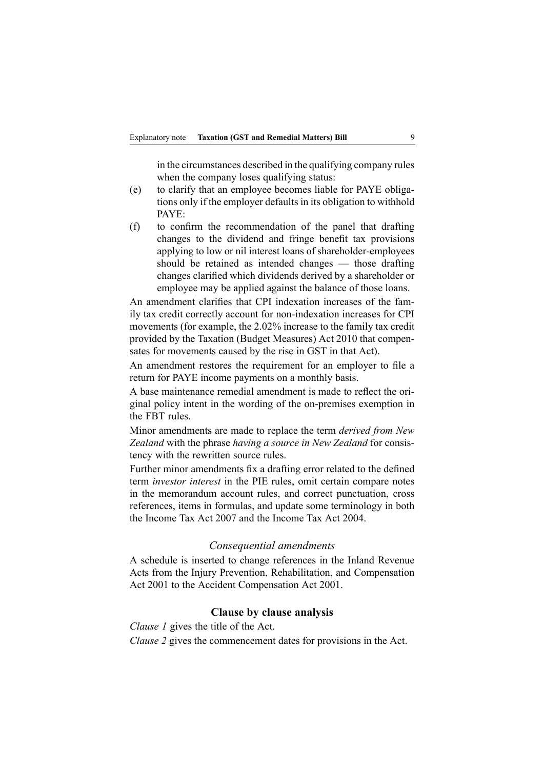in the circumstances described in the qualifying company rules when the company loses qualifying status:

- (e) to clarify that an employee becomes liable for PAYE obligations only if the employer defaults in its obligation to withhold PAYE:
- (f) to confirm the recommendation of the panel that drafting changes to the dividend and fringe benefit tax provisions applying to low or nil interest loans of shareholder-employees should be retained as intended changes — those drafting changes clarified which dividends derived by <sup>a</sup> shareholder or employee may be applied against the balance of those loans.

An amendment clarifies that CPI indexation increases of the family tax credit correctly account for non-indexation increases for CPI movements (for example, the 2.02% increase to the family tax credit provided by the Taxation (Budget Measures) Act 2010 that compensates for movements caused by the rise in GST in that Act).

An amendment restores the requirement for an employer to file <sup>a</sup> return for PAYE income payments on <sup>a</sup> monthly basis.

A base maintenance remedial amendment is made to reflect the original policy intent in the wording of the on-premises exemption in the FBT rules.

Minor amendments are made to replace the term *derived from New Zealand* with the phrase *having <sup>a</sup> source in New Zealand* for consistency with the rewritten source rules.

Further minor amendments fix <sup>a</sup> drafting error related to the defined term *investor interest* in the PIE rules, omit certain compare notes in the memorandum account rules, and correct punctuation, cross references, items in formulas, and update some terminology in both the Income Tax Act 2007 and the Income Tax Act 2004.

#### *Consequential amendments*

A schedule is inserted to change references in the Inland Revenue Acts from the Injury Prevention, Rehabilitation, and Compensation Act 2001 to the Accident Compensation Act 2001.

#### **Clause by clause analysis**

*Clause 1* gives the title of the Act.

*Clause 2* gives the commencement dates for provisions in the Act.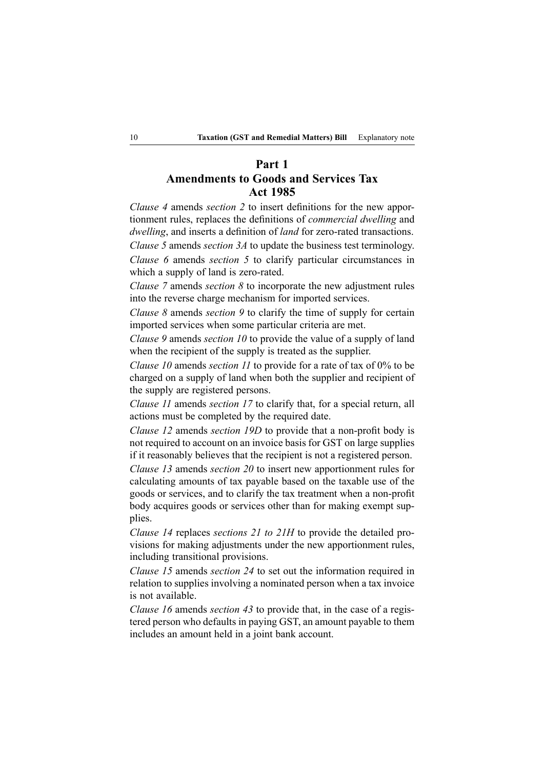# **Part 1 Amendments to Goods and Services Tax Act 1985**

*Clause 4* amends *section 2* to insert definitions for the new apportionment rules, replaces the definitions of *commercial dwelling* and *dwelling*, and inserts <sup>a</sup> definition of *land* for zero-rated transactions.

*Clause 5* amends *section 3A* to update the business test terminology. *Clause 6* amends *section 5* to clarify particular circumstances in which a supply of land is zero-rated.

*Clause 7* amends *section 8* to incorporate the new adjustment rules into the reverse charge mechanism for imported services.

*Clause 8* amends *section 9* to clarify the time of supply for certain imported services when some particular criteria are met.

*Clause 9* amends *section 10* to provide the value of <sup>a</sup> supply of land when the recipient of the supply is treated as the supplier.

*Clause 10* amends *section 11* to provide for <sup>a</sup> rate of tax of 0% to be charged on <sup>a</sup> supply of land when both the supplier and recipient of the supply are registered persons.

*Clause 11* amends *section 17* to clarify that, for <sup>a</sup> special return, all actions must be completed by the required date.

*Clause 12* amends *section 19D* to provide that <sup>a</sup> non-profit body is not required to account on an invoice basis for GST on large supplies if it reasonably believes that the recipient is not <sup>a</sup> registered person.

*Clause 13* amends *section 20* to insert new apportionment rules for calculating amounts of tax payable based on the taxable use of the goods or services, and to clarify the tax treatment when <sup>a</sup> non-profit body acquires goods or services other than for making exemp<sup>t</sup> supplies.

*Clause 14* replaces *sections 21 to 21H* to provide the detailed provisions for making adjustments under the new apportionment rules, including transitional provisions.

*Clause 15* amends *section 24* to set out the information required in relation to supplies involving <sup>a</sup> nominated person when <sup>a</sup> tax invoice is not available.

*Clause 16* amends *section 43* to provide that, in the case of <sup>a</sup> registered person who defaults in paying GST, an amount payable to them includes an amount held in <sup>a</sup> joint bank account.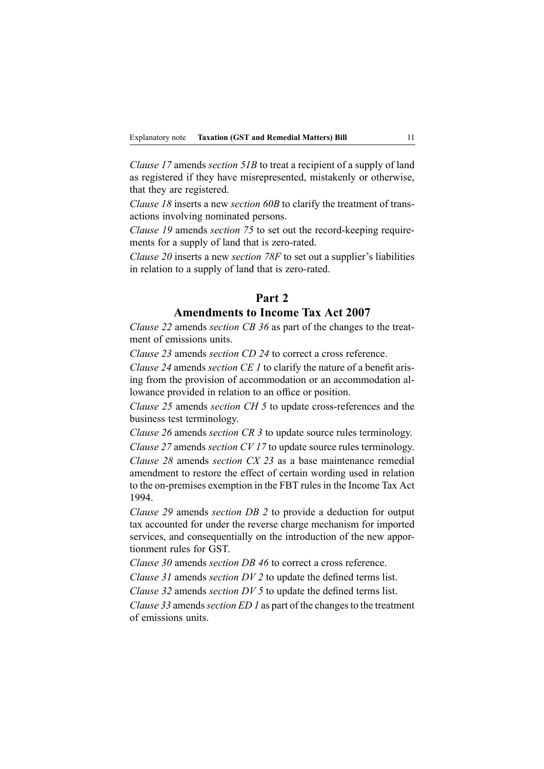*Clause 17* amends *section 51B* to treat <sup>a</sup> recipient of <sup>a</sup> supply of land as registered if they have misrepresented, mistakenly or otherwise, that they are registered.

*Clause 18* inserts <sup>a</sup> new *section 60B* to clarify the treatment of transactions involving nominated persons.

*Clause 19* amends *section 75* to set out the record-keeping requirements for <sup>a</sup> supply of land that is zero-rated.

*Clause 20* inserts <sup>a</sup> new *section 78F* to set out <sup>a</sup> supplier's liabilities in relation to <sup>a</sup> supply of land that is zero-rated.

# **Part 2 Amendments to Income Tax Act 2007**

*Clause 22* amends *section CB 36* as par<sup>t</sup> of the changes to the treatment of emissions units.

*Clause 23* amends *section CD 24* to correct <sup>a</sup> cross reference.

*Clause 24* amends *section CE 1* to clarify the nature of <sup>a</sup> benefit arising from the provision of accommodation or an accommodation allowance provided in relation to an office or position.

*Clause 25* amends *section CH 5* to update cross-references and the business test terminology.

*Clause 26* amends *section CR 3* to update source rules terminology. *Clause 27* amends *section CV 17* to update source rules terminology.

*Clause 28* amends *section CX 23* as <sup>a</sup> base maintenance remedial amendment to restore the effect of certain wording used in relation to the on-premises exemption in the FBT rules in the Income Tax Act 1994.

*Clause 29* amends *section DB 2* to provide <sup>a</sup> deduction for output tax accounted for under the reverse charge mechanism for imported services, and consequentially on the introduction of the new apportionment rules for GST.

*Clause 30* amends *section DB 46* to correct <sup>a</sup> cross reference.

*Clause 31* amends *section DV 2* to update the defined terms list.

*Clause 32* amends *section DV 5* to update the defined terms list.

*Clause* 33 amends *section ED 1* as part of the changes to the treatment of emissions units.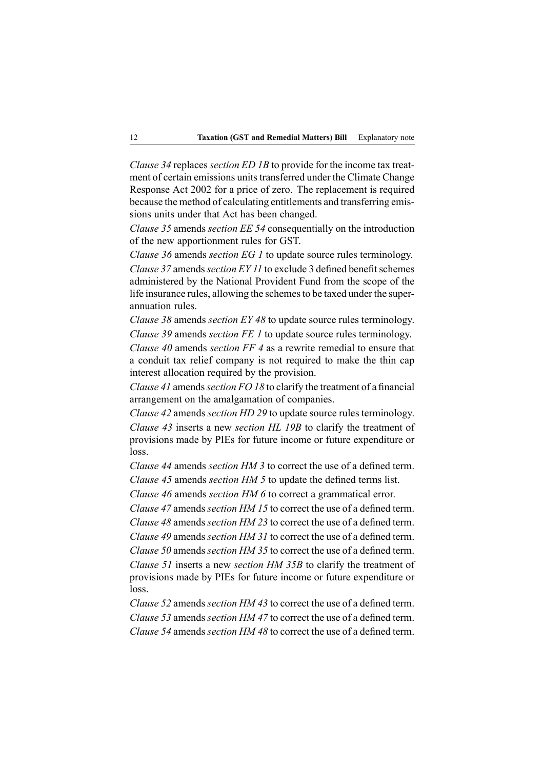*Clause 34* replaces *section ED 1B* to provide for the income tax treatment of certain emissions units transferred under the Climate Change Response Act 2002 for <sup>a</sup> price of zero. The replacement is required because the method of calculating entitlements and transferring emissions units under that Act has been changed.

*Clause 35* amends *section EE 54* consequentially on the introduction of the new apportionment rules for GST.

*Clause 36* amends *section EG 1* to update source rules terminology. *Clause* 37 amends *section EY 11* to exclude 3 defined benefit schemes administered by the National Provident Fund from the scope of the life insurance rules, allowing the schemes to be taxed under the superannuation rules.

*Clause 38* amends *section EY 48* to update source rules terminology. *Clause 39* amends *section FE 1* to update source rules terminology.

*Clause 40* amends *section FF 4* as <sup>a</sup> rewrite remedial to ensure that <sup>a</sup> conduit tax relief company is not required to make the thin cap interest allocation required by the provision.

*Clause 41* amends*section FO 18* to clarify the treatment of <sup>a</sup> financial arrangemen<sup>t</sup> on the amalgamation of companies.

*Clause 42* amends *section HD 29* to update source rules terminology. *Clause 43* inserts <sup>a</sup> new *section HL 19B* to clarify the treatment of provisions made by PIEs for future income or future expenditure or loss.

*Clause 44* amends *section HM 3* to correct the use of <sup>a</sup> defined term.

*Clause 45* amends *section HM 5* to update the defined terms list.

*Clause 46* amends *section HM 6* to correct <sup>a</sup> grammatical error.

*Clause 47* amends *section HM 15* to correct the use of <sup>a</sup> defined term.

*Clause 48* amends *section HM 23* to correct the use of <sup>a</sup> defined term. *Clause 49* amends *section HM 31* to correct the use of <sup>a</sup> defined term.

*Clause 50* amends *section HM 35* to correct the use of <sup>a</sup> defined term.

*Clause 51* inserts <sup>a</sup> new *section HM 35B* to clarify the treatment of provisions made by PIEs for future income or future expenditure or loss.

*Clause 52* amends *section HM 43* to correct the use of <sup>a</sup> defined term. *Clause 53* amends *section HM 47* to correct the use of <sup>a</sup> defined term. *Clause 54* amends *section HM 48* to correct the use of <sup>a</sup> defined term.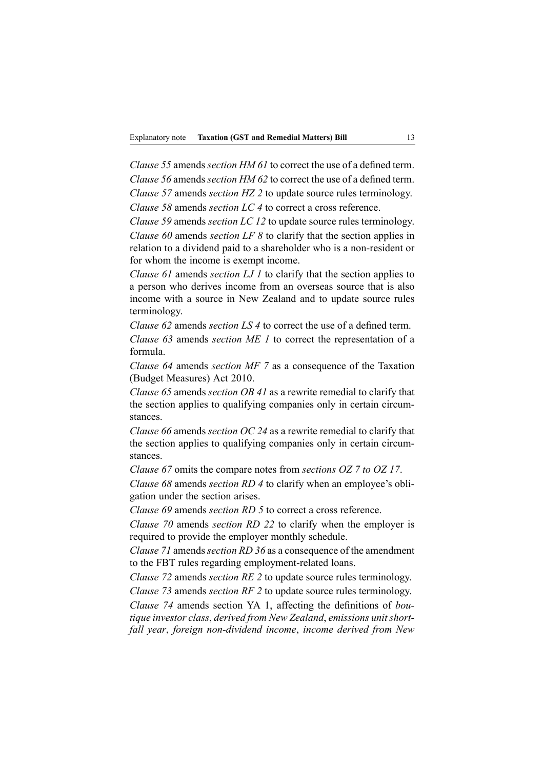*Clause 55* amends *section HM 61* to correct the use of <sup>a</sup> defined term. *Clause 56* amends *section HM 62* to correct the use of <sup>a</sup> defined term. *Clause 57* amends *section HZ 2* to update source rules terminology.

*Clause 58* amends *section LC 4* to correct <sup>a</sup> cross reference.

*Clause 59* amends *section LC 12* to update source rules terminology. *Clause 60* amends *section LF 8* to clarify that the section applies in relation to <sup>a</sup> dividend paid to <sup>a</sup> shareholder who is <sup>a</sup> non-resident or for whom the income is exemp<sup>t</sup> income.

*Clause 61* amends *section LJ 1* to clarify that the section applies to <sup>a</sup> person who derives income from an overseas source that is also income with <sup>a</sup> source in New Zealand and to update source rules terminology.

*Clause 62* amends *section LS 4* to correct the use of <sup>a</sup> defined term.

*Clause 63* amends *section ME 1* to correct the representation of <sup>a</sup> formula.

*Clause 64* amends *section MF 7* as <sup>a</sup> consequence of the Taxation (Budget Measures) Act 2010.

*Clause 65* amends *section OB 41* as <sup>a</sup> rewrite remedial to clarify that the section applies to qualifying companies only in certain circumstances.

*Clause 66* amends *section OC 24* as <sup>a</sup> rewrite remedial to clarify that the section applies to qualifying companies only in certain circumstances.

*Clause 67* omits the compare notes from *sections OZ 7 to OZ 17*. *Clause 68* amends *section RD 4* to clarify when an employee's obligation under the section arises.

*Clause 69* amends *section RD 5* to correct <sup>a</sup> cross reference.

*Clause 70* amends *section RD 22* to clarify when the employer is required to provide the employer monthly schedule.

*Clause 71* amends*section RD 36* as <sup>a</sup> consequence of the amendment to the FBT rules regarding employment-related loans.

*Clause 72* amends *section RE 2* to update source rules terminology.

*Clause 73* amends *section RF 2* to update source rules terminology.

*Clause 74* amends section YA 1, affecting the definitions of *boutique investor class*, *derived from New Zealand*, *emissions unitshortfall year*, *foreign non-dividend income*, *income derived from New*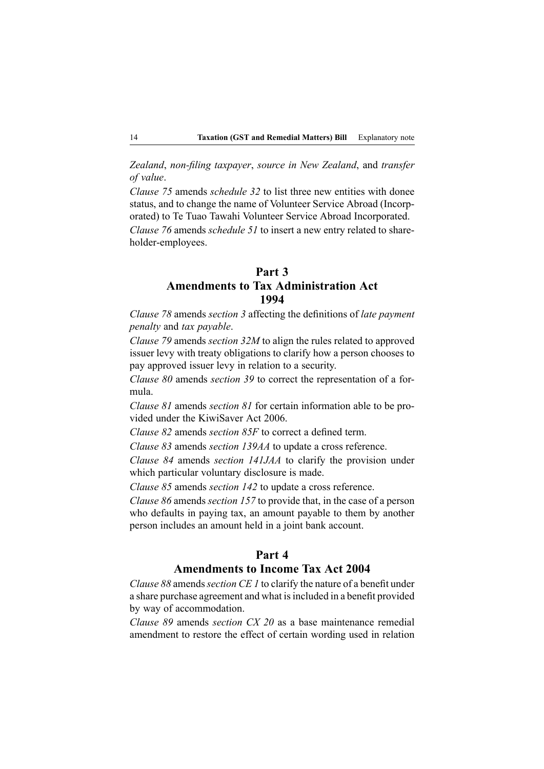*Zealand*, *non-filing taxpayer*, *source in New Zealand*, and *transfer of value*.

*Clause 75* amends *schedule 32* to list three new entities with donee status, and to change the name of Volunteer Service Abroad (Incorporated) to Te Tuao Tawahi Volunteer Service Abroad Incorporated. *Clause 76* amends *schedule 51* to insert <sup>a</sup> new entry related to shareholder-employees.

### **Part 3 Amendments to Tax Administration Act 1994**

*Clause 78* amends *section 3* affecting the definitions of *late paymen<sup>t</sup> penalty* and *tax payable*.

*Clause 79* amends *section 32M* to align the rules related to approved issuer levy with treaty obligations to clarify how <sup>a</sup> person chooses to pay approved issuer levy in relation to <sup>a</sup> security.

*Clause 80* amends *section 39* to correct the representation of <sup>a</sup> formula.

*Clause 81* amends *section 81* for certain information able to be provided under the KiwiSaver Act 2006.

*Clause 82* amends *section 85F* to correct <sup>a</sup> defined term.

*Clause 83* amends *section 139AA* to update <sup>a</sup> cross reference.

*Clause 84* amends *section 141JAA* to clarify the provision under which particular voluntary disclosure is made.

*Clause 85* amends *section 142* to update <sup>a</sup> cross reference.

*Clause 86* amends *section 157* to provide that, in the case of <sup>a</sup> person who defaults in paying tax, an amount payable to them by another person includes an amount held in <sup>a</sup> joint bank account.

### **Part 4**

### **Amendments to Income Tax Act 2004**

*Clause 88* amends*section CE 1* to clarify the nature of <sup>a</sup> benefit under <sup>a</sup> share purchase agreemen<sup>t</sup> and what isincluded in <sup>a</sup> benefit provided by way of accommodation.

*Clause 89* amends *section CX 20* as <sup>a</sup> base maintenance remedial amendment to restore the effect of certain wording used in relation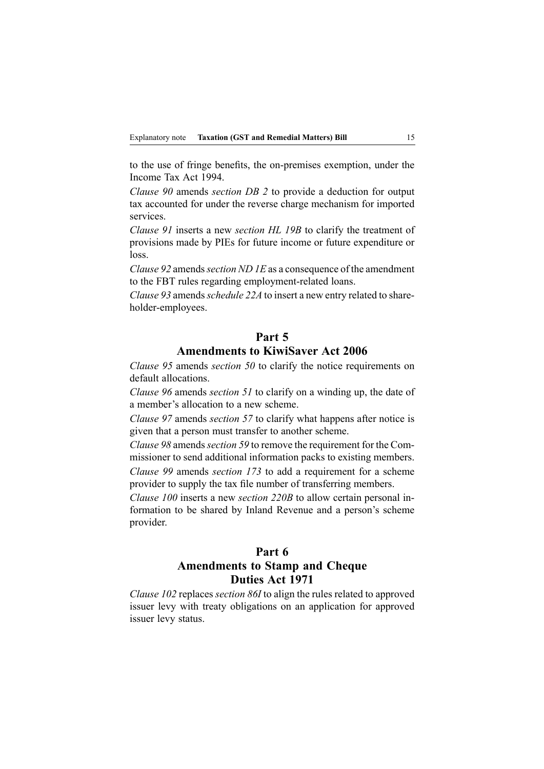to the use of fringe benefits, the on-premises exemption, under the Income Tax Act 1994.

*Clause 90* amends *section DB 2* to provide <sup>a</sup> deduction for output tax accounted for under the reverse charge mechanism for imported services.

*Clause 91* inserts <sup>a</sup> new *section HL 19B* to clarify the treatment of provisions made by PIEs for future income or future expenditure or loss.

*Clause 92* amends*section ND 1E* as <sup>a</sup> consequence of the amendment to the FBT rules regarding employment-related loans.

*Clause 93* amends*schedule 22A* to insert <sup>a</sup> new entry related to shareholder-employees.

# **Part 5**

### **Amendments to KiwiSaver Act 2006**

*Clause 95* amends *section 50* to clarify the notice requirements on default allocations.

*Clause 96* amends *section 51* to clarify on <sup>a</sup> winding up, the date of <sup>a</sup> member's allocation to <sup>a</sup> new scheme.

*Clause 97* amends *section 57* to clarify what happens after notice is given that <sup>a</sup> person must transfer to another scheme.

*Clause 98* amends*section 59* to remove the requirement for the Commissioner to send additional information packs to existing members. *Clause 99* amends *section 173* to add <sup>a</sup> requirement for <sup>a</sup> scheme

provider to supply the tax file number of transferring members. *Clause 100* inserts <sup>a</sup> new *section 220B* to allow certain personal in-

formation to be shared by Inland Revenue and <sup>a</sup> person's scheme provider.

### **Part 6 Amendments to Stamp and Cheque Duties Act 1971**

*Clause 102* replaces *section 86I* to align the rules related to approved issuer levy with treaty obligations on an application for approved issuer levy status.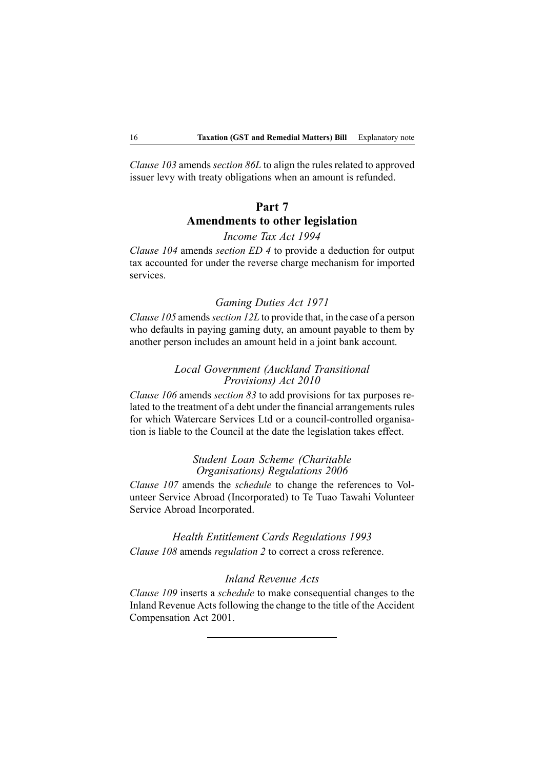*Clause 103* amends *section 86L* to align the rules related to approved issuer levy with treaty obligations when an amount is refunded.

# **Part 7 Amendments to other legislation**

### *Income Tax Act 1994*

*Clause 104* amends *section ED 4* to provide <sup>a</sup> deduction for output tax accounted for under the reverse charge mechanism for imported services.

#### *Gaming Duties Act 1971*

*Clause 105* amends*section 12L* to provide that, in the case of <sup>a</sup> person who defaults in paying gaming duty, an amount payable to them by another person includes an amount held in <sup>a</sup> joint bank account.

### *Local Government (Auckland Transitional Provisions) Act 2010*

*Clause 106* amends *section 83* to add provisions for tax purposes related to the treatment of <sup>a</sup> debt under the financial arrangements rules for which Watercare Services Ltd or <sup>a</sup> council-controlled organisation is liable to the Council at the date the legislation takes effect.

### *Student Loan Scheme (Charitable Organisations) Regulations 2006*

*Clause 107* amends the *schedule* to change the references to Volunteer Service Abroad (Incorporated) to Te Tuao Tawahi Volunteer Service Abroad Incorporated.

*Health Entitlement Cards Regulations 1993 Clause 108* amends *regulation 2* to correct <sup>a</sup> cross reference.

### *Inland Revenue Acts*

*Clause 109* inserts <sup>a</sup> *schedule* to make consequential changes to the Inland Revenue Acts following the change to the title of the Accident Compensation Act 2001.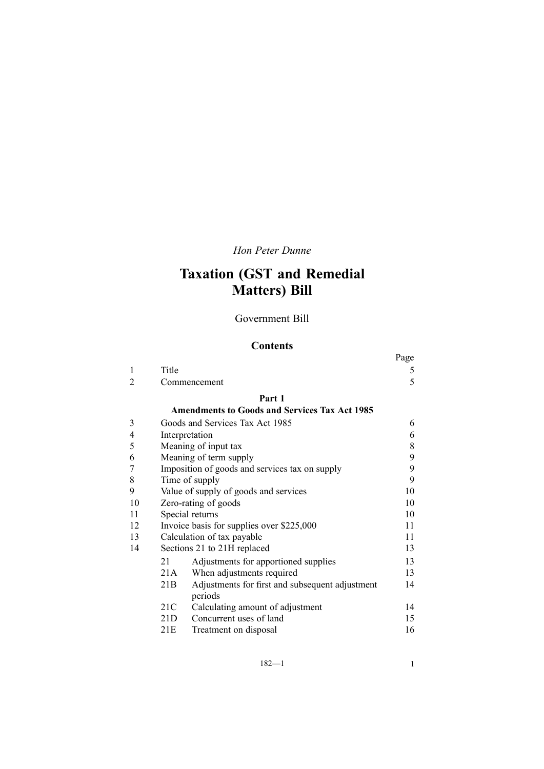# *Hon Peter Dunne*

# **Taxation (GST and Remedial Matters) Bill**

### Government Bill

# **Contents**

|                |       |                                                      | Page |
|----------------|-------|------------------------------------------------------|------|
| 1              | Title |                                                      | 5    |
| 2              |       | Commencement                                         | 5    |
|                |       | Part 1                                               |      |
|                |       | <b>Amendments to Goods and Services Tax Act 1985</b> |      |
| 3              |       | Goods and Services Tax Act 1985                      | 6    |
| $\overline{4}$ |       | Interpretation                                       | 6    |
| 5              |       | Meaning of input tax                                 | 8    |
| 6              |       | Meaning of term supply                               | 9    |
| 7              |       | Imposition of goods and services tax on supply       | 9    |
| 8              |       | Time of supply                                       | 9    |
| 9              |       | Value of supply of goods and services                | 10   |
| 10             |       | Zero-rating of goods                                 | 10   |
| 11             |       | Special returns                                      | 10   |
| 12             |       | Invoice basis for supplies over \$225,000            | 11   |
| 13             |       | Calculation of tax payable                           | 11   |
| 14             |       | Sections 21 to 21H replaced                          | 13   |
|                | 21    | Adjustments for apportioned supplies                 | 13   |
|                | 21A   | When adjustments required                            | 13   |
|                | 21B   | Adjustments for first and subsequent adjustment      | 14   |
|                |       | periods                                              |      |
|                | 21C   | Calculating amount of adjustment                     | 14   |
|                | 21D   | Concurrent uses of land                              | 15   |
|                | 21E   | Treatment on disposal                                | 16   |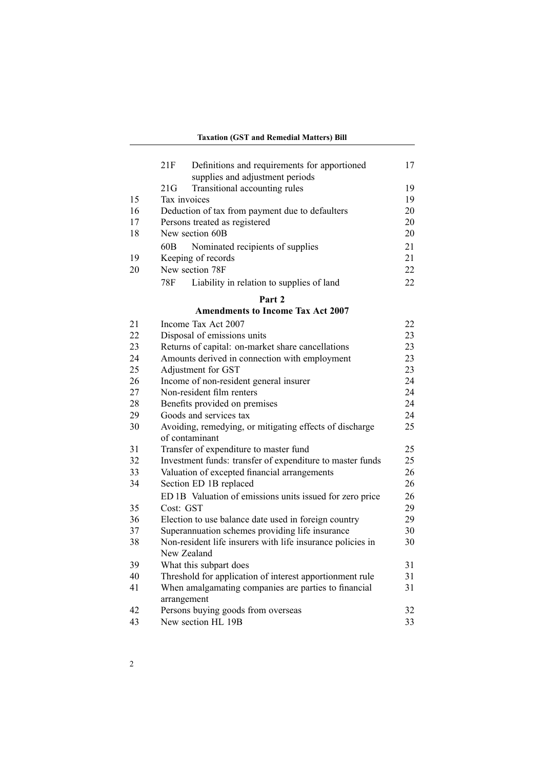#### **Taxation (GST and Remedial Matters) Bill**

|    | 21F<br>Definitions and requirements for apportioned                       | 17       |
|----|---------------------------------------------------------------------------|----------|
|    | supplies and adjustment periods                                           |          |
| 15 | 21G<br>Transitional accounting rules<br>Tax invoices                      | 19<br>19 |
| 16 |                                                                           | 20       |
| 17 | Deduction of tax from payment due to defaulters                           |          |
| 18 | Persons treated as registered<br>New section 60B                          | 20<br>20 |
|    |                                                                           |          |
|    | 60B<br>Nominated recipients of supplies                                   | 21<br>21 |
| 19 | Keeping of records<br>New section 78F                                     | 22       |
| 20 |                                                                           |          |
|    | 78F<br>Liability in relation to supplies of land                          | 22       |
|    | Part 2                                                                    |          |
|    | <b>Amendments to Income Tax Act 2007</b>                                  |          |
| 21 | Income Tax Act 2007                                                       | 22       |
| 22 | Disposal of emissions units                                               | 23       |
| 23 | Returns of capital: on-market share cancellations                         | 23       |
| 24 | Amounts derived in connection with employment                             | 23       |
| 25 | Adjustment for GST                                                        | 23       |
| 26 | Income of non-resident general insurer                                    | 24       |
| 27 | Non-resident film renters                                                 | 24       |
| 28 | Benefits provided on premises                                             | 24       |
| 29 | Goods and services tax                                                    | 24       |
| 30 | Avoiding, remedying, or mitigating effects of discharge<br>of contaminant | 25       |
| 31 | Transfer of expenditure to master fund                                    | 25       |
| 32 | Investment funds: transfer of expenditure to master funds                 | 25       |
| 33 | Valuation of excepted financial arrangements                              | 26       |
| 34 | Section ED 1B replaced                                                    | 26       |
|    | ED 1B Valuation of emissions units issued for zero price                  | 26       |
| 35 | Cost: GST                                                                 | 29       |
| 36 | Election to use balance date used in foreign country                      | 29       |
| 37 | Superannuation schemes providing life insurance                           | 30       |
| 38 | Non-resident life insurers with life insurance policies in<br>New Zealand | 30       |
| 39 | What this subpart does                                                    | 31       |
| 40 | Threshold for application of interest apportionment rule                  | 31       |
| 41 | When amalgamating companies are parties to financial                      | 31       |

[arrangemen](#page-46-0)t 42 Persons [buying](#page-47-0) goods from overseas [32](#page-47-0)<br>43 New section HL 19B 33 New [section](#page-48-0) HL 19B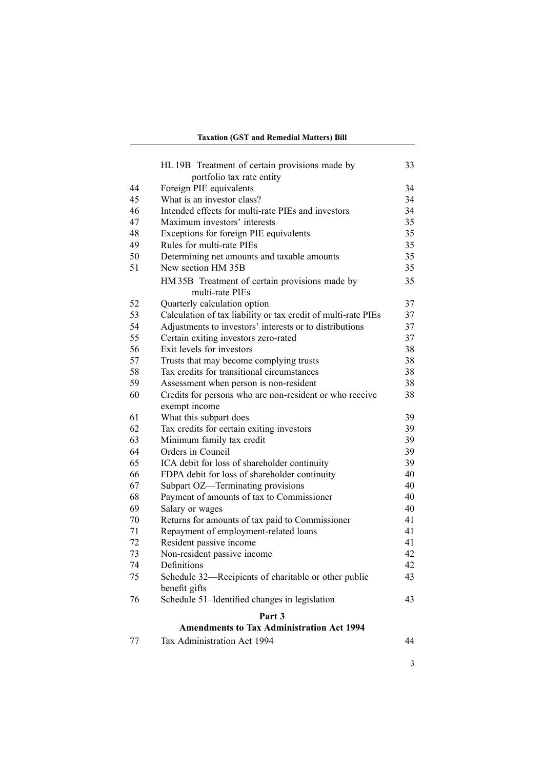#### **Taxation (GST and Remedial Matters) Bill**

|                                                  | HL 19B Treatment of certain provisions made by                    | 33 |  |
|--------------------------------------------------|-------------------------------------------------------------------|----|--|
|                                                  | portfolio tax rate entity                                         |    |  |
| 44                                               | Foreign PIE equivalents                                           | 34 |  |
| 45                                               | What is an investor class?                                        | 34 |  |
| 46                                               | Intended effects for multi-rate PIEs and investors                | 34 |  |
| 47                                               | Maximum investors' interests                                      | 35 |  |
| 48                                               | Exceptions for foreign PIE equivalents                            | 35 |  |
| 49                                               | Rules for multi-rate PIEs                                         | 35 |  |
| 50                                               | Determining net amounts and taxable amounts                       | 35 |  |
| 51                                               | New section HM 35B                                                | 35 |  |
|                                                  | HM 35B Treatment of certain provisions made by<br>multi-rate PIEs | 35 |  |
| 52                                               | Quarterly calculation option                                      | 37 |  |
| 53                                               | Calculation of tax liability or tax credit of multi-rate PIEs     | 37 |  |
| 54                                               | Adjustments to investors' interests or to distributions           | 37 |  |
| 55                                               | Certain exiting investors zero-rated                              | 37 |  |
| 56                                               | Exit levels for investors                                         | 38 |  |
| 57                                               | Trusts that may become complying trusts                           | 38 |  |
| 58                                               | Tax credits for transitional circumstances                        | 38 |  |
| 59                                               | Assessment when person is non-resident                            | 38 |  |
| 60                                               | Credits for persons who are non-resident or who receive           | 38 |  |
|                                                  | exempt income                                                     |    |  |
| 61                                               | What this subpart does                                            | 39 |  |
| 62                                               | Tax credits for certain exiting investors                         | 39 |  |
| 63                                               | Minimum family tax credit                                         | 39 |  |
| 64                                               | Orders in Council                                                 | 39 |  |
| 65                                               | ICA debit for loss of shareholder continuity                      | 39 |  |
| 66                                               | FDPA debit for loss of shareholder continuity                     | 40 |  |
| 67                                               | Subpart OZ-Terminating provisions                                 | 40 |  |
| 68                                               | Payment of amounts of tax to Commissioner                         | 40 |  |
| 69                                               | Salary or wages                                                   | 40 |  |
| 70                                               | Returns for amounts of tax paid to Commissioner                   | 41 |  |
| 71                                               | Repayment of employment-related loans                             | 41 |  |
| 72                                               | Resident passive income                                           | 41 |  |
| 73                                               | Non-resident passive income                                       | 42 |  |
| 74                                               | Definitions                                                       | 42 |  |
| 75                                               | Schedule 32-Recipients of charitable or other public              | 43 |  |
|                                                  | benefit gifts                                                     |    |  |
| 76                                               | Schedule 51-Identified changes in legislation                     | 43 |  |
|                                                  | Part 3                                                            |    |  |
| <b>Amendments to Tax Administration Act 1994</b> |                                                                   |    |  |

77 Tax [Administration](#page-59-0) Act 1994 [44](#page-59-0)

3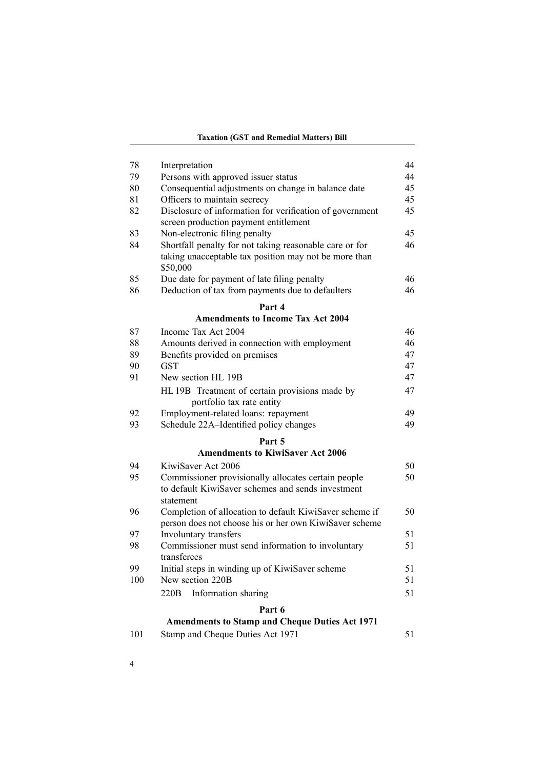#### **Taxation (GST and Remedial Matters) Bill**

| 78        | Interpretation                                           | 44 |
|-----------|----------------------------------------------------------|----|
| 79        | Persons with approved issuer status                      | 44 |
| 80        | Consequential adjustments on change in balance date      | 45 |
| 81        | Officers to maintain secrecy                             | 45 |
| 82        | Disclosure of information for verification of government | 45 |
|           | screen production payment entitlement                    |    |
| 83        | Non-electronic filing penalty                            | 45 |
| 84        | Shortfall penalty for not taking reasonable care or for  | 46 |
|           | taking unacceptable tax position may not be more than    |    |
|           | \$50,000                                                 |    |
| 85        | Due date for payment of late filing penalty              | 46 |
| 86        | Deduction of tax from payments due to defaulters         | 46 |
|           | Part 4                                                   |    |
|           | <b>Amendments to Income Tax Act 2004</b>                 |    |
| 87        | Income Tax Act 2004                                      | 46 |
| 88        | Amounts derived in connection with employment            | 46 |
| 89        | Benefits provided on premises                            | 47 |
| 90        | <b>GST</b>                                               | 47 |
| 91        | New section HL 19B                                       | 47 |
|           | HL 19B Treatment of certain provisions made by           | 47 |
|           | portfolio tax rate entity                                |    |
| 92        | Employment-related loans: repayment                      | 49 |
| 93        | Schedule 22A-Identified policy changes                   | 49 |
|           | Part 5                                                   |    |
|           | <b>Amendments to KiwiSaver Act 2006</b>                  |    |
| 94        | KiwiSaver Act 2006                                       | 50 |
| 95        | Commissioner provisionally allocates certain people      | 50 |
|           | to default KiwiSaver schemes and sends investment        |    |
|           | statement                                                |    |
| 96        | Completion of allocation to default KiwiSaver scheme if  | 50 |
|           | person does not choose his or her own KiwiSaver scheme   |    |
| 97        | Involuntary transfers                                    | 51 |
| 98        | Commissioner must send information to involuntary        | 51 |
|           | transferees                                              |    |
| 99<br>100 | Initial steps in winding up of KiwiSaver scheme          | 51 |
|           | New section 220B                                         | 51 |
|           | 220 <sub>B</sub><br>Information sharing                  | 51 |
|           | Part 6                                                   |    |
|           | <b>Amendments to Stamp and Cheque Duties Act 1971</b>    |    |
| 101       | Stamp and Cheque Duties Act 1971                         | 51 |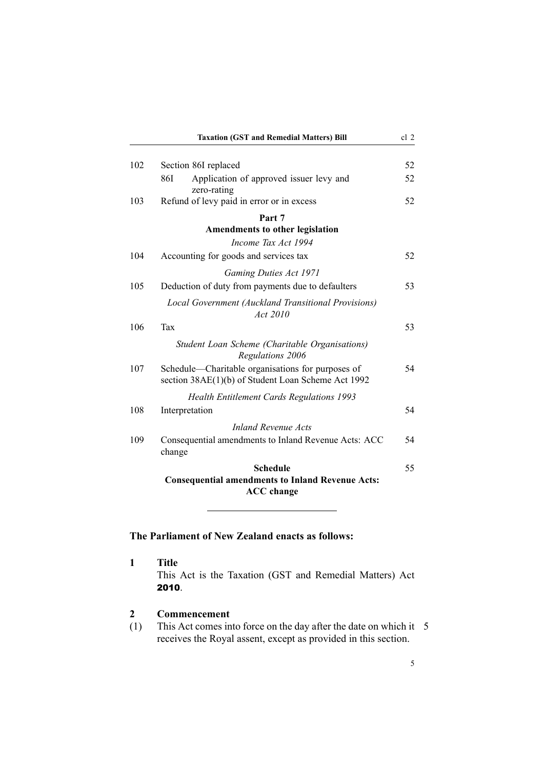<span id="page-20-0"></span>

|     | <b>Taxation (GST and Remedial Matters) Bill</b>                                                         | cl 2 |
|-----|---------------------------------------------------------------------------------------------------------|------|
|     |                                                                                                         |      |
| 102 | Section 86I replaced                                                                                    | 52   |
|     | Application of approved issuer levy and<br>86I<br>zero-rating                                           | 52   |
| 103 | Refund of levy paid in error or in excess                                                               | 52   |
|     | Part 7                                                                                                  |      |
|     | Amendments to other legislation                                                                         |      |
|     | Income Tax Act 1994                                                                                     |      |
| 104 | Accounting for goods and services tax                                                                   | 52   |
|     | <b>Gaming Duties Act 1971</b>                                                                           |      |
| 105 | Deduction of duty from payments due to defaulters                                                       | 53   |
|     | Local Government (Auckland Transitional Provisions)<br>Act 2010                                         |      |
| 106 | Tax                                                                                                     | 53   |
|     | Student Loan Scheme (Charitable Organisations)<br>Regulations 2006                                      |      |
| 107 | Schedule—Charitable organisations for purposes of<br>section 38AE(1)(b) of Student Loan Scheme Act 1992 | 54   |
|     | <b>Health Entitlement Cards Regulations 1993</b>                                                        |      |
| 108 | Interpretation                                                                                          | 54   |
|     | Inland Revenue Acts                                                                                     |      |
| 109 | Consequential amendments to Inland Revenue Acts: ACC<br>change                                          | 54   |
|     | <b>Schedule</b>                                                                                         | 55   |
|     | <b>Consequential amendments to Inland Revenue Acts:</b><br><b>ACC</b> change                            |      |

# **The Parliament of New Zealand enacts as follows:**

**1 Title** This Act is the Taxation (GST and Remedial Matters) Act 2010.

### **2 Commencement**

(1) This Act comes into force on the day after the date on which it 5 receives the Royal assent, excep<sup>t</sup> as provided in this section.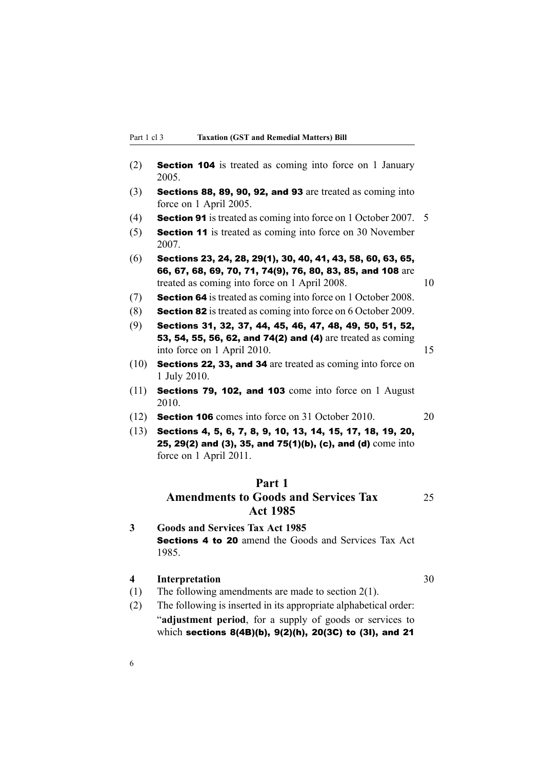<span id="page-21-0"></span>

| (2) | <b>Section 104</b> is treated as coming into force on 1 January<br>2005.             |  |
|-----|--------------------------------------------------------------------------------------|--|
| (3) | Sections 88, 89, 90, 92, and 93 are treated as coming into<br>force on 1 April 2005. |  |
| (4) | <b>Section 91</b> is treated as coming into force on 1 October 2007. 5               |  |
| (5) | <b>Section 11</b> is treated as coming into force on 30 November<br>2007             |  |

- (6) Sections 23, 24, 28, 29(1), 30, 40, 41, 43, 58, 60, 63, 65, 66, 67, 68, 69, 70, 71, 74(9), 76, 80, 83, 85, and 108 are treated as coming into force on 1 April 2008. 10
- (7) Section <sup>64</sup> is treated as coming into force on 1 October 2008.
- (8) Section <sup>82</sup> is treated as coming into force on 6 October 2009.
- (9) Sections 31, 32, 37, 44, 45, 46, 47, 48, 49, 50, 51, 52, 53, 54, 55, 56, 62, and 74(2) and (4) are treated as coming into force on 1 April 2010. 15
- (10) Sections 22, 33, and <sup>34</sup> are treated as coming into force on 1 July 2010.
- (11) Sections 79, 102, and <sup>103</sup> come into force on 1 August 2010.
- (12) Section <sup>106</sup> comes into force on 31 October 2010. 20
- (13) Sections 4, 5, 6, 7, 8, 9, 10, 13, 14, 15, 17, 18, 19, 20, 25, 29(2) and (3), 35, and 75(1)(b), (c), and (d) come into force on 1 April 2011.

### **Part 1**

### **Amendments to Goods and Services Tax** 25 **Act 1985**

**3 Goods and Services Tax Act 1985 Sections 4 to 20** amend the Goods and Services Tax Act 1985.

### **4 Interpretation** 30

- (1) The following amendments are made to section 2(1).
- (2) The following is inserted in its appropriate alphabetical order: "**adjustment period**, for <sup>a</sup> supply of goods or services to which sections 8(4B)(b), 9(2)(h), 20(3C) to (3I), and <sup>21</sup>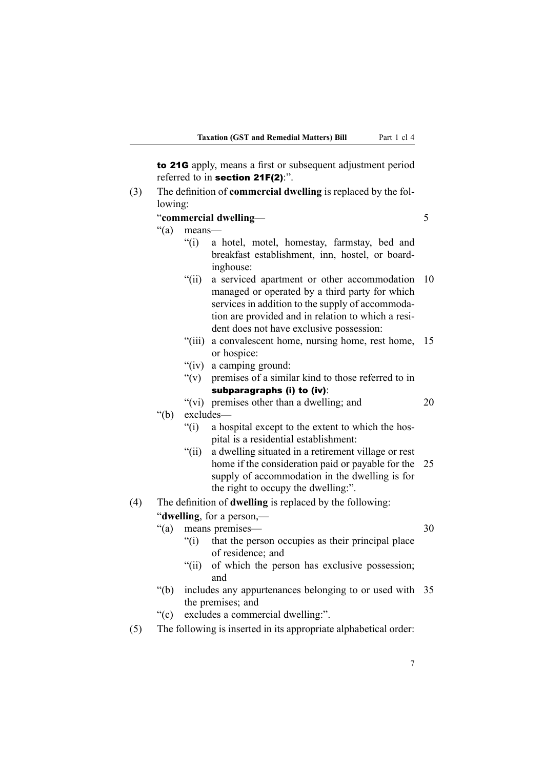to 21G apply, means <sup>a</sup> first or subsequent adjustment period referred to in section 21F(2):".

(3) The definition of **commercial dwelling** is replaced by the following:

### "**commercial dwelling**— 5

"(a) means—

### "(i) <sup>a</sup> hotel, motel, homestay, farmstay, bed and breakfast establishment, inn, hostel, or boardinghouse:

- "(ii) <sup>a</sup> serviced apartment or other accommodation 10 managed or operated by <sup>a</sup> third party for which services in addition to the supply of accommodation are provided and in relation to which <sup>a</sup> resident does not have exclusive possession:
- "(iii) <sup>a</sup> convalescent home, nursing home, rest home, 15 or hospice:
- "(iv) <sup>a</sup> camping ground:
- "(v) premises of <sup>a</sup> similar kind to those referred to in subparagraphs (i) to (iv):
- "(vi) premises other than <sup>a</sup> dwelling; and 20 "(b) excludes—
	- "(i) <sup>a</sup> hospital excep<sup>t</sup> to the extent to which the hospital is <sup>a</sup> residential establishment:
	- "(ii) <sup>a</sup> dwelling situated in <sup>a</sup> retirement village or rest home if the consideration paid or payable for the 25 supply of accommodation in the dwelling is for the right to occupy the dwelling:".

#### (4) The definition of **dwelling** is replaced by the following:

#### "**dwelling**, for <sup>a</sup> person,—

- "(a) means premises— 30
- - "(i) that the person occupies as their principal place of residence; and
	- "(ii) of which the person has exclusive possession; and
- "(b) includes any appurtenances belonging to or used with 35 the premises; and
- "(c) excludes <sup>a</sup> commercial dwelling:".
- (5) The following is inserted in its appropriate alphabetical order: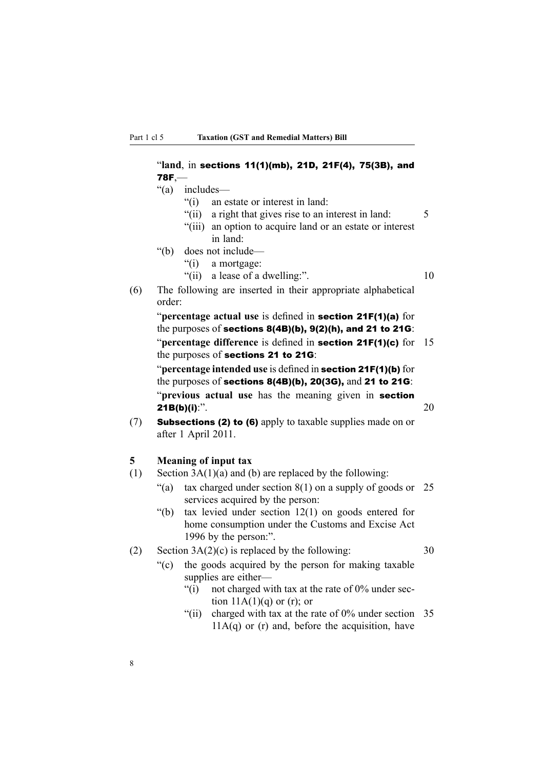### <span id="page-23-0"></span>"**land**, in sections 11(1)(mb), 21D, 21F(4), 75(3B), and 78F,— "(a) includes— "(i) an estate or interest in land: "(ii) a right that gives rise to an interest in land: 5 "(iii) an option to acquire land or an estate or interest in land:

- "(b) does not include—
	- "(i) <sup>a</sup> mortgage:
	- "(ii) a lease of a dwelling:". 10
- (6) The following are inserted in their appropriate alphabetical order:

"**percentage actual use** is defined in section 21F(1)(a) for the purposes of sections 8(4B)(b), 9(2)(h), and <sup>21</sup> to 21G: "**percentage difference** is defined in section 21F(1)(c) for 15 the purposes of sections <sup>21</sup> to 21G:

"**percentage intended use** is defined in section 21F(1)(b) for the purposes of sections 8(4B)(b), 20(3G), and <sup>21</sup> to 21G: "**previous actual use** has the meaning given in section **21B(b)(i):**". 20

(7) Subsections (2) to (6) apply to taxable supplies made on or after 1 April 2011.

### **5 Meaning of input tax**

- (1) Section  $3A(1)(a)$  and (b) are replaced by the following:
	- "(a) tax charged under section  $8(1)$  on a supply of goods or 25 services acquired by the person:
	- "(b) tax levied under section 12(1) on goods entered for home consumption under the Customs and Excise Act 1996 by the person:".

#### (2) Section  $3A(2)(c)$  is replaced by the following: 30

- "(c) the goods acquired by the person for making taxable supplies are either—
	- "(i) not charged with tax at the rate of  $0\%$  under section  $11A(1)(q)$  or (r); or
	- "(ii) charged with tax at the rate of 0% under section 35  $11A(q)$  or (r) and, before the acquisition, have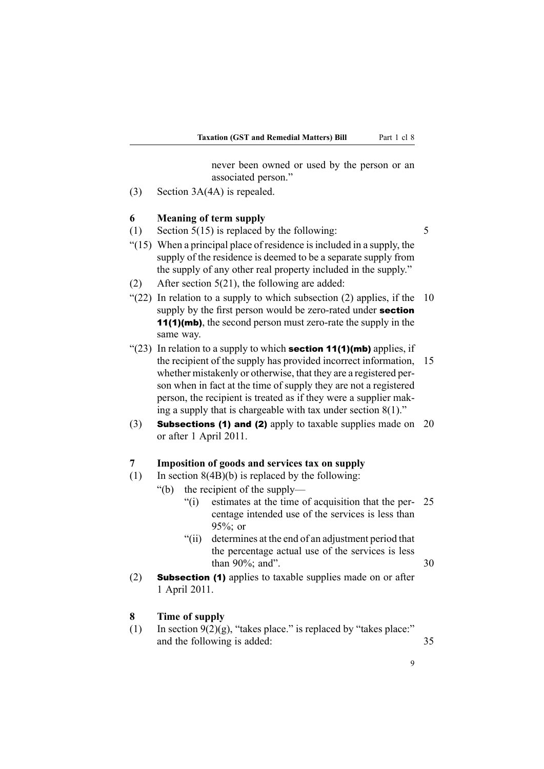never been owned or used by the person or an associated person."

<span id="page-24-0"></span>(3) Section 3A(4A) is repealed.

#### **6 Meaning of term supply**

- (1) Section  $5(15)$  is replaced by the following:  $5$
- $(15)$  When a principal place of residence is included in a supply, the supply of the residence is deemed to be <sup>a</sup> separate supply from the supply of any other real property included in the supply."
- (2) After section 5(21), the following are added:
- "(22) In relation to a supply to which subsection (2) applies, if the  $10$ supply by the first person would be zero-rated under **section** 11(1)(mb), the second person must zero-rate the supply in the same way.
- "(23) In relation to a supply to which **section 11(1)(mb)** applies, if the recipient of the supply has provided incorrect information, 15 whether mistakenly or otherwise, that they are <sup>a</sup> registered person when in fact at the time of supply they are not <sup>a</sup> registered person, the recipient is treated as if they were <sup>a</sup> supplier making <sup>a</sup> supply that is chargeable with tax under section 8(1)."
- (3) Subsections (1) and (2) apply to taxable supplies made on 20 or after 1 April 2011.

#### **7 Imposition of goods and services tax on supply**

- (1) In section  $8(4B)(b)$  is replaced by the following:
	- "(b) the recipient of the supply—
		- "(i) estimates at the time of acquisition that the per- 25 centage intended use of the services is less than 95%; or
		- "(ii) determines at the end of an adjustment period that the percentage actual use of the services is less than  $90\%$ ; and".  $30$
- (2) Subsection (1) applies to taxable supplies made on or after 1 April 2011.

#### **8 Time of supply**

(1) In section  $9(2)(g)$ , "takes place." is replaced by "takes place:" and the following is added: 35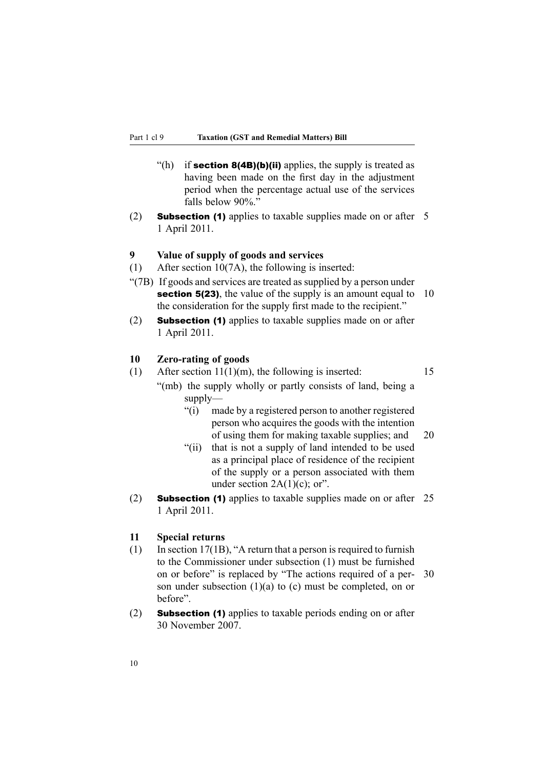- <span id="page-25-0"></span>"(h) if **section 8(4B)(b)(ii)** applies, the supply is treated as having been made on the first day in the adjustment period when the percentage actual use of the services falls below 90%."
- (2) **Subsection (1)** applies to taxable supplies made on or after 5 1 April 2011.

### **9 Value of supply of goods and services**

- (1) After section 10(7A), the following is inserted:
- "(7B) If goods and services are treated as supplied by <sup>a</sup> person under **section 5(23)**, the value of the supply is an amount equal to 10 the consideration for the supply first made to the recipient."
- (2) Subsection (1) applies to taxable supplies made on or after 1 April 2011.

#### **10 Zero-rating of goods**

- (1) After section  $11(1)(m)$ , the following is inserted: 15 "(mb) the supply wholly or partly consists of land, being <sup>a</sup> supply—
	- "(i) made by <sup>a</sup> registered person to another registered person who acquires the goods with the intention of using them for making taxable supplies; and 20
	- "(ii) that is not <sup>a</sup> supply of land intended to be used as <sup>a</sup> principal place of residence of the recipient of the supply or <sup>a</sup> person associated with them under section  $2A(1)(c)$ ; or".
- (2) Subsection (1) applies to taxable supplies made on or after 25 1 April 2011.

### **11 Special returns**

- (1) In section 17(1B), "A return that a person is required to furnish to the Commissioner under subsection (1) must be furnished on or before" is replaced by "The actions required of <sup>a</sup> per- 30 son under subsection  $(1)(a)$  to  $(c)$  must be completed, on or before".
- (2) Subsection (1) applies to taxable periods ending on or after 30 November 2007.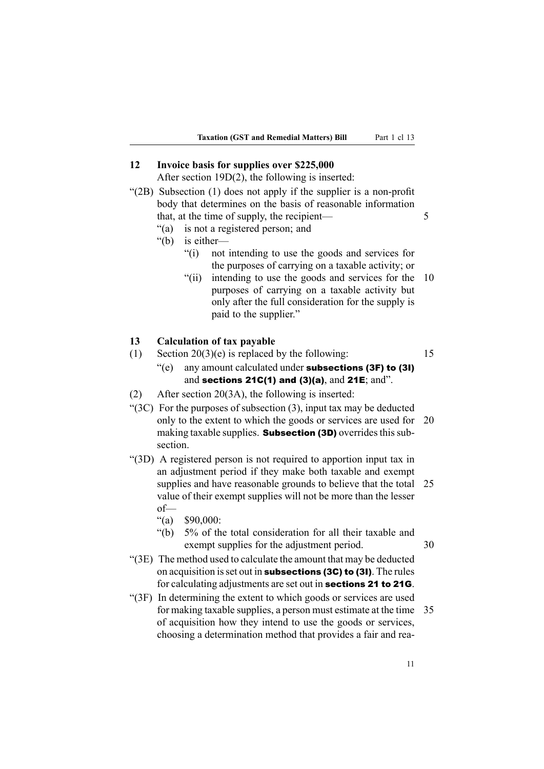#### <span id="page-26-0"></span>**12 Invoice basis for supplies over \$225,000**

After section 19D(2), the following is inserted:

- "(2B) Subsection (1) does not apply if the supplier is <sup>a</sup> non-profit body that determines on the basis of reasonable information that, at the time of supply, the recipient— 5
	- "(a) is not <sup>a</sup> registered person; and
	- "(b) is either—
		- "(i) not intending to use the goods and services for the purposes of carrying on <sup>a</sup> taxable activity; or
		- "(ii) intending to use the goods and services for the 10 purposes of carrying on <sup>a</sup> taxable activity but only after the full consideration for the supply is paid to the supplier."

#### **13 Calculation of tax payable**

- (1) Section  $20(3)(e)$  is replaced by the following: 15
	- "(e) any amount calculated under subsections  $(3F)$  to  $(3I)$ and sections  $21C(1)$  and  $(3)(a)$ , and  $21E$ ; and".
- (2) After section 20(3A), the following is inserted:
- " $(3C)$  For the purposes of subsection  $(3)$ , input tax may be deducted only to the extent to which the goods or services are used for 20 making taxable supplies. **Subsection (3D)** overrides this subsection.
- "(3D) A registered person is not required to apportion input tax in an adjustment period if they make both taxable and exemp<sup>t</sup> supplies and have reasonable grounds to believe that the total 25 value of their exemp<sup>t</sup> supplies will not be more than the lesser of—
	- "(a) \$90,000:
	- "(b) 5% of the total consideration for all their taxable and exempt supplies for the adjustment period. 30
		-
- "(3E) The method used to calculate the amount that may be deducted on acquisition is set out in subsections  $(3C)$  to  $(3I)$ . The rules for calculating adjustments are set out in sections <sup>21</sup> to 21G.
- "(3F) In determining the extent to which goods or services are used for making taxable supplies, <sup>a</sup> person must estimate at the time 35 of acquisition how they intend to use the goods or services, choosing <sup>a</sup> determination method that provides <sup>a</sup> fair and rea-

11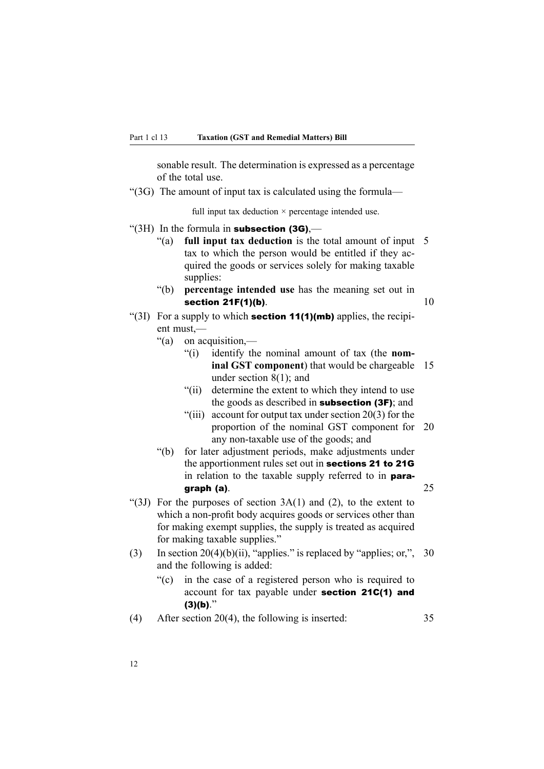sonable result. The determination is expressed as <sup>a</sup> percentage of the total use.

"(3G) The amount of input tax is calculated using the formula—

full input tax deduction  $\times$  percentage intended use.

- " $(3H)$  In the formula in **subsection (3G)**.—
	- "(a) **full input tax deduction** is the total amount of input 5 tax to which the person would be entitled if they acquired the goods or services solely for making taxable supplies:
	- "(b) **percentage intended use** has the meaning set out in section  $21F(1)(b)$ . 10
- "(3I) For a supply to which **section 11(1)(mb)** applies, the recipient must,—
	- "(a) on acquisition,—
		- "(i) identify the nominal amount of tax (the **nominal GST componen<sup>t</sup>**) that would be chargeable 15 under section 8(1); and
		- "(ii) determine the extent to which they intend to use the goods as described in subsection (3F); and
		- "(iii) account for output tax under section 20(3) for the proportion of the nominal GST componen<sup>t</sup> for 20 any non-taxable use of the goods; and
	- "(b) for later adjustment periods, make adjustments under the apportionment rules set out in sections <sup>21</sup> to 21G in relation to the taxable supply referred to in paragraph (a).  $25$
- "(3J) For the purposes of section  $3A(1)$  and (2), to the extent to which <sup>a</sup> non-profit body acquires goods or services other than for making exemp<sup>t</sup> supplies, the supply is treated as acquired for making taxable supplies."
- (3) In section 20(4)(b)(ii), "applies." is replaced by "applies; or,", 30 and the following is added:
	- "(c) in the case of <sup>a</sup> registered person who is required to account for tax payable under section 21C(1) and  $(3)(b)$ ."
- (4) After section 20(4), the following is inserted: 35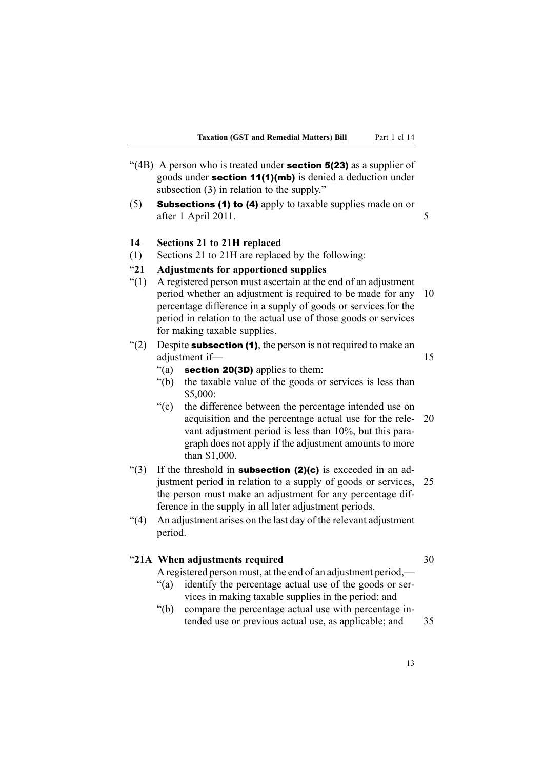- <span id="page-28-0"></span>"(4B) A person who is treated under **section 5(23)** as a supplier of goods under section 11(1)(mb) is denied <sup>a</sup> deduction under subsection (3) in relation to the supply."
- (5) Subsections (1) to (4) apply to taxable supplies made on or after 1 April 2011.

#### **14 Sections 21 to 21H replaced**

(1) Sections 21 to 21H are replaced by the following:

### "**21 Adjustments for apportioned supplies**

- "(1) A registered person must ascertain at the end of an adjustment period whether an adjustment is required to be made for any 10 percentage difference in <sup>a</sup> supply of goods or services for the period in relation to the actual use of those goods or services for making taxable supplies.
- "(2) Despite **subsection (1)**, the person is not required to make an adjustment if— 15
	- "(a) **section 20(3D)** applies to them:
	- "(b) the taxable value of the goods or services is less than \$5,000:
	- "(c) the difference between the percentage intended use on acquisition and the percentage actual use for the rele- 20 vant adjustment period is less than 10%, but this paragraph does not apply if the adjustment amounts to more than \$1,000.
- "(3) If the threshold in **subsection (2)(c)** is exceeded in an adjustment period in relation to <sup>a</sup> supply of goods or services, 25 the person must make an adjustment for any percentage difference in the supply in all later adjustment periods.
- "(4) An adjustment arises on the last day of the relevant adjustment period.

#### "**21A When adjustments required** 30

A registered person must, at the end of an adjustment period,—

- "(a) identify the percentage actual use of the goods or services in making taxable supplies in the period; and
- "(b) compare the percentage actual use with percentage intended use or previous actual use, as applicable; and 35
- -

13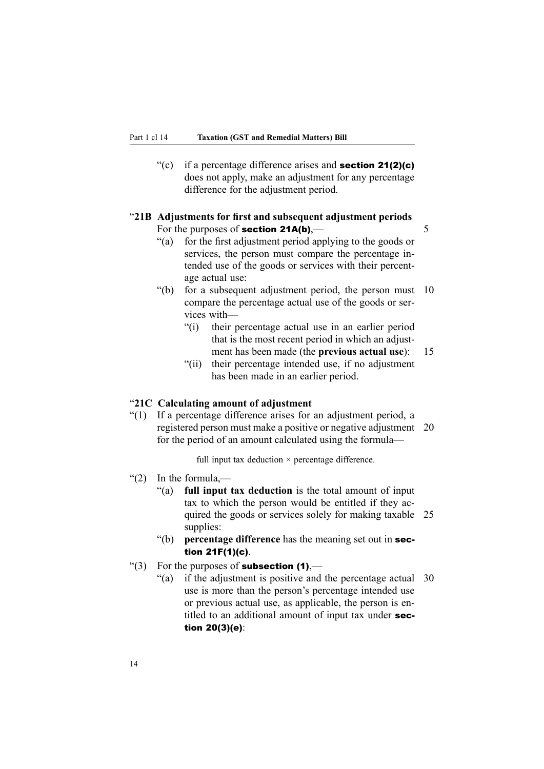<span id="page-29-0"></span>"(c) if a percentage difference arises and **section 21(2)(c)** does not apply, make an adjustment for any percentage difference for the adjustment period.

#### "**21B Adjustments for first and subsequent adjustment periods** For the purposes of **section 21A(b)**,  $\qquad \qquad$  5

- "(a) for the first adjustment period applying to the goods or services, the person must compare the percentage intended use of the goods or services with their percentage actual use:
- "(b) for <sup>a</sup> subsequent adjustment period, the person must 10 compare the percentage actual use of the goods or services with—
	- "(i) their percentage actual use in an earlier period that is the most recent period in which an adjustment has been made (the **previous actual use**): 15
	- "(ii) their percentage intended use, if no adjustment has been made in an earlier period.

#### "**21C Calculating amount of adjustment**

"(1) If <sup>a</sup> percentage difference arises for an adjustment period, <sup>a</sup> registered person must make <sup>a</sup> positive or negative adjustment 20 for the period of an amount calculated using the formula—

full input tax deduction  $\times$  percentage difference.

- "(2) In the formula,—
	- "(a) **full input tax deduction** is the total amount of input tax to which the person would be entitled if they acquired the goods or services solely for making taxable 25 supplies:
	- "(b) **percentage difference** has the meaning set out in section 21F(1)(c).
- "(3) For the purposes of **subsection (1)**,—
	- "(a) if the adjustment is positive and the percentage actual 30 use is more than the person's percentage intended use or previous actual use, as applicable, the person is entitled to an additional amount of input tax under section 20(3)(e):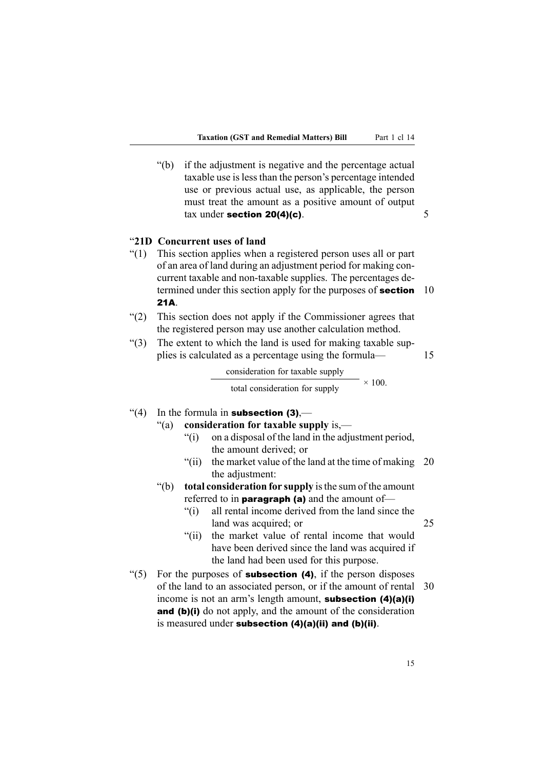<span id="page-30-0"></span>"(b) if the adjustment is negative and the percentage actual taxable use islessthan the person's percentage intended use or previous actual use, as applicable, the person must treat the amount as <sup>a</sup> positive amount of output tax under section  $20(4)(c)$ . 5

#### "**21D Concurrent uses of land**

- "(1) This section applies when <sup>a</sup> registered person uses all or par<sup>t</sup> of an area of land during an adjustment period for making concurrent taxable and non-taxable supplies. The percentages determined under this section apply for the purposes of **section** 10 21A.
- "(2) This section does not apply if the Commissioner agrees that the registered person may use another calculation method.
- "(3) The extent to which the land is used for making taxable supplies is calculated as <sup>a</sup> percentage using the formula— 15

consideration for taxable supply

total consideration for supply  $\times$  100.

#### "(4) In the formula in **subsection (3)**,—

### "(a) **consideration for taxable supply** is,—

- "(i) on <sup>a</sup> disposal of the land in the adjustment period, the amount derived; or
- "(ii) the market value of the land at the time of making  $20$ the adjustment:
- "(b) **total consideration for supply** isthe sum of the amount referred to in **paragraph** (a) and the amount of-
	- "(i) all rental income derived from the land since the land was acquired; or 25
	- "(ii) the market value of rental income that would have been derived since the land was acquired if the land had been used for this purpose.
- "(5) For the purposes of **subsection (4)**, if the person disposes of the land to an associated person, or if the amount of rental 30 income is not an arm's length amount, **subsection (4)(a)(i)** and (b)(i) do not apply, and the amount of the consideration is measured under **subsection (4)(a)(ii) and (b)(ii)**.

15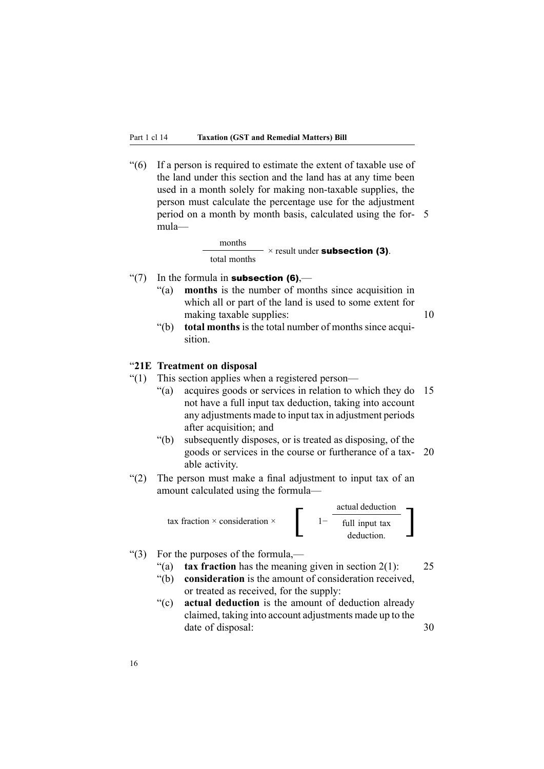<span id="page-31-0"></span>"(6) If <sup>a</sup> person is required to estimate the extent of taxable use of the land under this section and the land has at any time been used in <sup>a</sup> month solely for making non-taxable supplies, the person must calculate the percentage use for the adjustment period on <sup>a</sup> month by month basis, calculated using the for- 5 mula—

> months total months  $\times$  result under **subsection (3)**.

- "(7) In the formula in **subsection (6)**,—
	- "(a) **months** is the number of months since acquisition in which all or par<sup>t</sup> of the land is used to some extent for making taxable supplies: 10

"(b) **total months** is the total number of months since acquisition.

#### "**21E Treatment on disposal**

- "(1) This section applies when <sup>a</sup> registered person—
	- "(a) acquires goods or services in relation to which they do 15 not have <sup>a</sup> full input tax deduction, taking into account any adjustments made to input tax in adjustment periods after acquisition; and
	- "(b) subsequently disposes, or is treated as disposing, of the goods or services in the course or furtherance of <sup>a</sup> tax- 20 able activity.
- "(2) The person must make <sup>a</sup> final adjustment to input tax of an amount calculated using the formula—



#### "(3) For the purposes of the formula,—

- "(a) **tax fraction** has the meaning given in section 2(1): 25
- "(b) **consideration** is the amount of consideration received, or treated as received, for the supply:
- "(c) **actual deduction** is the amount of deduction already claimed, taking into account adjustments made up to the date of disposal: 30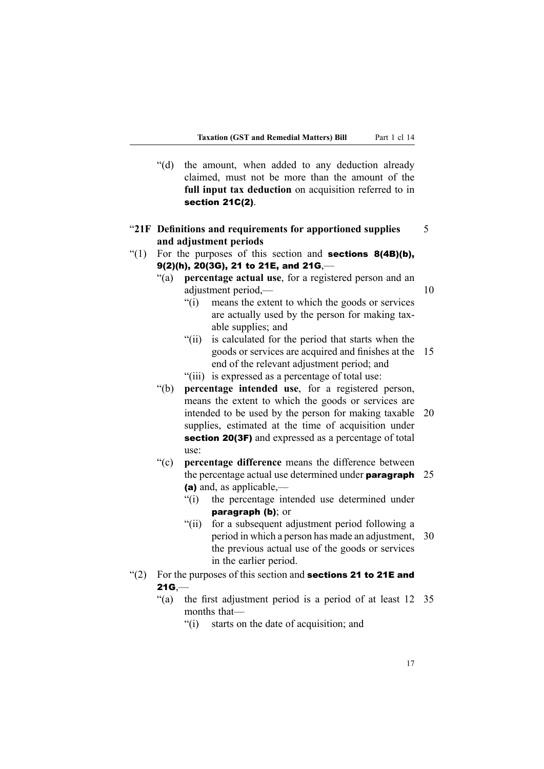- <span id="page-32-0"></span>"(d) the amount, when added to any deduction already claimed, must not be more than the amount of the **full input tax deduction** on acquisition referred to in section 21C(2).
- "**21F Definitions and requirements for apportioned supplies** 5 **and adjustment periods**
- "(1) For the purposes of this section and **sections 8(4B)(b)**,  $9(2)(h)$ ,  $20(3G)$ , 21 to 21E, and 21G,—
	- "(a) **percentage actual use**, for <sup>a</sup> registered person and an adjustment period,— $10$ 
		- "(i) means the extent to which the goods or services are actually used by the person for making taxable supplies; and
		- "(ii) is calculated for the period that starts when the goods or services are acquired and finishes at the 15 end of the relevant adjustment period; and
		- "(iii) is expressed as <sup>a</sup> percentage of total use:
	- "(b) **percentage intended use**, for <sup>a</sup> registered person, means the extent to which the goods or services are intended to be used by the person for making taxable 20 supplies, estimated at the time of acquisition under section 20(3F) and expressed as a percentage of total use:
	- "(c) **percentage difference** means the difference between the percentage actual use determined under **paragraph**  $25$ (a) and, as applicable,—
		- "(i) the percentage intended use determined under paragraph (b); or
		- "(ii) for <sup>a</sup> subsequent adjustment period following <sup>a</sup> period in which <sup>a</sup> person has made an adjustment, 30 the previous actual use of the goods or services in the earlier period.
- "(2) For the purposes of this section and **sections 21 to 21E and**  $21G$ 
	- "(a) the first adjustment period is <sup>a</sup> period of at least 12 35 months that—
		- "(i) starts on the date of acquisition; and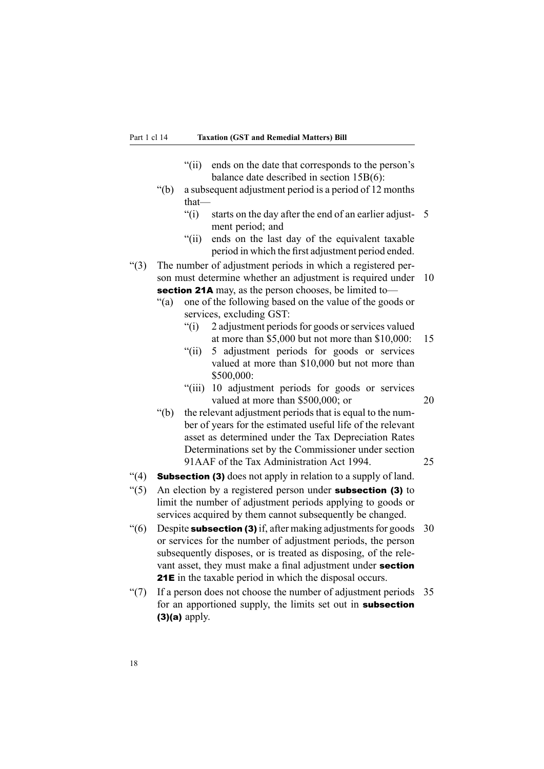- "(ii) ends on the date that corresponds to the person's balance date described in section 15B(6):
- "(b) <sup>a</sup> subsequent adjustment period is <sup>a</sup> period of 12 months that—
	- "(i) starts on the day after the end of an earlier adjust- 5 ment period; and
	- "(ii) ends on the last day of the equivalent taxable period in which the first adjustment period ended.
- "(3) The number of adjustment periods in which <sup>a</sup> registered person must determine whether an adjustment is required under 10 section 21A may, as the person chooses, be limited to—
	- "(a) one of the following based on the value of the goods or services, excluding GST:
		- $\degree$ (i) 2 adjustment periods for goods or services valued at more than \$5,000 but not more than \$10,000: 15
		- "(ii) 5 adjustment periods for goods or services valued at more than \$10,000 but not more than \$500,000:
		- "(iii) 10 adjustment periods for goods or services valued at more than \$500,000; or 20
	- "(b) the relevant adjustment periods that is equal to the number of years for the estimated useful life of the relevant asset as determined under the Tax Depreciation Rates Determinations set by the Commissioner under section 91AAF of the Tax Administration Act 1994. 25
- $\mathcal{L}(4)$  **Subsection (3)** does not apply in relation to a supply of land.
- $\degree$ (5) An election by a registered person under **subsection (3)** to limit the number of adjustment periods applying to goods or services acquired by them cannot subsequently be changed.
- "(6) Despite **subsection (3)** if, after making adjustments for goods  $30$ or services for the number of adjustment periods, the person subsequently disposes, or is treated as disposing, of the relevant asset, they must make <sup>a</sup> final adjustment under section 21E in the taxable period in which the disposal occurs.
- " $(7)$  If a person does not choose the number of adjustment periods 35 for an apportioned supply, the limits set out in subsection  $(3)(a)$  apply.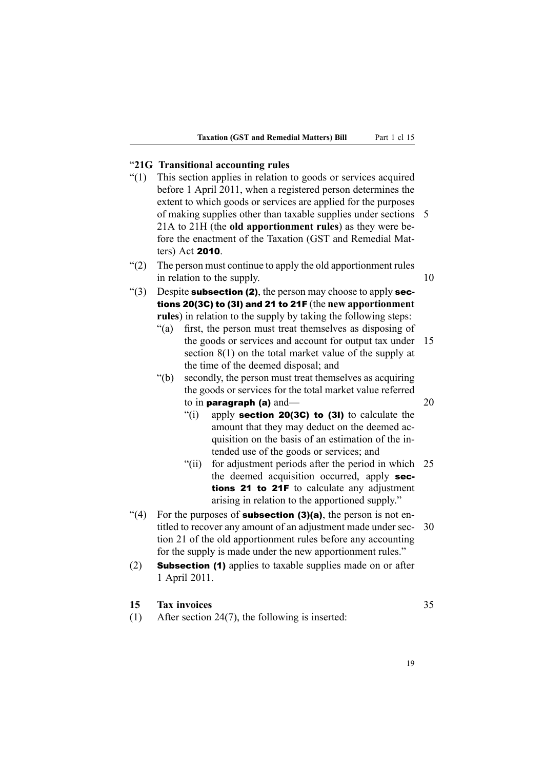# <span id="page-34-0"></span>"**21G Transitional accounting rules**

- "(1) This section applies in relation to goods or services acquired before 1 April 2011, when <sup>a</sup> registered person determines the extent to which goods or services are applied for the purposes of making supplies other than taxable supplies under sections 5 21A to 21H (the **old apportionment rules**) as they were before the enactment of the Taxation (GST and Remedial Matters) Act <sup>2010</sup>.
- "(2) The person must continue to apply the old apportionment rules in relation to the supply. 10
- "(3) Despite **subsection (2)**, the person may choose to apply **sec**tions 20(3C) to (3I) and <sup>21</sup> to 21F (the **new apportionment rules**) in relation to the supply by taking the following steps:
	- "(a) first, the person must treat themselves as disposing of the goods or services and account for output tax under 15 section 8(1) on the total market value of the supply at the time of the deemed disposal; and
	- "(b) secondly, the person must treat themselves as acquiring the goods or services for the total market value referred to in **paragraph (a)** and—  $20$ 
		- "(i) apply **section 20(3C) to (3I)** to calculate the amount that they may deduct on the deemed acquisition on the basis of an estimation of the intended use of the goods or services; and
		- "(ii) for adjustment periods after the period in which 25 the deemed acquisition occurred, apply sections 21 to 21F to calculate any adjustment arising in relation to the apportioned supply."
- $\degree$ (4) For the purposes of **subsection (3)(a)**, the person is not entitled to recover any amount of an adjustment made under sec- 30 tion 21 of the old apportionment rules before any accounting for the supply is made under the new apportionment rules."
- (2) Subsection (1) applies to taxable supplies made on or after 1 April 2011.

# **15 Tax invoices** 35

(1) After section 24(7), the following is inserted: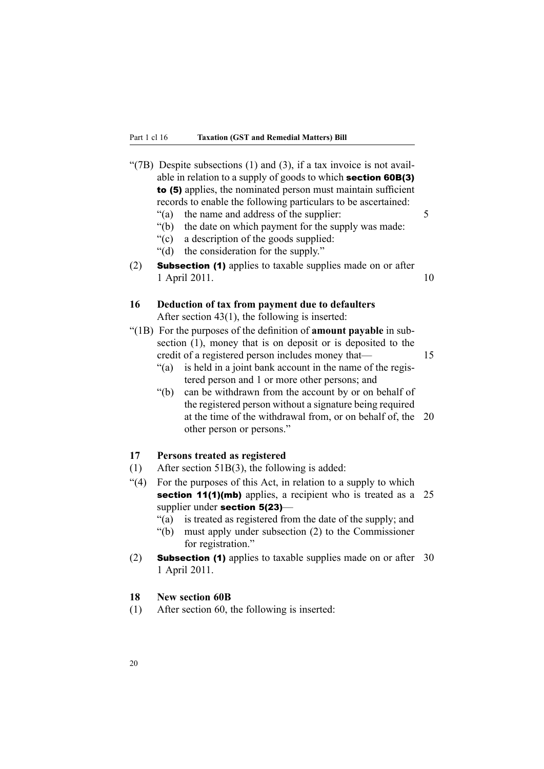<span id="page-35-0"></span>"(7B) Despite subsections  $(1)$  and  $(3)$ , if a tax invoice is not available in relation to <sup>a</sup> supply of goods to which section 60B(3) to (5) applies, the nominated person must maintain sufficient records to enable the following particulars to be ascertained: "(a) the name and address of the supplier: 5 "(b) the date on which paymen<sup>t</sup> for the supply was made: "(c) <sup>a</sup> description of the goods supplied: "(d) the consideration for the supply." (2) Subsection (1) applies to taxable supplies made on or after 1 April 2011. 10 **16 Deduction of tax from payment due to defaulters** After section 43(1), the following is inserted: "(1B) For the purposes of the definition of **amount payable** in subsection (1), money that is on deposit or is deposited to the credit of <sup>a</sup> registered person includes money that— 15 "(a) is held in <sup>a</sup> joint bank account in the name of the registered person and 1 or more other persons; and "(b) can be withdrawn from the account by or on behalf of the registered person without <sup>a</sup> signature being required at the time of the withdrawal from, or on behalf of, the 20 other person or persons." **17 Persons treated as registered** (1) After section 51B(3), the following is added: "(4) For the purposes of this Act, in relation to <sup>a</sup> supply to which section 11(1)(mb) applies, a recipient who is treated as a 25 supplier under section 5(23)-"(a) is treated as registered from the date of the supply; and "(b) must apply under subsection (2) to the Commissioner for registration."

(2) Subsection (1) applies to taxable supplies made on or after 30 1 April 2011.

#### **18 New section 60B**

(1) After section 60, the following is inserted: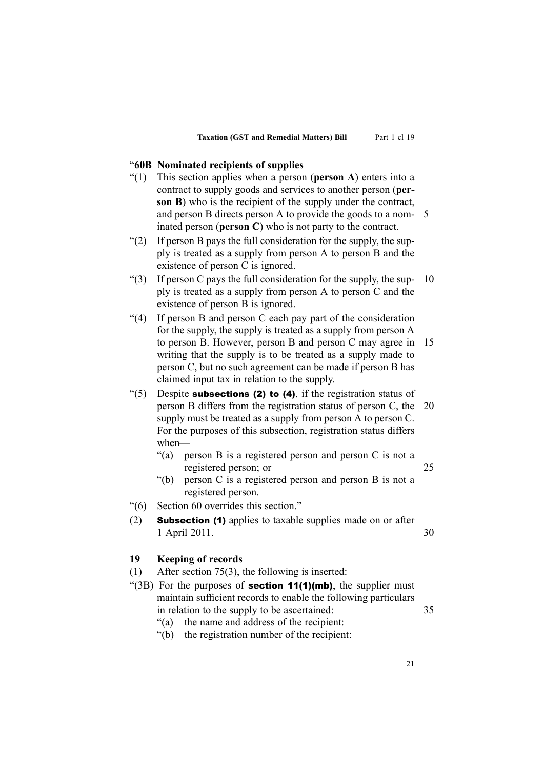#### "**60B Nominated recipients of supplies**

- "(1) This section applies when <sup>a</sup> person (**person A**) enters into <sup>a</sup> contract to supply goods and services to another person (**person B**) who is the recipient of the supply under the contract, and person B directs person A to provide the goods to <sup>a</sup> nom- 5 inated person (**person C**) who is not party to the contract.
- " $(2)$  If person B pays the full consideration for the supply, the supply is treated as <sup>a</sup> supply from person A to person B and the existence of person C is ignored.
- "(3) If person C pays the full consideration for the supply, the sup-  $10$ ply is treated as <sup>a</sup> supply from person A to person C and the existence of person B is ignored.
- "(4) If person B and person C each pay par<sup>t</sup> of the consideration for the supply, the supply is treated as <sup>a</sup> supply from person A to person B. However, person B and person C may agree in 15 writing that the supply is to be treated as <sup>a</sup> supply made to person C, but no such agreemen<sup>t</sup> can be made if person B has claimed input tax in relation to the supply.
- "(5) Despite **subsections (2) to (4)**, if the registration status of person B differs from the registration status of person C, the 20 supply must be treated as <sup>a</sup> supply from person A to person C. For the purposes of this subsection, registration status differs when—
	- "(a) person B is <sup>a</sup> registered person and person C is not <sup>a</sup> registered person; or 25
	- "(b) person C is <sup>a</sup> registered person and person B is not <sup>a</sup> registered person.
- "(6) Section 60 overrides this section."
- (2) Subsection (1) applies to taxable supplies made on or after 1 April 2011. 30

#### **19 Keeping of records**

- (1) After section 75(3), the following is inserted:
- "(3B) For the purposes of **section 11(1)(mb)**, the supplier must maintain sufficient records to enable the following particulars in relation to the supply to be ascertained: 35
	- "(a) the name and address of the recipient:
	- "(b) the registration number of the recipient: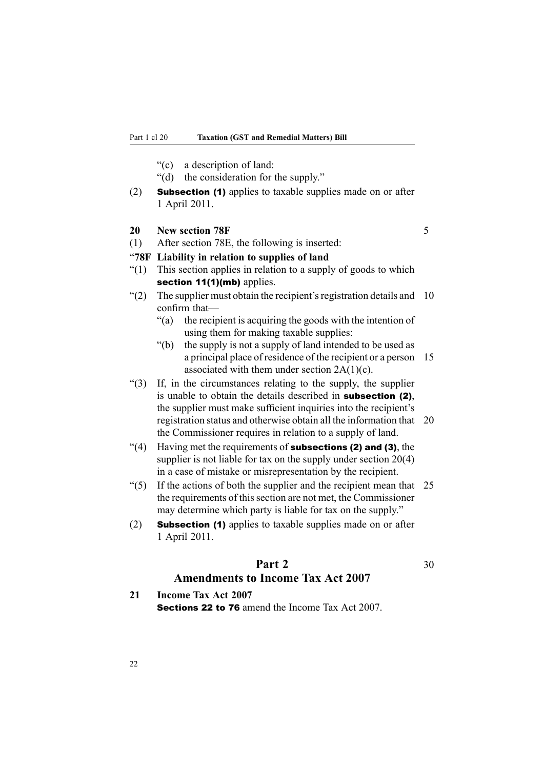- "(c) <sup>a</sup> description of land:
- "(d) the consideration for the supply."
- (2) Subsection (1) applies to taxable supplies made on or after 1 April 2011.

#### **20 New section 78F** 5

(1) After section 78E, the following is inserted:

## "**78F Liability in relation to supplies of land**

- "(1) This section applies in relation to <sup>a</sup> supply of goods to which section 11(1)(mb) applies.
- " $(2)$  The supplier must obtain the recipient's registration details and 10 confirm that—
	- "(a) the recipient is acquiring the goods with the intention of using them for making taxable supplies:
	- "(b) the supply is not <sup>a</sup> supply of land intended to be used as <sup>a</sup> principal place of residence of the recipient or <sup>a</sup> person 15 associated with them under section  $2A(1)(c)$ .
- "(3) If, in the circumstances relating to the supply, the supplier is unable to obtain the details described in subsection (2), the supplier must make sufficient inquiries into the recipient's registration status and otherwise obtain all the information that 20 the Commissioner requires in relation to <sup>a</sup> supply of land.
- "(4) Having met the requirements of **subsections (2) and (3)**, the supplier is not liable for tax on the supply under section  $20(4)$ in <sup>a</sup> case of mistake or misrepresentation by the recipient.
- " $(5)$  If the actions of both the supplier and the recipient mean that 25 the requirements of this section are not met, the Commissioner may determine which party is liable for tax on the supply."
- (2) Subsection (1) applies to taxable supplies made on or after 1 April 2011.

# **Part 2** 30 **Amendments to Income Tax Act 2007**

**21 Income Tax Act 2007** Sections 22 to 76 amend the Income Tax Act 2007.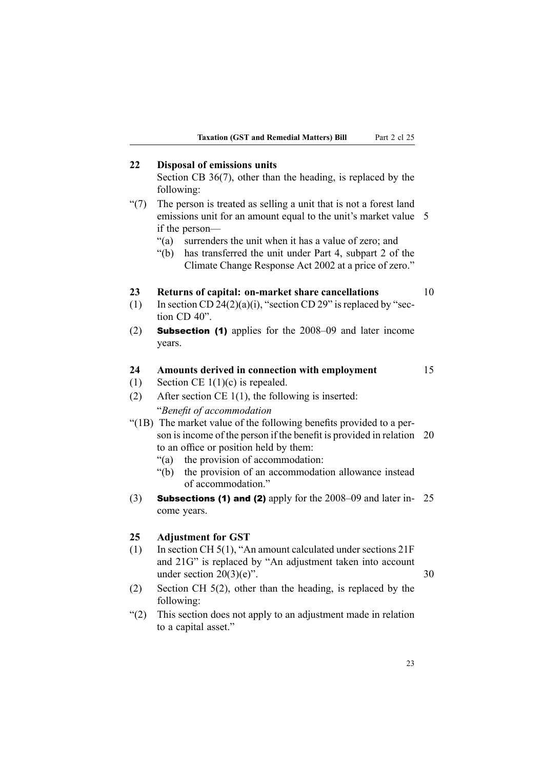# **22 Disposal of emissions units**

Section CB 36(7), other than the heading, is replaced by the following:

- "(7) The person is treated as selling <sup>a</sup> unit that is not <sup>a</sup> forest land emissions unit for an amount equal to the unit's market value 5 if the person—
	- "(a) surrenders the unit when it has <sup>a</sup> value of zero; and
	- "(b) has transferred the unit under Part 4, subpart 2 of the Climate Change Response Act 2002 at <sup>a</sup> price of zero."

#### **23 Returns of capital: on-market share cancellations** 10

- (1) In section CD 24(2)(a)(i), "section CD 29" is replaced by "section CD 40".
- (2) Subsection (1) applies for the 2008–09 and later income years.

# **24 Amounts derived in connection with employment** 15

- (1) Section CE  $1(1)(c)$  is repealed.
- (2) After section CE 1(1), the following is inserted: "*Benefit of accommodation*
- "(1B) The market value of the following benefits provided to <sup>a</sup> person is income of the person if the benefit is provided in relation 20 to an office or position held by them:
	- "(a) the provision of accommodation:
	- "(b) the provision of an accommodation allowance instead of accommodation."
- (3) **Subsections (1) and (2)** apply for the  $2008-09$  and later in-  $25$ come years.

## **25 Adjustment for GST**

- (1) In section CH 5(1), "An amount calculated under sections 21F and 21G" is replaced by "An adjustment taken into account under section  $20(3)(e)$ ". 30
- (2) Section CH 5(2), other than the heading, is replaced by the following:
- "(2) This section does not apply to an adjustment made in relation to <sup>a</sup> capital asset."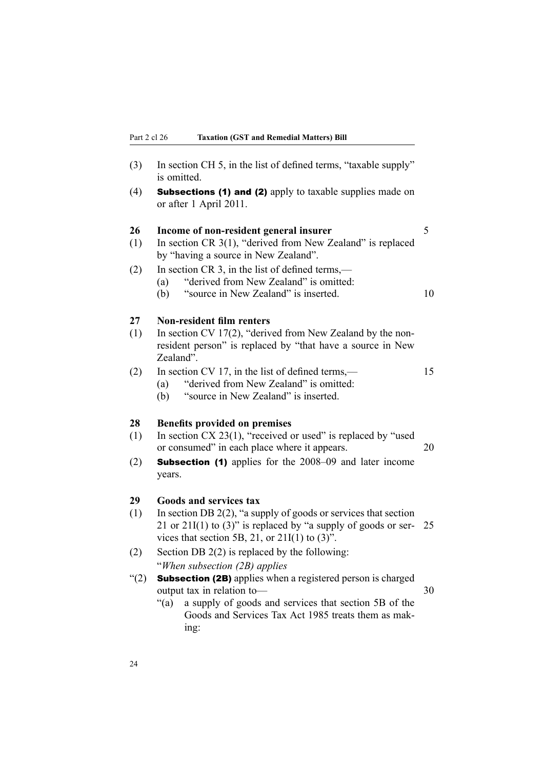| (3) | In section CH 5, in the list of defined terms, "taxable supply"<br>is omitted.                                                        |    |
|-----|---------------------------------------------------------------------------------------------------------------------------------------|----|
| (4) | <b>Subsections (1) and (2)</b> apply to taxable supplies made on<br>or after 1 April 2011.                                            |    |
| 26  | Income of non-resident general insurer                                                                                                | 5  |
| (1) | In section CR $3(1)$ , "derived from New Zealand" is replaced<br>by "having a source in New Zealand".                                 |    |
| (2) | In section CR 3, in the list of defined terms,—                                                                                       |    |
|     | "derived from New Zealand" is omitted:<br>(a)<br>"source in New Zealand" is inserted.<br>(b)                                          | 10 |
| 27  | <b>Non-resident film renters</b>                                                                                                      |    |
| (1) | In section CV 17(2), "derived from New Zealand by the non-<br>resident person" is replaced by "that have a source in New<br>Zealand". |    |
| (2) | In section CV 17, in the list of defined terms,—                                                                                      | 15 |
|     | "derived from New Zealand" is omitted:<br>(a)<br>"source in New Zealand" is inserted.<br>(b)                                          |    |
| 28  | <b>Benefits provided on premises</b>                                                                                                  |    |
| (1) | In section CX 23(1), "received or used" is replaced by "used<br>or consumed" in each place where it appears.                          | 20 |
| (2) | <b>Subsection (1)</b> applies for the 2008–09 and later income<br>years.                                                              |    |
| 29  | <b>Goods and services tax</b>                                                                                                         |    |
| (1) | In section DB $2(2)$ , "a supply of goods or services that section                                                                    |    |
|     | 21 or 21I(1) to (3)" is replaced by "a supply of goods or ser-<br>vices that section 5B, 21, or $21I(1)$ to $(3)$ ".                  | 25 |
| (2) | Section DB $2(2)$ is replaced by the following:                                                                                       |    |
|     | "When subsection (2B) applies                                                                                                         |    |
| (2) | <b>Subsection (2B)</b> applies when a registered person is charged<br>output tax in relation to-                                      | 30 |
|     | a supply of goods and services that section 5B of the<br>" $(a)$<br>Goods and Services Tax Act 1985 treats them as mak-               |    |
|     | ing:                                                                                                                                  |    |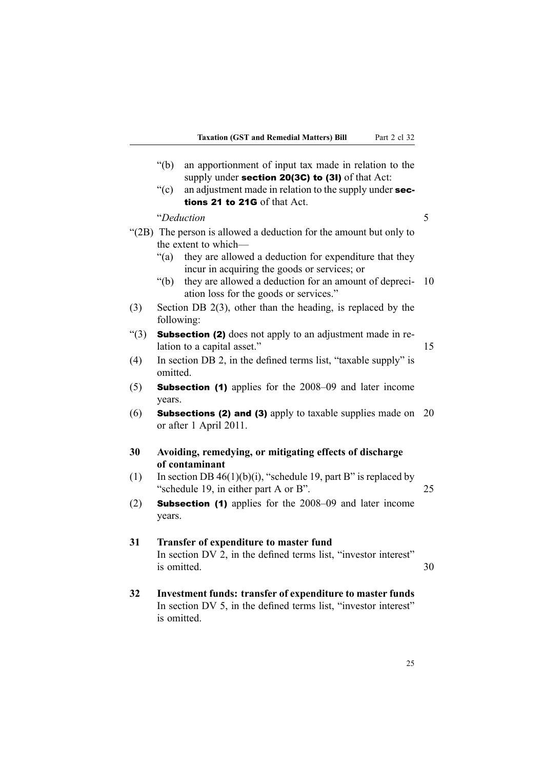|          | " $(b)$<br>an apportionment of input tax made in relation to the<br>supply under section 20(3C) to (3I) of that Act:                        |    |
|----------|---------------------------------------------------------------------------------------------------------------------------------------------|----|
|          | ``(c)<br>an adjustment made in relation to the supply under sec-<br>tions 21 to 21G of that Act.                                            |    |
|          | "Deduction                                                                                                                                  | 5  |
|          | "(2B) The person is allowed a deduction for the amount but only to<br>the extent to which-                                                  |    |
|          | they are allowed a deduction for expenditure that they<br>" $(a)$<br>incur in acquiring the goods or services; or                           |    |
|          | $\degree$ (b)<br>they are allowed a deduction for an amount of depreci-<br>ation loss for the goods or services."                           | 10 |
| (3)      | Section DB $2(3)$ , other than the heading, is replaced by the<br>following:                                                                |    |
| $\lq(3)$ | <b>Subsection (2)</b> does not apply to an adjustment made in re-<br>lation to a capital asset."                                            | 15 |
| (4)      | In section DB 2, in the defined terms list, "taxable supply" is<br>omitted.                                                                 |    |
| (5)      | <b>Subsection (1)</b> applies for the 2008–09 and later income<br>years.                                                                    |    |
| (6)      | <b>Subsections (2) and (3)</b> apply to taxable supplies made on<br>20<br>or after 1 April 2011.                                            |    |
| 30       | Avoiding, remedying, or mitigating effects of discharge<br>of contaminant                                                                   |    |
| (1)      | In section DB $46(1)(b)(i)$ , "schedule 19, part B" is replaced by<br>"schedule 19, in either part A or B".                                 | 25 |
| (2)      | <b>Subsection (1)</b> applies for the 2008–09 and later income<br>years.                                                                    |    |
| 31       | Transfer of expenditure to master fund<br>In section DV 2, in the defined terms list, "investor interest"<br>is omitted.<br>30              |    |
| 32       | Investment funds: transfer of expenditure to master funds<br>In section DV 5, in the defined terms list, "investor interest"<br>is omitted. |    |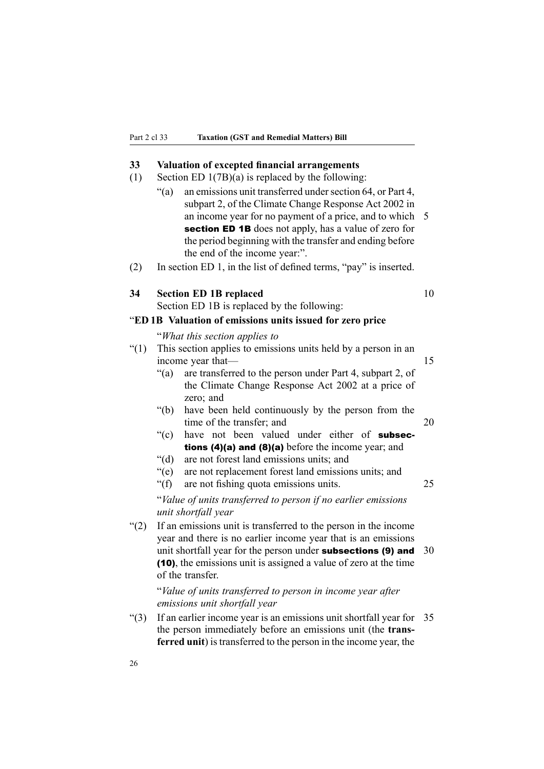## **33 Valuation of excepted financial arrangements**

- (1) Section ED 1(7B)(a) is replaced by the following:
	- $\degree$ (a) an emissions unit transferred under section 64, or Part 4, subpart 2, of the Climate Change Response Act 2002 in an income year for no paymen<sup>t</sup> of <sup>a</sup> price, and to which 5 section ED 1B does not apply, has a value of zero for the period beginning with the transfer and ending before the end of the income year:".
- (2) In section ED 1, in the list of defined terms, "pay" is inserted.

#### **34 Section ED 1B replaced** 10

Section ED 1B is replaced by the following:

"**ED 1B Valuation of emissions units issued for zero price**

"*What this section applies to*

- "(1) This section applies to emissions units held by <sup>a</sup> person in an income year that— 15
	- "(a) are transferred to the person under Part 4, subpart 2, of the Climate Change Response Act 2002 at <sup>a</sup> price of zero; and
	- "(b) have been held continuously by the person from the time of the transfer; and 20
	- "(c) have not been valued under either of subsections (4)(a) and (8)(a) before the income year; and
	- "(d) are not forest land emissions units; and
	- "(e) are not replacement forest land emissions units; and
	- "(f) are not fishing quota emissions units. 25

"*Value of units transferred to person if no earlier emissions unit shortfall year*

"(2) If an emissions unit is transferred to the person in the income year and there is no earlier income year that is an emissions unit shortfall year for the person under **subsections (9) and**  $30$ (10), the emissions unit is assigned <sup>a</sup> value of zero at the time of the transfer.

"*Value of units transferred to person in income year after emissions unit shortfall year*

"(3) If an earlier income year is an emissions unit shortfall year for 35 the person immediately before an emissions unit (the **transferred unit**) is transferred to the person in the income year, the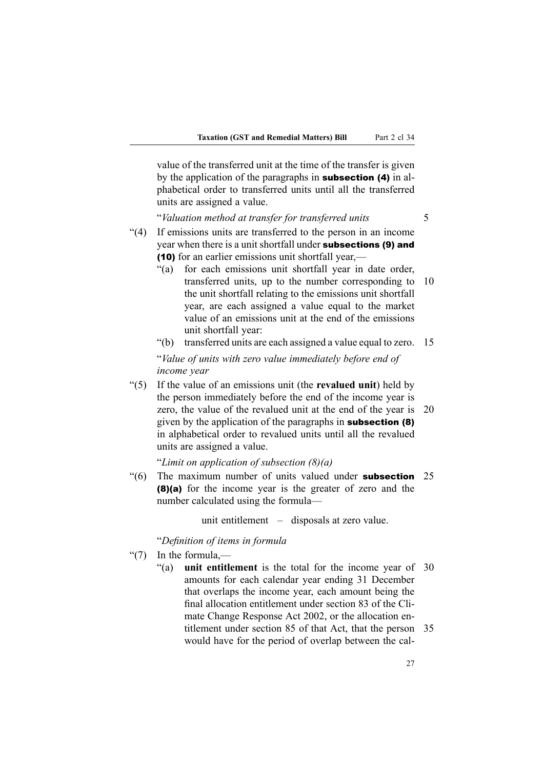value of the transferred unit at the time of the transfer is given by the application of the paragraphs in subsection (4) in alphabetical order to transferred units until all the transferred units are assigned <sup>a</sup> value.

"*Valuation method at transfer for transferred units* 5

- "(4) If emissions units are transferred to the person in an income year when there is a unit shortfall under subsections (9) and (10) for an earlier emissions unit shortfall year,—
	- "(a) for each emissions unit shortfall year in date order, transferred units, up to the number corresponding to 10 the unit shortfall relating to the emissions unit shortfall year, are each assigned <sup>a</sup> value equal to the market value of an emissions unit at the end of the emissions unit shortfall year:
	- "(b) transferred units are each assigned <sup>a</sup> value equal to zero. 15

"*Value of units with zero value immediately before end of income year*

"(5) If the value of an emissions unit (the **revalued unit**) held by the person immediately before the end of the income year is zero, the value of the revalued unit at the end of the year is 20 given by the application of the paragraphs in subsection (8) in alphabetical order to revalued units until all the revalued units are assigned <sup>a</sup> value.

"*Limit on application of subsection (8)(a)*

 $\degree$ (6) The maximum number of units valued under **subsection** 25 (8)(a) for the income year is the greater of zero and the number calculated using the formula—

unit entitlement – disposals at zero value.

"*Definition of items in formula*

- " $(7)$  In the formula
	- "(a) **unit entitlement** is the total for the income year of 30 amounts for each calendar year ending 31 December that overlaps the income year, each amount being the final allocation entitlement under section 83 of the Climate Change Response Act 2002, or the allocation entitlement under section 85 of that Act, that the person 35 would have for the period of overlap between the cal-

27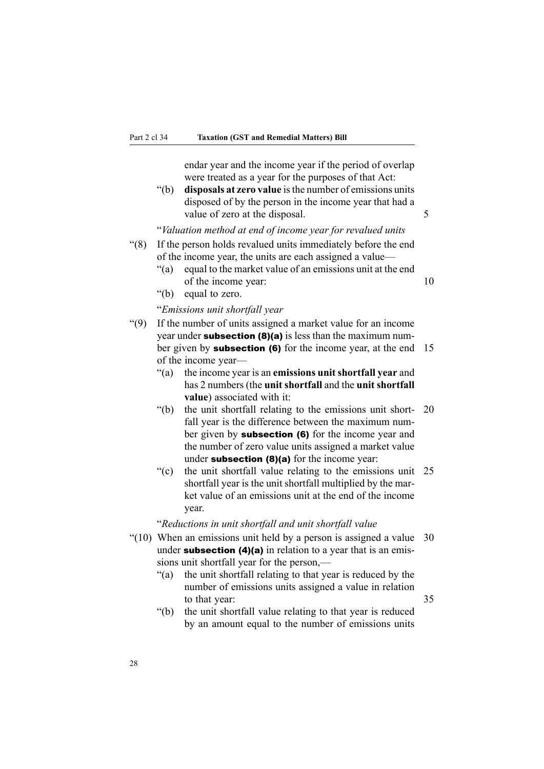endar year and the income year if the period of overlap were treated as <sup>a</sup> year for the purposes of that Act:

"(b) **disposals at zero value** isthe number of emissions units disposed of by the person in the income year that had <sup>a</sup> value of zero at the disposal. 5

"*Valuation method at end of income year for revalued units*

- "(8) If the person holds revalued units immediately before the end of the income year, the units are each assigned <sup>a</sup> value—
	- "(a) equal to the market value of an emissions unit at the end of the income year: 10
	- "(b) equal to zero.

#### "*Emissions unit shortfall year*

- "(9) If the number of units assigned <sup>a</sup> market value for an income year under **subsection (8)(a)** is less than the maximum number given by **subsection (6)** for the income year, at the end 15 of the income year—
	- "(a) the income year is an **emissions unit shortfall year** and has 2 numbers (the **unit shortfall** and the **unit shortfall value**) associated with it:
	- "(b) the unit shortfall relating to the emissions unit short- 20 fall year is the difference between the maximum number given by **subsection** (6) for the income year and the number of zero value units assigned <sup>a</sup> market value under subsection  $(8)(a)$  for the income year:
	- "(c) the unit shortfall value relating to the emissions unit 25 shortfall year is the unit shortfall multiplied by the market value of an emissions unit at the end of the income year.

"*Reductions in unit shortfall and unit shortfall value*

- "(10) When an emissions unit held by <sup>a</sup> person is assigned <sup>a</sup> value 30 under **subsection** (4)(a) in relation to a year that is an emissions unit shortfall year for the person,—
	- "(a) the unit shortfall relating to that year is reduced by the number of emissions units assigned <sup>a</sup> value in relation to that year:  $35$
	- "(b) the unit shortfall value relating to that year is reduced by an amount equal to the number of emissions units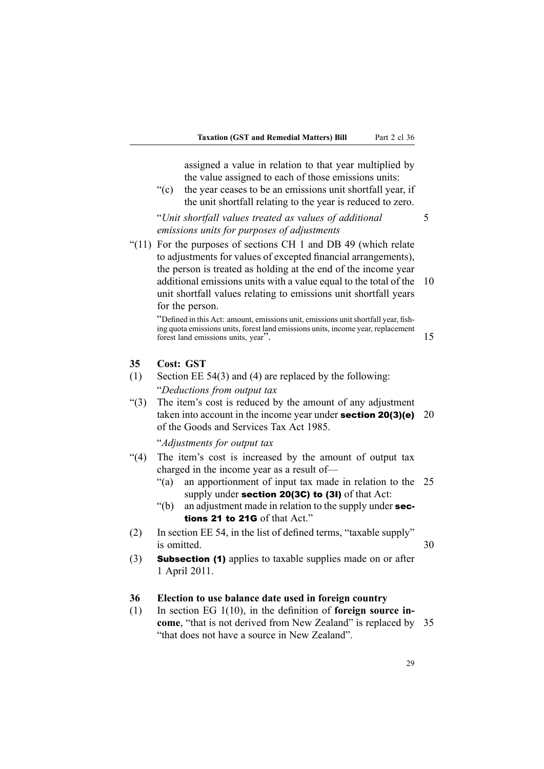assigned <sup>a</sup> value in relation to that year multiplied by the value assigned to each of those emissions units:

"(c) the year ceases to be an emissions unit shortfall year, if the unit shortfall relating to the year is reduced to zero.

"*Unit shortfall values treated as values of additional* 5 *emissions units for purposes of adjustments*

"(11) For the purposes of sections CH 1 and DB 49 (which relate to adjustments for values of excepted financial arrangements), the person is treated as holding at the end of the income year additional emissions units with <sup>a</sup> value equal to the total of the 10 unit shortfall values relating to emissions unit shortfall years for the person.

"Defined in this Act: amount, emissions unit, emissions unitshortfall year, fishing quota emissions units, forest land emissions units, income year, replacement forest land emissions units, year". 15

#### **35 Cost: GST**

- (1) Section EE 54(3) and (4) are replaced by the following: "*Deductions from output tax*
- "(3) The item's cost is reduced by the amount of any adjustment taken into account in the income year under **section 20(3)(e)** 20 of the Goods and Services Tax Act 1985.

#### "*Adjustments for output tax*

- "(4) The item's cost is increased by the amount of output tax charged in the income year as <sup>a</sup> result of—
	- "(a) an apportionment of input tax made in relation to the 25 supply under **section 20(3C) to (3I)** of that Act:
	- $"$ (b) an adjustment made in relation to the supply under sections 21 to 21G of that Act."
- (2) In section EE 54, in the list of defined terms, "taxable supply" is omitted. 30
- (3) Subsection (1) applies to taxable supplies made on or after 1 April 2011.

### **36 Election to use balance date used in foreign country**

(1) In section EG 1(10), in the definition of **foreign source income**, "that is not derived from New Zealand" is replaced by 35 "that does not have <sup>a</sup> source in New Zealand".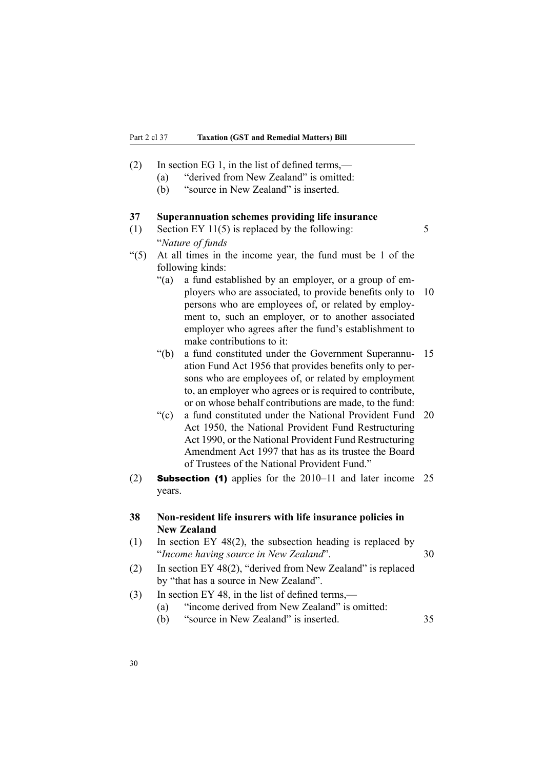- (2) In section EG 1, in the list of defined terms,—
	- (a) "derived from New Zealand" is omitted:
	- (b) "source in New Zealand" is inserted.

#### **37 Superannuation schemes providing life insurance**

- (1) Section EY 11(5) is replaced by the following:  $5 \times 5$ "*Nature of funds*
- "(5) At all times in the income year, the fund must be 1 of the following kinds:
	- "(a) <sup>a</sup> fund established by an employer, or <sup>a</sup> group of employers who are associated, to provide benefits only to 10 persons who are employees of, or related by employment to, such an employer, or to another associated employer who agrees after the fund's establishment to make contributions to it:
	- "(b) <sup>a</sup> fund constituted under the Government Superannu- 15 ation Fund Act 1956 that provides benefits only to persons who are employees of, or related by employment to, an employer who agrees or is required to contribute, or on whose behalf contributions are made, to the fund:
	- "(c) <sup>a</sup> fund constituted under the National Provident Fund 20 Act 1950, the National Provident Fund Restructuring Act 1990, or the National Provident Fund Restructuring Amendment Act 1997 that has as its trustee the Board of Trustees of the National Provident Fund."
- (2) Subsection (1) applies for the 2010–11 and later income 25 years.

# **38 Non-resident life insurers with life insurance policies in New Zealand**

- (1) In section EY 48(2), the subsection heading is replaced by "*Income having source in New Zealand*". 30
- (2) In section EY 48(2), "derived from New Zealand" is replaced by "that has <sup>a</sup> source in New Zealand".
- (3) In section EY 48, in the list of defined terms,—
	- (a) "income derived from New Zealand" is omitted:
	- (b) "source in New Zealand" is inserted. 35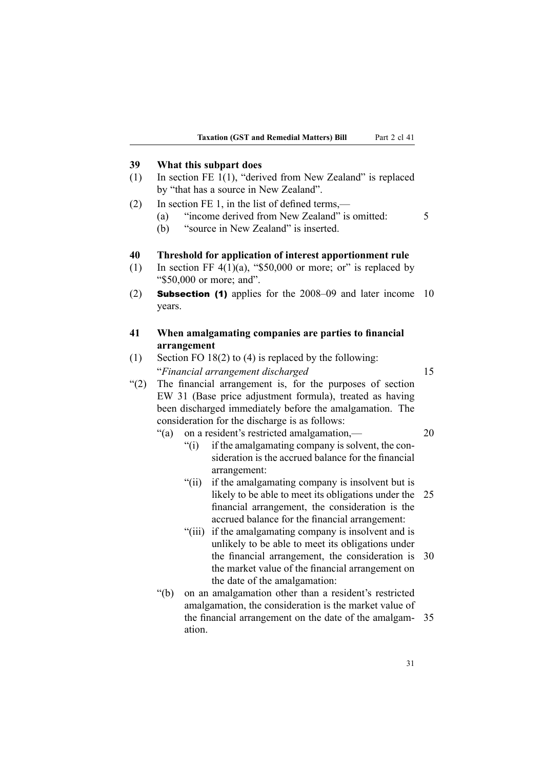# **39 What this subpart does**

- (1) In section FE 1(1), "derived from New Zealand" is replaced by "that has <sup>a</sup> source in New Zealand".
- (2) In section FE 1, in the list of defined terms,—
	- (a) "income derived from New Zealand" is omitted: 5
	- (b) "source in New Zealand" is inserted.

# **40 Threshold for application of interest apportionment rule**

- (1) In section FF  $4(1)(a)$ , "\$50,000 or more; or" is replaced by "\$50,000 or more; and".
- (2) Subsection (1) applies for the 2008–09 and later income 10 years.

# **41 When amalgamating companies are parties to financial arrangement**

- (1) Section FO 18(2) to (4) is replaced by the following: "*Financial arrangemen<sup>t</sup> discharged* 15
- "(2) The financial arrangemen<sup>t</sup> is, for the purposes of section EW 31 (Base price adjustment formula), treated as having been discharged immediately before the amalgamation. The consideration for the discharge is as follows:
	- "(a) on <sup>a</sup> resident's restricted amalgamation,— 20
		- "(i) if the amalgamating company is solvent, the consideration is the accrued balance for the financial arrangement:
		- "(ii) if the amalgamating company is insolvent but is likely to be able to meet its obligations under the 25 financial arrangement, the consideration is the accrued balance for the financial arrangement:
		- "(iii) if the amalgamating company is insolvent and is unlikely to be able to meet its obligations under the financial arrangement, the consideration is 30 the market value of the financial arrangemen<sup>t</sup> on the date of the amalgamation:
	- "(b) on an amalgamation other than <sup>a</sup> resident's restricted amalgamation, the consideration is the market value of the financial arrangemen<sup>t</sup> on the date of the amalgam- 35 ation.

31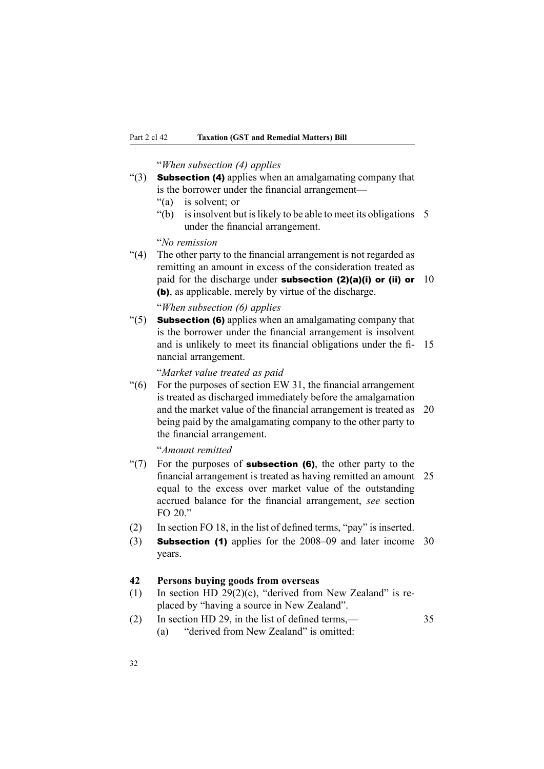"*When subsection (4) applies*

- " $(3)$  **Subsection (4)** applies when an amalgamating company that is the borrower under the financial arrangement—
	- "(a) is solvent; or
	- "(b) is insolvent but is likely to be able to meet its obligations  $5$ under the financial arrangement.

"*No remission*

"(4) The other party to the financial arrangemen<sup>t</sup> is not regarded as remitting an amount in excess of the consideration treated as paid for the discharge under **subsection (2)(a)(i) or (ii) or** 10 (b), as applicable, merely by virtue of the discharge.

# "*When subsection (6) applies*

" $(5)$  **Subsection (6)** applies when an amalgamating company that is the borrower under the financial arrangemen<sup>t</sup> is insolvent and is unlikely to meet its financial obligations under the fi- 15 nancial arrangement.

"*Market value treated as paid*

 $\degree$ (6) For the purposes of section EW 31, the financial arrangement is treated as discharged immediately before the amalgamation and the market value of the financial arrangemen<sup>t</sup> is treated as 20 being paid by the amalgamating company to the other party to the financial arrangement.

"*Amount remitted*

- "(7) For the purposes of **subsection (6)**, the other party to the financial arrangemen<sup>t</sup> is treated as having remitted an amount 25 equal to the excess over market value of the outstanding accrued balance for the financial arrangement, *see* section FO  $20$  "
- (2) In section FO 18, in the list of defined terms, "pay" is inserted.
- (3) Subsection (1) applies for the 2008–09 and later income 30 years.

## **42 Persons buying goods from overseas**

- (1) In section HD 29(2)(c), "derived from New Zealand" is replaced by "having <sup>a</sup> source in New Zealand".
- (2) In section HD 29, in the list of defined terms,— 35 (a) "derived from New Zealand" is omitted: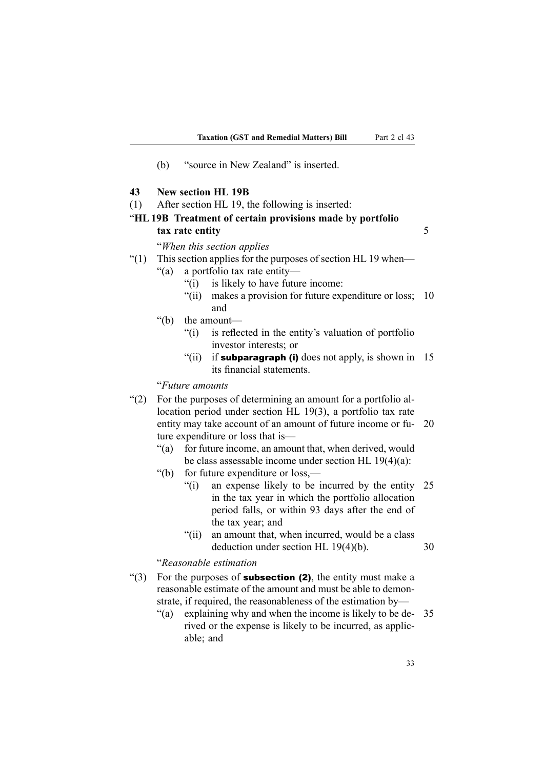- (b) "source in New Zealand" is inserted.
- **43 New section HL 19B**
- (1) After section HL 19, the following is inserted:

# "**HL19B Treatment of certain provisions made by portfolio tax rate entity** 5

## "*When this section applies*

"(1) This section applies for the purposes of section HL 19 when—

"(a) <sup>a</sup> portfolio tax rate entity—

- "(i) is likely to have future income:
- "(ii) makes <sup>a</sup> provision for future expenditure or loss; 10 and
- "(b) the amount—
	- "(i) is reflected in the entity's valuation of portfolio investor interests; or
	- "(ii) if subparagraph (i) does not apply, is shown in  $15$ its financial statements.

## "*Future amounts*

- "(2) For the purposes of determining an amount for <sup>a</sup> portfolio allocation period under section HL 19(3), <sup>a</sup> portfolio tax rate entity may take account of an amount of future income or fu- 20 ture expenditure or loss that is—
	- "(a) for future income, an amount that, when derived, would be class assessable income under section HL 19(4)(a):
	- "(b) for future expenditure or loss,—
		- "(i) an expense likely to be incurred by the entity 25 in the tax year in which the portfolio allocation period falls, or within 93 days after the end of the tax year; and
		- "(ii) an amount that, when incurred, would be <sup>a</sup> class deduction under section HL 19(4)(b). 30

#### "*Reasonable estimation*

- "(3) For the purposes of **subsection (2)**, the entity must make a reasonable estimate of the amount and must be able to demonstrate, if required, the reasonableness of the estimation by—
	- "(a) explaining why and when the income is likely to be de- 35 rived or the expense is likely to be incurred, as applicable; and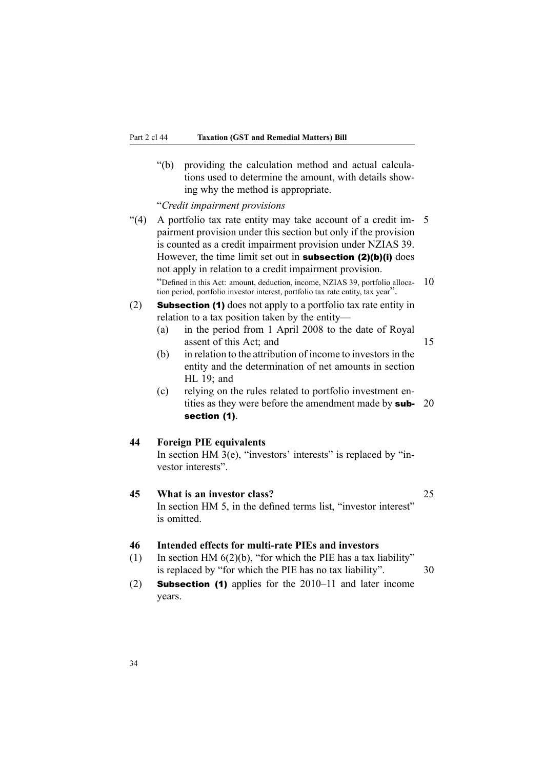"(b) providing the calculation method and actual calculations used to determine the amount, with details showing why the method is appropriate.

"*Credit impairment provisions*

- "(4) A portfolio tax rate entity may take account of <sup>a</sup> credit im- 5 pairment provision under this section but only if the provision is counted as <sup>a</sup> credit impairment provision under NZIAS 39. However, the time limit set out in **subsection (2)(b)(i)** does not apply in relation to <sup>a</sup> credit impairment provision. "Defined in this Act: amount, deduction, income, NZIAS 39, portfolio alloca- 10 tion period, portfolio investor interest, portfolio tax rate entity, tax year".
- (2) Subsection (1) does not apply to <sup>a</sup> portfolio tax rate entity in relation to <sup>a</sup> tax position taken by the entity—
	- (a) in the period from 1 April 2008 to the date of Royal assent of this Act; and 15
	- $(b)$  in relation to the attribution of income to investors in the entity and the determination of net amounts in section HL 19; and
	- (c) relying on the rules related to portfolio investment entities as they were before the amendment made by **sub-** 20 section (1).

### **44 Foreign PIE equivalents**

In section HM  $3(e)$ , "investors' interests" is replaced by "investor interests".

# **45 What is an investor class?** 25

In section HM 5, in the defined terms list, "investor interest" is omitted.

# **46 Intended effects for multi-rate PIEs and investors**

- (1) In section HM  $6(2)(b)$ , "for which the PIE has a tax liability" is replaced by "for which the PIE has no tax liability". 30
- (2) Subsection (1) applies for the 2010–11 and later income years.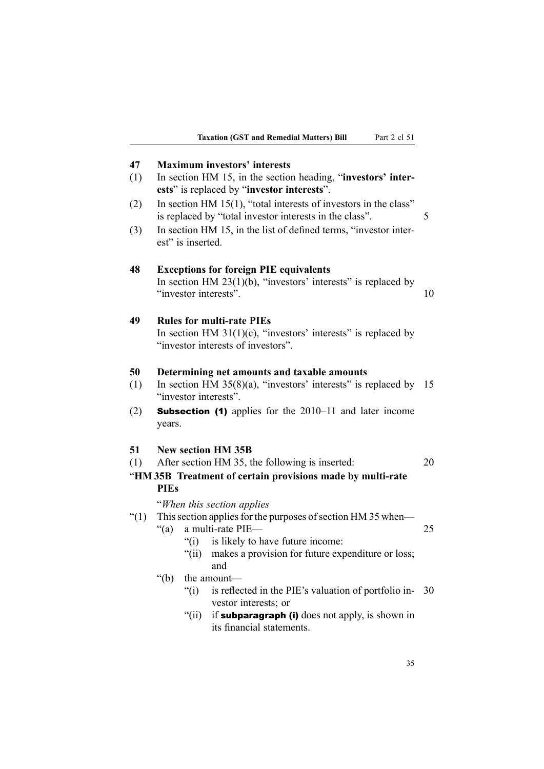| 47       | <b>Maximum investors' interests</b>                                                                                                        |    |  |  |
|----------|--------------------------------------------------------------------------------------------------------------------------------------------|----|--|--|
| (1)      | In section HM 15, in the section heading, "investors' inter-                                                                               |    |  |  |
|          | ests" is replaced by "investor interests".                                                                                                 |    |  |  |
| (2)      | In section HM $15(1)$ , "total interests of investors in the class"<br>5<br>is replaced by "total investor interests in the class".        |    |  |  |
| (3)      | In section HM 15, in the list of defined terms, "investor inter-<br>est" is inserted.                                                      |    |  |  |
| 48       | <b>Exceptions for foreign PIE equivalents</b><br>In section HM $23(1)(b)$ , "investors' interests" is replaced by<br>"investor interests". | 10 |  |  |
| 49       | <b>Rules for multi-rate PIEs</b>                                                                                                           |    |  |  |
|          | In section HM $31(1)(c)$ , "investors' interests" is replaced by<br>"investor interests of investors".                                     |    |  |  |
| 50       | Determining net amounts and taxable amounts                                                                                                |    |  |  |
| (1)      | In section HM $35(8)(a)$ , "investors' interests" is replaced by 15                                                                        |    |  |  |
|          | "investor interests".                                                                                                                      |    |  |  |
| (2)      | <b>Subsection (1)</b> applies for the 2010–11 and later income<br>years.                                                                   |    |  |  |
| 51       | <b>New section HM 35B</b>                                                                                                                  |    |  |  |
| (1)      | After section HM 35, the following is inserted:                                                                                            | 20 |  |  |
|          | "HM35B Treatment of certain provisions made by multi-rate                                                                                  |    |  |  |
|          | <b>PIEs</b>                                                                                                                                |    |  |  |
|          | "When this section applies"                                                                                                                |    |  |  |
| $\lq(1)$ | This section applies for the purposes of section HM 35 when—                                                                               |    |  |  |
|          | " $(a)$<br>a multi-rate PIE-                                                                                                               | 25 |  |  |
|          | is likely to have future income:<br>$\degree$ (i)                                                                                          |    |  |  |
|          | makes a provision for future expenditure or loss;<br>" $(ii)$<br>and                                                                       |    |  |  |
|          | " $(b)$<br>the amount—                                                                                                                     |    |  |  |
|          | $\degree$ (i)<br>is reflected in the PIE's valuation of portfolio in-                                                                      | 30 |  |  |
|          | vestor interests; or                                                                                                                       |    |  |  |
|          | " $(ii)$<br>if subparagraph (i) does not apply, is shown in<br>its financial statements.                                                   |    |  |  |
|          |                                                                                                                                            |    |  |  |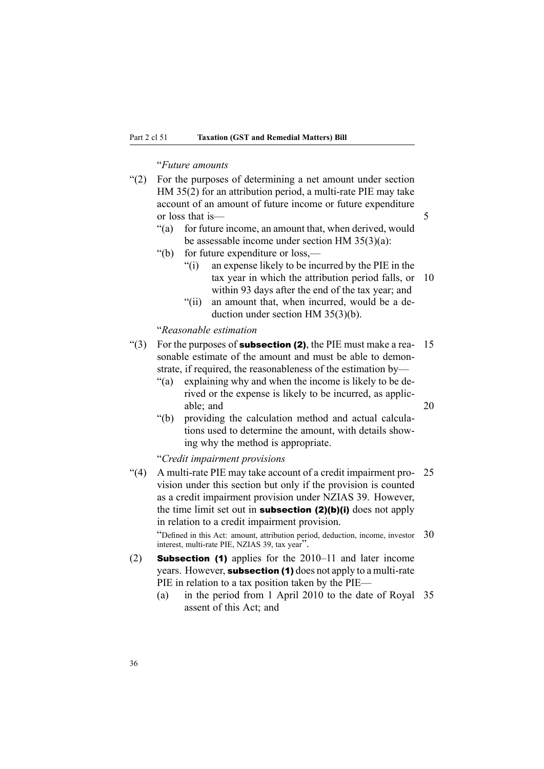#### "*Future amounts*

| $(2)$ For the purposes of determining a net amount under section |  |
|------------------------------------------------------------------|--|
| HM 35(2) for an attribution period, a multi-rate PIE may take    |  |
| account of an amount of future income or future expenditure      |  |
| or loss that is                                                  |  |

- "(a) for future income, an amount that, when derived, would be assessable income under section HM 35(3)(a):
- "(b) for future expenditure or loss,—
	- "(i) an expense likely to be incurred by the PIE in the tax year in which the attribution period falls, or 10 within 93 days after the end of the tax year; and
	- "(ii) an amount that, when incurred, would be <sup>a</sup> deduction under section HM 35(3)(b).

## "*Reasonable estimation*

- "(3) For the purposes of **subsection (2)**, the PIE must make a rea-  $15$ sonable estimate of the amount and must be able to demonstrate, if required, the reasonableness of the estimation by—
	- "(a) explaining why and when the income is likely to be derived or the expense is likely to be incurred, as applicable; and 20
	- "(b) providing the calculation method and actual calculations used to determine the amount, with details showing why the method is appropriate.

"*Credit impairment provisions*

"(4) A multi-rate PIE may take account of <sup>a</sup> credit impairment pro- 25 vision under this section but only if the provision is counted as <sup>a</sup> credit impairment provision under NZIAS 39. However, the time limit set out in **subsection (2)(b)(i)** does not apply in relation to <sup>a</sup> credit impairment provision.

"Defined in this Act: amount, attribution period, deduction, income, investor 30 interest, multi-rate PIE, NZIAS 39, tax year".

- (2) Subsection (1) applies for the 2010–11 and later income years. However, **subsection (1)** does not apply to a multi-rate PIE in relation to <sup>a</sup> tax position taken by the PIE—
	- (a) in the period from 1 April 2010 to the date of Royal 35 assent of this Act; and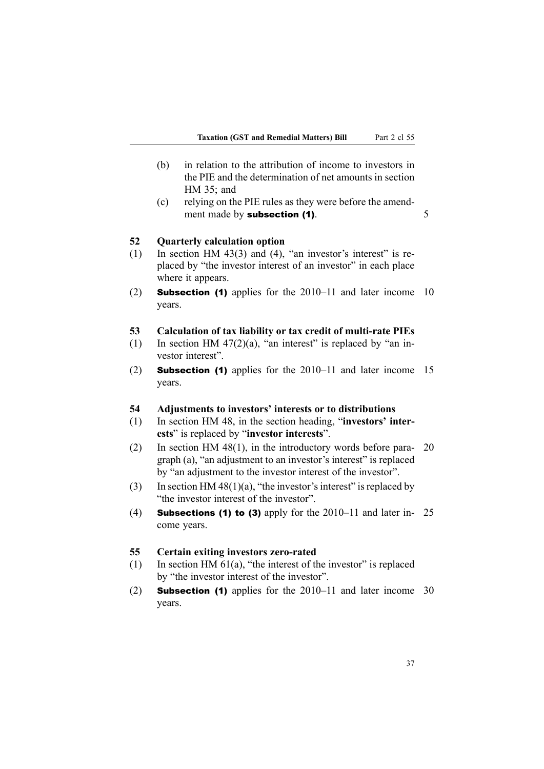- (b) in relation to the attribution of income to investors in the PIE and the determination of net amounts in section HM 35; and
- (c) relying on the PIE rules as they were before the amendment made by **subsection (1)**. 5

#### **52 Quarterly calculation option**

- (1) In section HM 43(3) and (4), "an investor's interest" is replaced by "the investor interest of an investor" in each place where it appears.
- (2) Subsection (1) applies for the 2010–11 and later income 10 years.

#### **53 Calculation of tax liability or tax credit of multi-rate PIEs**

- (1) In section HM 47(2)(a), "an interest" is replaced by "an investor interest".
- (2) Subsection (1) applies for the 2010–11 and later income 15 years.

## **54 Adjustments to investors' interests or to distributions**

- (1) In section HM 48, in the section heading, "**investors' interests**" is replaced by "**investor interests**".
- (2) In section HM 48(1), in the introductory words before para- 20 graph (a), "an adjustment to an investor's interest" is replaced by "an adjustment to the investor interest of the investor".
- (3) In section HM 48(1)(a), "the investor's interest" is replaced by "the investor interest of the investor".
- (4) **Subsections (1) to (3)** apply for the  $2010-11$  and later in- 25 come years.

#### **55 Certain exiting investors zero-rated**

- (1) In section HM  $61(a)$ , "the interest of the investor" is replaced by "the investor interest of the investor".
- (2) Subsection (1) applies for the 2010–11 and later income 30 years.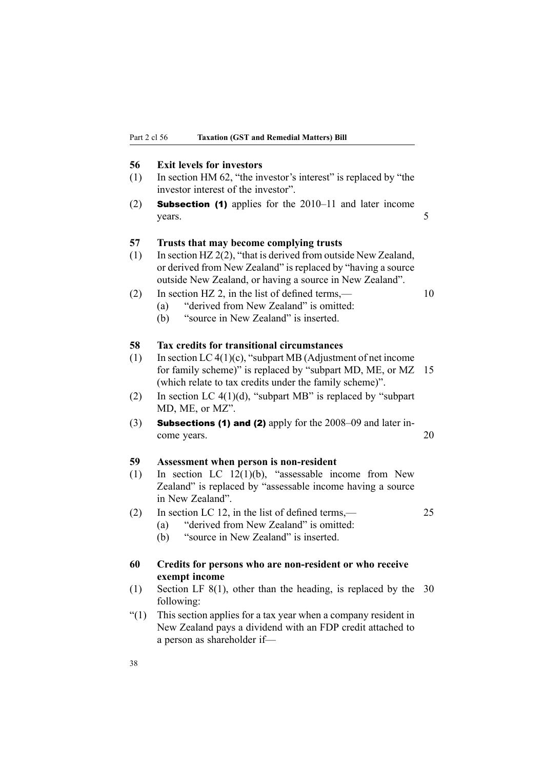#### **56 Exit levels for investors**

- (1) In section HM 62, "the investor's interest" is replaced by "the investor interest of the investor".
- (2) Subsection (1) applies for the 2010–11 and later income years. 5

#### **57 Trusts that may become complying trusts**

- (1) In section HZ 2(2), "that is derived from outside New Zealand, or derived from New Zealand" is replaced by "having <sup>a</sup> source outside New Zealand, or having <sup>a</sup> source in New Zealand".
- (2) In section HZ 2, in the list of defined terms,  $\frac{10}{2}$ 
	- (a) "derived from New Zealand" is omitted: (b) "source in New Zealand" is inserted.
	-

# **58 Tax credits for transitional circumstances**

- (1) In section LC  $4(1)(c)$ , "subpart MB (Adjustment of net income for family scheme)" is replaced by "subpart MD, ME, or MZ 15 (which relate to tax credits under the family scheme)".
- (2) In section LC  $4(1)(d)$ , "subpart MB" is replaced by "subpart" MD, ME, or MZ".
- (3) Subsections (1) and (2) apply for the 2008–09 and later income years. 20

#### **59 Assessment when person is non-resident**

- (1) In section LC 12(1)(b), "assessable income from New Zealand" is replaced by "assessable income having <sup>a</sup> source in New Zealand".
- (2) In section LC 12, in the list of defined terms,— 25
	- (a) "derived from New Zealand" is omitted:
	- (b) "source in New Zealand" is inserted.

# **60 Credits for persons who are non-resident or who receive exempt income**

- (1) Section LF 8(1), other than the heading, is replaced by the 30 following:
- "(1) This section applies for <sup>a</sup> tax year when <sup>a</sup> company resident in New Zealand pays <sup>a</sup> dividend with an FDP credit attached to <sup>a</sup> person as shareholder if—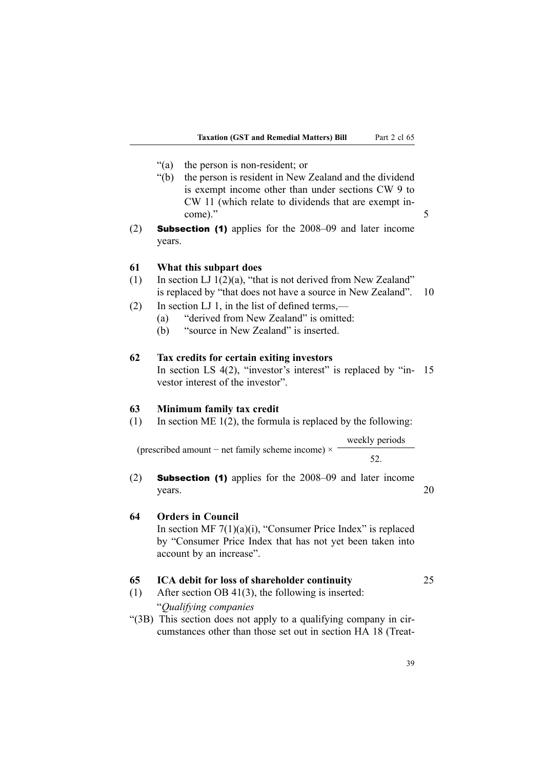- "(a) the person is non-resident; or
- "(b) the person is resident in New Zealand and the dividend is exemp<sup>t</sup> income other than under sections CW 9 to CW 11 (which relate to dividends that are exemp<sup>t</sup> income)."
- (2) Subsection (1) applies for the 2008–09 and later income years.

### **61 What this subpart does**

- (1) In section LJ  $1(2)(a)$ , "that is not derived from New Zealand" is replaced by "that does not have <sup>a</sup> source in New Zealand". 10
- (2) In section LJ 1, in the list of defined terms,—
	- (a) "derived from New Zealand" is omitted:
	- (b) "source in New Zealand" is inserted.

## **62 Tax credits for certain exiting investors**

(prescribed amount <sup>−</sup> net family scheme income) <sup>×</sup>

In section LS 4(2), "investor's interest" is replaced by "in- 15 vestor interest of the investor".

#### **63 Minimum family tax credit**

(1) In section ME 1(2), the formula is replaced by the following:

weekly periods

52.

(2) Subsection (1) applies for the 2008–09 and later income  $years.$  20

# **64 Orders in Council**

In section MF  $7(1)(a)(i)$ , "Consumer Price Index" is replaced by "Consumer Price Index that has not ye<sup>t</sup> been taken into account by an increase".

#### **65 ICA debit for loss of shareholder continuity** 25

- (1) After section OB 41(3), the following is inserted: "*Qualifying companies*
- "(3B) This section does not apply to <sup>a</sup> qualifying company in circumstances other than those set out in section HA 18 (Treat-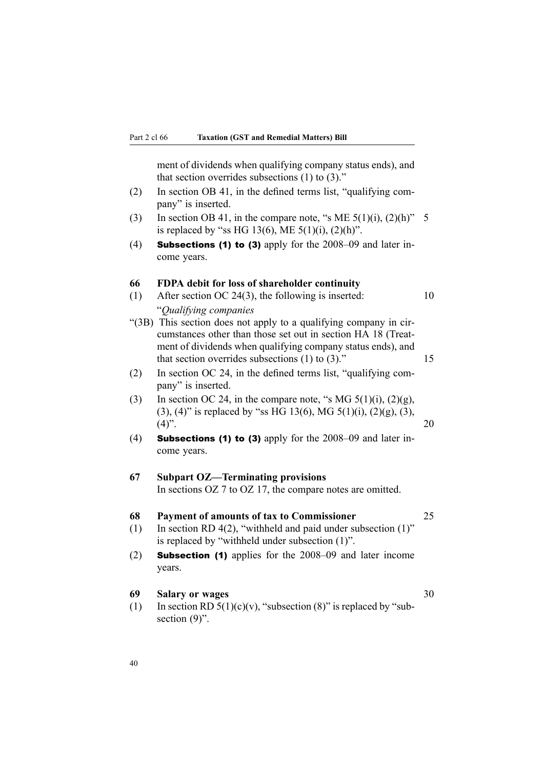ment of dividends when qualifying company status ends), and that section overrides subsections  $(1)$  to  $(3)$ ."

- (2) In section OB 41, in the defined terms list, "qualifying company" is inserted.
- (3) In section OB 41, in the compare note, "s ME  $5(1)(i)$ ,  $(2)(h)$ " 5 is replaced by "ss HG 13(6), ME  $5(1)(i)$ ,  $(2)(h)$ ".
- (4) **Subsections (1) to (3)** apply for the  $2008-09$  and later income years.

#### **66 FDPA debit for loss of shareholder continuity**

- (1) After section OC 24(3), the following is inserted:  $10$ "*Qualifying companies*
- "(3B) This section does not apply to <sup>a</sup> qualifying company in circumstances other than those set out in section HA 18 (Treatment of dividends when qualifying company status ends), and that section overrides subsections (1) to (3)." 15
- (2) In section OC 24, in the defined terms list, "qualifying company" is inserted.
- (3) In section OC 24, in the compare note, "s MG  $5(1)(i)$ ,  $(2)(g)$ , (3), (4)" is replaced by "ss HG 13(6), MG 5(1)(i), (2)(g), (3),  $(4)$ ". 20
- (4) Subsections (1) to (3) apply for the  $2008-09$  and later income years.

# **67 Subpart OZ—Terminating provisions** In sections OZ 7 to OZ 17, the compare notes are omitted.

#### **68 Payment of amounts of tax to Commissioner** 25

- (1) In section RD 4(2), "withheld and paid under subsection (1)" is replaced by "withheld under subsection (1)".
- (2) Subsection (1) applies for the 2008–09 and later income years.

# **69 Salary or wages** 30

- (1) In section RD  $5(1)(c)(v)$ , "subsection (8)" is replaced by "subsection  $(9)$ ".
- 

40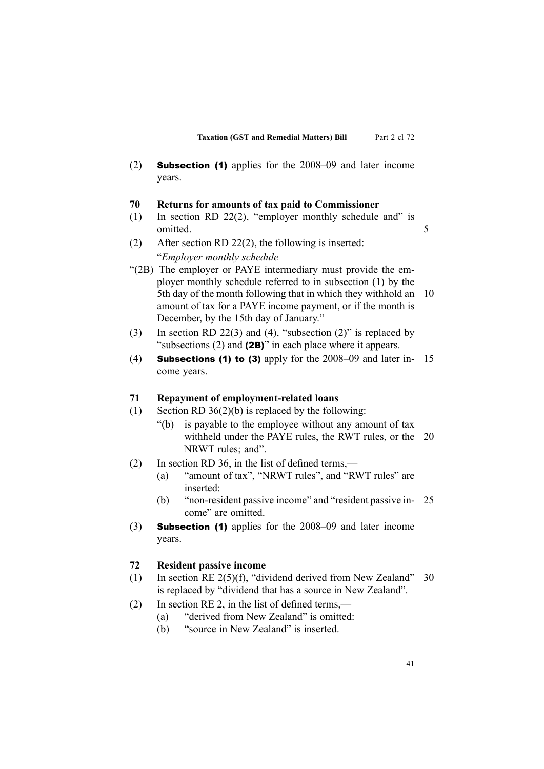(2) Subsection (1) applies for the 2008–09 and later income years.

#### **70 Returns for amounts of tax paid to Commissioner**

- (1) In section RD 22(2), "employer monthly schedule and" is omitted. 5
- (2) After section RD 22(2), the following is inserted: "*Employer monthly schedule*
- "(2B) The employer or PAYE intermediary must provide the employer monthly schedule referred to in subsection (1) by the 5th day of the month following that in which they withhold an 10 amount of tax for <sup>a</sup> PAYE income payment, or if the month is December, by the 15th day of January."
- (3) In section RD 22(3) and (4), "subsection (2)" is replaced by "subsections (2) and (2B)" in each place where it appears.
- (4) **Subsections (1) to (3)** apply for the  $2008-09$  and later in- 15 come years.

#### **71 Repayment of employment-related loans**

- (1) Section RD  $36(2)(b)$  is replaced by the following:
	- "(b) is payable to the employee without any amount of tax withheld under the PAYE rules, the RWT rules, or the 20 NRWT rules: and".
- (2) In section RD 36, in the list of defined terms,—
	- (a) "amount of tax", "NRWT rules", and "RWT rules" are inserted:
	- (b) "non-resident passive income" and "resident passive in- 25 come" are omitted.
- (3) Subsection (1) applies for the 2008–09 and later income years.

#### **72 Resident passive income**

- (1) In section RE  $2(5)(f)$ , "dividend derived from New Zealand" 30 is replaced by "dividend that has <sup>a</sup> source in New Zealand".
- (2) In section RE 2, in the list of defined terms,—
	- (a) "derived from New Zealand" is omitted:
	- (b) "source in New Zealand" is inserted.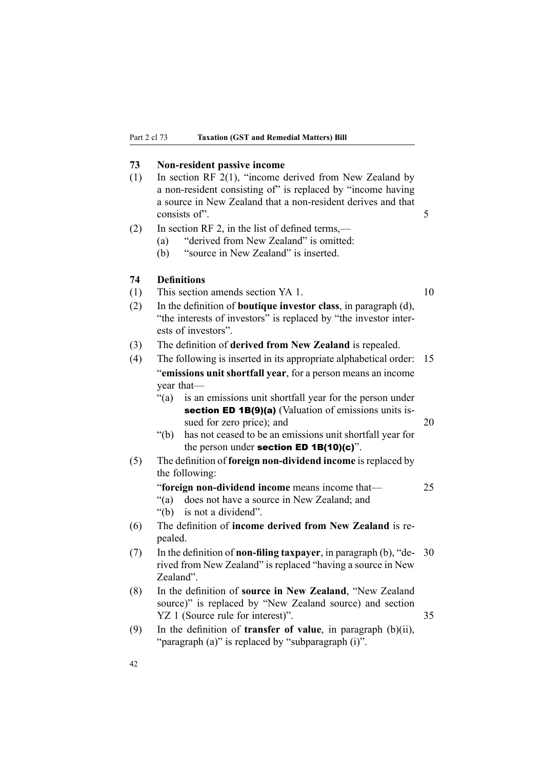#### **73 Non-resident passive income**

- (1) In section RF 2(1), "income derived from New Zealand by <sup>a</sup> non-resident consisting of" is replaced by "income having <sup>a</sup> source in New Zealand that <sup>a</sup> non-resident derives and that consists of". 5
- (2) In section RF 2, in the list of defined terms,—
	- (a) "derived from New Zealand" is omitted:
	- (b) "source in New Zealand" is inserted.

#### **74 Definitions**

(1) This section amends section YA 1. 10

- (2) In the definition of **boutique investor class**, in paragraph (d), "the interests of investors" is replaced by "the investor interests of investors".
- (3) The definition of **derived from New Zealand** is repealed.
- (4) The following is inserted in its appropriate alphabetical order: 15 "**emissions unit shortfall year**, for <sup>a</sup> person means an income year that—
	- "(a) is an emissions unit shortfall year for the person under section ED 1B(9)(a) (Valuation of emissions units issued for zero price); and 20
	- "(b) has not ceased to be an emissions unit shortfall year for the person under section ED  $1B(10)(c)$ ".
- (5) The definition of **foreign non-dividend income** is replaced by the following:

"**foreign non-dividend income** means income that— 25

- "(a) does not have <sup>a</sup> source in New Zealand; and
- "(b) is not <sup>a</sup> dividend".
- (6) The definition of **income derived from New Zealand** is repealed.
- (7) In the definition of **non-filing taxpayer**, in paragraph (b), "de- 30 rived from New Zealand" is replaced "having <sup>a</sup> source in New Zealand".
- (8) In the definition of **source in New Zealand**, "New Zealand source)" is replaced by "New Zealand source) and section YZ 1 (Source rule for interest)". 35
- (9) In the definition of **transfer of value**, in paragraph (b)(ii), "paragraph (a)" is replaced by "subparagraph (i)".
- 42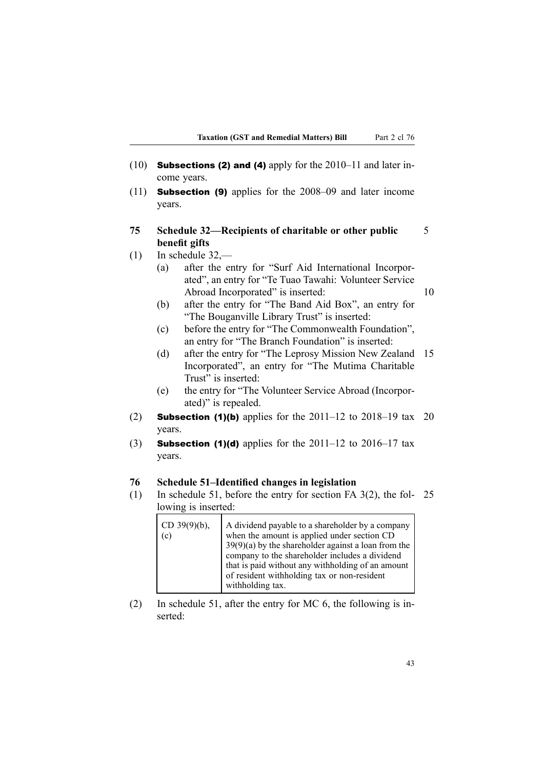- (10) Subsections (2) and (4) apply for the 2010–11 and later income years.
- (11) Subsection (9) applies for the 2008–09 and later income years.
- **75 Schedule 32—Recipients of charitable or other public** 5 **benefit gifts**
- (1) In schedule 32,—
	- (a) after the entry for "Surf Aid International Incorporated", an entry for "Te Tuao Tawahi: Volunteer Service Abroad Incorporated" is inserted: 10
	- (b) after the entry for "The Band Aid Box", an entry for "The Bouganville Library Trust" is inserted:
	- (c) before the entry for "The Commonwealth Foundation", an entry for "The Branch Foundation" is inserted:
	- (d) after the entry for "The Leprosy Mission New Zealand 15 Incorporated", an entry for "The Mutima Charitable Trust" is inserted:
	- (e) the entry for "The Volunteer Service Abroad (Incorporated)" is repealed.
- (2) **Subsection (1)(b)** applies for the  $2011-12$  to  $2018-19$  tax 20 years.
- (3) **Subsection (1)(d)** applies for the  $2011-12$  to  $2016-17$  tax years.

#### **76 Schedule 51–Identified changes in legislation**

(1) In schedule 51, before the entry for section FA 3(2), the fol- 25 lowing is inserted:

| CD $39(9)(b)$ ,<br>(c) | A dividend payable to a shareholder by a company<br>when the amount is applied under section CD                                                              |
|------------------------|--------------------------------------------------------------------------------------------------------------------------------------------------------------|
|                        | $39(9)(a)$ by the shareholder against a loan from the<br>company to the shareholder includes a dividend<br>that is paid without any withholding of an amount |
|                        | of resident withholding tax or non-resident<br>withholding tax.                                                                                              |

(2) In schedule 51, after the entry for MC 6, the following is inserted: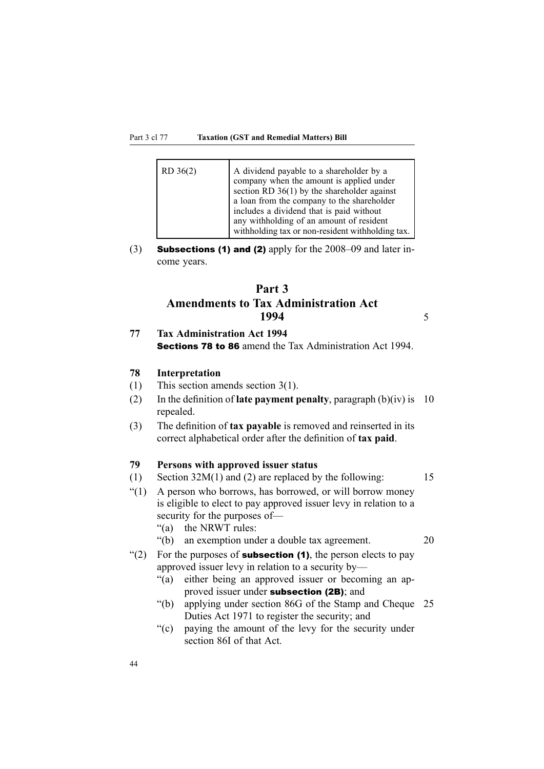#### Part 3 cl 77 **Taxation (GST and Remedial Matters) Bill**

| $RD$ 36(2) | A dividend payable to a shareholder by a<br>company when the amount is applied under<br>section RD $36(1)$ by the shareholder against<br>a loan from the company to the shareholder<br>includes a dividend that is paid without<br>any withholding of an amount of resident<br>withholding tax or non-resident withholding tax. |
|------------|---------------------------------------------------------------------------------------------------------------------------------------------------------------------------------------------------------------------------------------------------------------------------------------------------------------------------------|
|------------|---------------------------------------------------------------------------------------------------------------------------------------------------------------------------------------------------------------------------------------------------------------------------------------------------------------------------------|

(3) Subsections (1) and (2) apply for the 2008–09 and later income years.

# **Part 3 Amendments to Tax Administration Act 1994** 5

# **77 Tax Administration Act 1994** Sections 78 to 86 amend the Tax Administration Act 1994.

#### **78 Interpretation**

- (1) This section amends section 3(1).
- (2) In the definition of **late paymen<sup>t</sup> penalty**, paragraph (b)(iv) is 10 repealed.
- (3) The definition of **tax payable** is removed and reinserted in its correct alphabetical order after the definition of **tax paid**.

# **79 Persons with approved issuer status**

- (1) Section 32M(1) and (2) are replaced by the following: 15
- "(1) A person who borrows, has borrowed, or will borrow money is eligible to elect to pay approved issuer levy in relation to <sup>a</sup> security for the purposes of—
	- "(a) the NRWT rules:
	- "(b) an exemption under <sup>a</sup> double tax agreement. 20
- "(2) For the purposes of **subsection (1)**, the person elects to pay approved issuer levy in relation to <sup>a</sup> security by—
	- "(a) either being an approved issuer or becoming an approved issuer under subsection (2B); and
	- "(b) applying under section 86G of the Stamp and Cheque 25 Duties Act 1971 to register the security; and
	- "(c) paying the amount of the levy for the security under section 86I of that Act.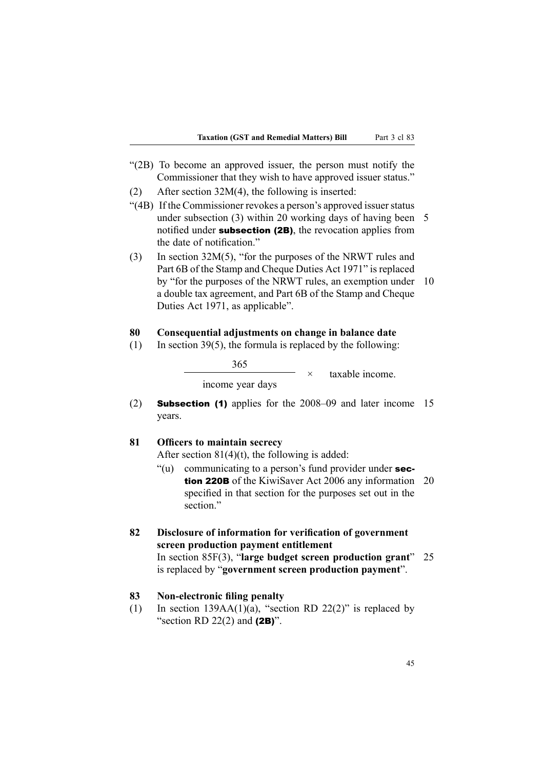- "(2B) To become an approved issuer, the person must notify the Commissioner that they wish to have approved issuer status."
- (2) After section 32M(4), the following is inserted:
- "(4B) If the Commissioner revokes a person's approved issuer status under subsection (3) within 20 working days of having been 5 notified under **subsection (2B)**, the revocation applies from the date of notification."
- (3) In section 32M(5), "for the purposes of the NRWT rules and Part 6B of the Stamp and Cheque Duties Act 1971" is replaced by "for the purposes of the NRWT rules, an exemption under 10 <sup>a</sup> double tax agreement, and Part 6B of the Stamp and Cheque Duties Act 1971, as applicable".

### **80 Consequential adjustments on change in balance date**

(1) In section 39(5), the formula is replaced by the following:

365

×taxable income.

income year days

(2) Subsection (1) applies for the 2008–09 and later income 15 years.

#### **81 Officers to maintain secrecy**

After section  $81(4)(t)$ , the following is added:

- "(u) communicating to a person's fund provider under  $sec$ tion 220B of the KiwiSaver Act 2006 any information 20 specified in that section for the purposes set out in the section"
- **82 Disclosure of information for verification of government screen production payment entitlement**

#### **83 Non-electronic filing penalty**

(1) In section 139AA(1)(a), "section RD 22(2)" is replaced by "section RD 22(2) and  $(2B)$ ".

In section 85F(3), "**large budget screen production grant**" 25 is replaced by "**governmen<sup>t</sup> screen production payment**".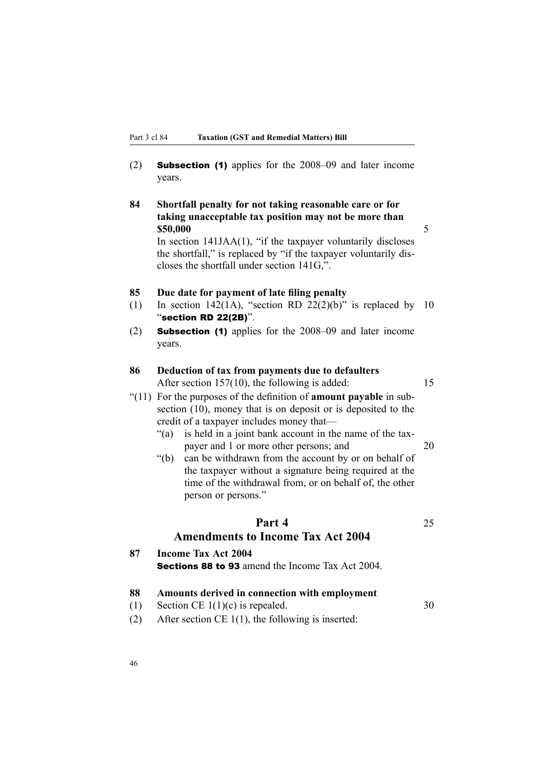(2) Subsection (1) applies for the 2008–09 and later income years.

**84 Shortfall penalty for not taking reasonable care or for taking unacceptable tax position may not be more than \$50,000** 5

In section  $141JAA(1)$ , "if the taxpayer voluntarily discloses the shortfall," is replaced by "if the taxpayer voluntarily discloses the shortfall under section 141G,".

#### **85 Due date for payment of late filing penalty**

- (1) In section 142(1A), "section RD 22(2)(b)" is replaced by 10 "section RD 22(2B)".
- (2) Subsection (1) applies for the 2008–09 and later income years.

## **86 Deduction of tax from payments due to defaulters** After section 157(10), the following is added: 15

"(11) For the purposes of the definition of **amount payable** in subsection (10), money that is on deposit or is deposited to the credit of <sup>a</sup> taxpayer includes money that—

- "(a) is held in <sup>a</sup> joint bank account in the name of the taxpayer and 1 or more other persons; and 20
- "(b) can be withdrawn from the account by or on behalf of the taxpayer without <sup>a</sup> signature being required at the time of the withdrawal from, or on behalf of, the other person or persons."

# **Part 4** 25

# **Amendments to Income Tax Act 2004**

**87 Income Tax Act 2004** Sections 88 to 93 amend the Income Tax Act 2004.

# **88 Amounts derived in connection with employment**

- (1) Section CE  $1(1)(c)$  is repealed. 30
- (2) After section CE 1(1), the following is inserted: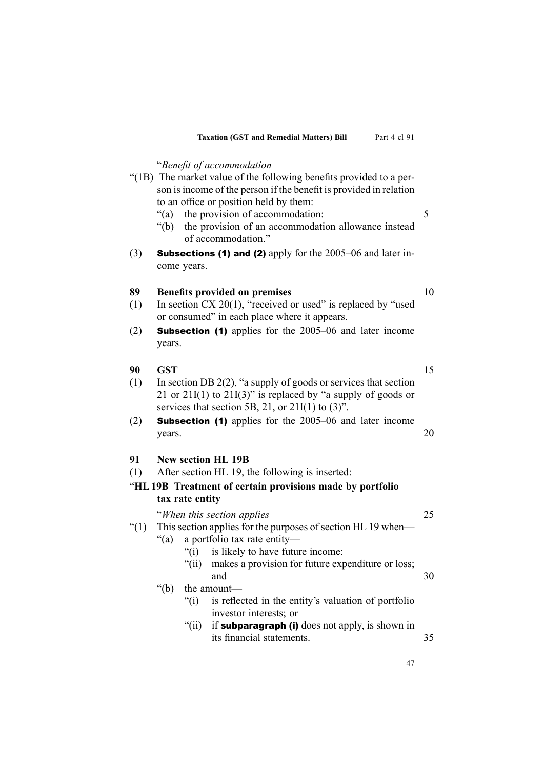|         | "Benefit of accommodation                                            |    |  |  |  |
|---------|----------------------------------------------------------------------|----|--|--|--|
|         | "(1B) The market value of the following benefits provided to a per-  |    |  |  |  |
|         | son is income of the person if the benefit is provided in relation   |    |  |  |  |
|         | to an office or position held by them:                               |    |  |  |  |
|         | the provision of accommodation:<br>" $(a)$ "                         | 5  |  |  |  |
|         | the provision of an accommodation allowance instead<br>" $(b)$       |    |  |  |  |
|         | of accommodation."                                                   |    |  |  |  |
| (3)     | <b>Subsections (1) and (2)</b> apply for the $2005-06$ and later in- |    |  |  |  |
|         | come years.                                                          |    |  |  |  |
|         |                                                                      |    |  |  |  |
| 89      | <b>Benefits provided on premises</b>                                 | 10 |  |  |  |
| (1)     | In section $CX 20(1)$ , "received or used" is replaced by "used"     |    |  |  |  |
|         | or consumed" in each place where it appears.                         |    |  |  |  |
| (2)     | <b>Subsection (1)</b> applies for the 2005–06 and later income       |    |  |  |  |
|         | years.                                                               |    |  |  |  |
|         |                                                                      |    |  |  |  |
| 90      | <b>GST</b>                                                           | 15 |  |  |  |
| (1)     | In section DB $2(2)$ , "a supply of goods or services that section   |    |  |  |  |
|         | 21 or 21I(1) to 21I(3)" is replaced by "a supply of goods or         |    |  |  |  |
|         | services that section 5B, 21, or $21I(1)$ to $(3)$ ".                |    |  |  |  |
| (2)     | <b>Subsection (1)</b> applies for the 2005–06 and later income       |    |  |  |  |
|         | years.                                                               | 20 |  |  |  |
|         |                                                                      |    |  |  |  |
| 91      | <b>New section HL 19B</b>                                            |    |  |  |  |
| (1)     | After section HL 19, the following is inserted:                      |    |  |  |  |
|         |                                                                      |    |  |  |  |
|         | "HL 19B Treatment of certain provisions made by portfolio            |    |  |  |  |
|         | tax rate entity                                                      |    |  |  |  |
|         | "When this section applies"                                          | 25 |  |  |  |
| " $(1)$ | This section applies for the purposes of section HL 19 when—         |    |  |  |  |
|         | a portfolio tax rate entity-<br>" $(a)$ "                            |    |  |  |  |
|         | is likely to have future income:<br>" $(i)$                          |    |  |  |  |
|         | " $(ii)$<br>makes a provision for future expenditure or loss;        |    |  |  |  |
|         | and                                                                  | 30 |  |  |  |
|         | " $(b)$<br>the amount-                                               |    |  |  |  |
|         | " $(i)$<br>is reflected in the entity's valuation of portfolio       |    |  |  |  |
|         | investor interests; or                                               |    |  |  |  |
|         | " $(ii)$<br>if subparagraph (i) does not apply, is shown in          |    |  |  |  |
|         | its financial statements.                                            | 35 |  |  |  |
|         |                                                                      |    |  |  |  |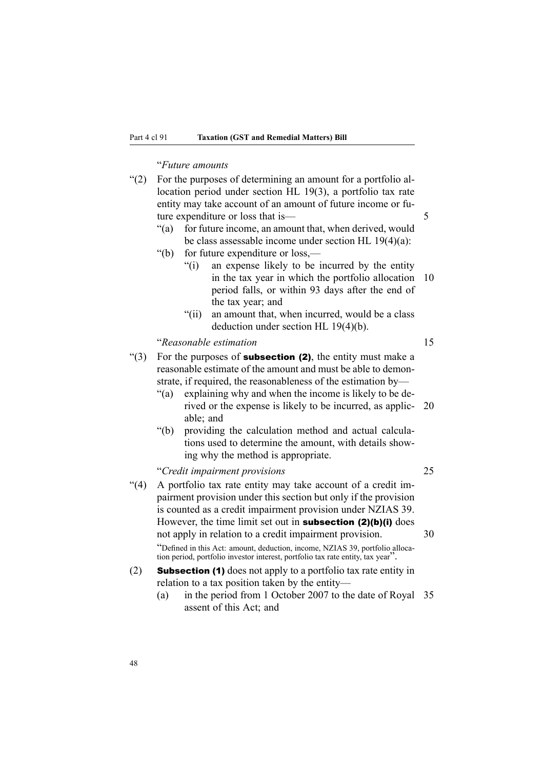# "*Future amounts*

| (2)   | For the purposes of determining an amount for a portfolio al-<br>location period under section HL 19(3), a portfolio tax rate<br>entity may take account of an amount of future income or fu-<br>ture expenditure or loss that is-<br>" $(a)$ "<br>for future income, an amount that, when derived, would<br>be class assessable income under section HL 19(4)(a):<br>" $(b)$<br>for future expenditure or loss,—                                                                                                           | 5  |
|-------|-----------------------------------------------------------------------------------------------------------------------------------------------------------------------------------------------------------------------------------------------------------------------------------------------------------------------------------------------------------------------------------------------------------------------------------------------------------------------------------------------------------------------------|----|
|       | an expense likely to be incurred by the entity<br>" $(i)$<br>in the tax year in which the portfolio allocation<br>period falls, or within 93 days after the end of<br>the tax year; and<br>an amount that, when incurred, would be a class<br>" $(ii)$                                                                                                                                                                                                                                                                      | 10 |
|       | deduction under section HL $19(4)(b)$ .                                                                                                                                                                                                                                                                                                                                                                                                                                                                                     |    |
|       | "Reasonable estimation                                                                                                                                                                                                                                                                                                                                                                                                                                                                                                      | 15 |
| ``(3) | For the purposes of <b>subsection (2)</b> , the entity must make a<br>reasonable estimate of the amount and must be able to demon-<br>strate, if required, the reasonableness of the estimation by-<br>explaining why and when the income is likely to be de-<br>" $(a)$<br>rived or the expense is likely to be incurred, as applic-<br>able; and<br>$\degree$ (b)<br>providing the calculation method and actual calcula-<br>tions used to determine the amount, with details show-<br>ing why the method is appropriate. | 20 |
|       | "Credit impairment provisions                                                                                                                                                                                                                                                                                                                                                                                                                                                                                               | 25 |
| (4)   | A portfolio tax rate entity may take account of a credit im-<br>pairment provision under this section but only if the provision<br>is counted as a credit impairment provision under NZIAS 39.<br>However, the time limit set out in <b>subsection <math>(2)(b)(i)</math></b> does<br>not apply in relation to a credit impairment provision.                                                                                                                                                                               | 30 |
|       | "Defined in this Act: amount, deduction, income, NZIAS 39, portfolio alloca-                                                                                                                                                                                                                                                                                                                                                                                                                                                |    |
|       | tion period, portfolio investor interest, portfolio tax rate entity, tax year".                                                                                                                                                                                                                                                                                                                                                                                                                                             |    |
| (2)   | <b>Subsection (1)</b> does not apply to a portfolio tax rate entity in<br>relation to a tax position taken by the entity-                                                                                                                                                                                                                                                                                                                                                                                                   |    |
|       | in the period from 1 October 2007 to the date of Royal<br>(a)<br>assent of this Act; and                                                                                                                                                                                                                                                                                                                                                                                                                                    | 35 |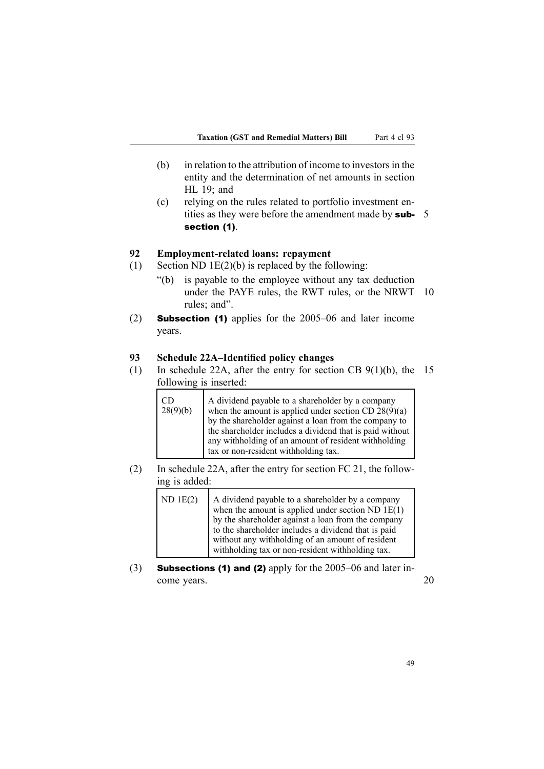- $(b)$  in relation to the attribution of income to investors in the entity and the determination of net amounts in section HL 19; and
- (c) relying on the rules related to portfolio investment entities as they were before the amendment made by **sub-** 5 section (1).

### **92 Employment-related loans: repayment**

- (1) Section ND 1E(2)(b) is replaced by the following:
	- "(b) is payable to the employee without any tax deduction under the PAYE rules, the RWT rules, or the NRWT 10 rules; and".
- (2) Subsection (1) applies for the 2005–06 and later income years.

## **93 Schedule 22A–Identified policy changes**

(1) In schedule 22A, after the entry for section CB 9(1)(b), the 15 following is inserted:

| <b>CD</b><br>28(9)(b) | A dividend payable to a shareholder by a company<br>when the amount is applied under section CD $28(9)(a)$<br>by the shareholder against a loan from the company to<br>the shareholder includes a dividend that is paid without<br>any withholding of an amount of resident withholding |
|-----------------------|-----------------------------------------------------------------------------------------------------------------------------------------------------------------------------------------------------------------------------------------------------------------------------------------|
|                       | tax or non-resident withholding tax.                                                                                                                                                                                                                                                    |

(2) In schedule 22A, after the entry for section FC 21, the following is added:

| $ND$ 1E(2) | A dividend payable to a shareholder by a company<br>when the amount is applied under section ND $1E(1)$<br>by the shareholder against a loan from the company<br>to the shareholder includes a dividend that is paid<br>without any withholding of an amount of resident<br>withholding tax or non-resident withholding tax. |
|------------|------------------------------------------------------------------------------------------------------------------------------------------------------------------------------------------------------------------------------------------------------------------------------------------------------------------------------|
|            |                                                                                                                                                                                                                                                                                                                              |

(3) Subsections (1) and (2) apply for the 2005–06 and later income years. 20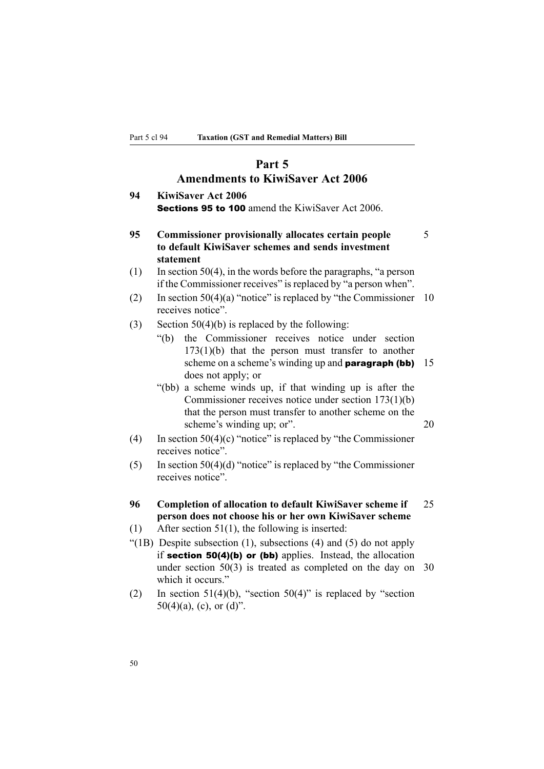# **Part 5**

# **Amendments to KiwiSaver Act 2006**

| 94 | <b>KiwiSaver Act 2006</b>                               |  |
|----|---------------------------------------------------------|--|
|    | <b>Sections 95 to 100</b> amend the KiwiSaver Act 2006. |  |

# **95 Commissioner provisionally allocates certain people** 5 **to default KiwiSaver schemes and sends investment statement**

- (1) In section 50(4), in the words before the paragraphs, "a person if the Commissioner receives" is replaced by "a person when".
- (2) In section  $50(4)(a)$  "notice" is replaced by "the Commissioner 10 receives notice".
- (3) Section  $50(4)(b)$  is replaced by the following:
	- "(b) the Commissioner receives notice under section 173(1)(b) that the person must transfer to another scheme on a scheme's winding up and **paragraph (bb)** 15 does not apply; or
	- "(bb) <sup>a</sup> scheme winds up, if that winding up is after the Commissioner receives notice under section 173(1)(b) that the person must transfer to another scheme on the scheme's winding up; or". 20
- (4) In section  $50(4)(c)$  "notice" is replaced by "the Commissioner receives notice".
- (5) In section  $50(4)(d)$  "notice" is replaced by "the Commissioner receives notice".
- **96 Completion of allocation to default KiwiSaver scheme if** 25 **person does not choose his or her own KiwiSaver scheme**
- (1) After section 51(1), the following is inserted:
- "(1B) Despite subsection  $(1)$ , subsections  $(4)$  and  $(5)$  do not apply if section 50(4)(b) or (bb) applies. Instead, the allocation under section 50(3) is treated as completed on the day on 30 which it occurs."
- (2) In section 51(4)(b), "section 50(4)" is replaced by "section 50(4)(a), (c), or (d)".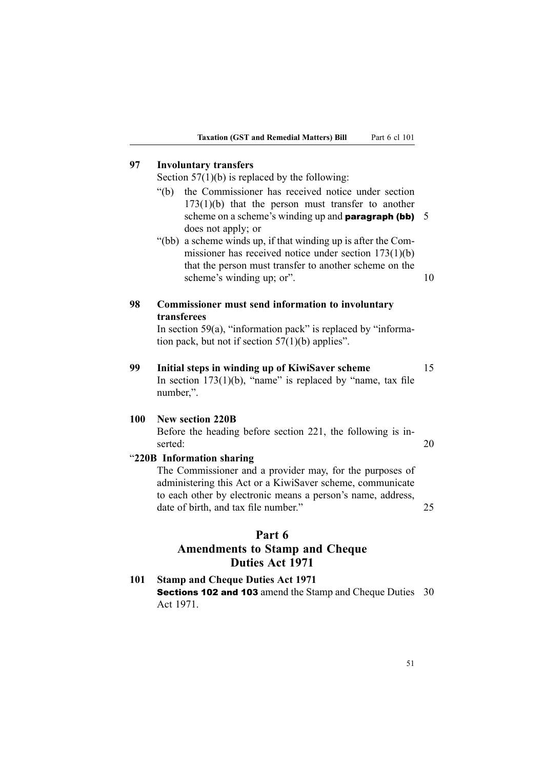# **97 Involuntary transfers**

Section  $57(1)(b)$  is replaced by the following:

- "(b) the Commissioner has received notice under section 173(1)(b) that the person must transfer to another scheme on a scheme's winding up and **paragraph (bb)**  $5$ does not apply; or
- "(bb) <sup>a</sup> scheme winds up, if that winding up is after the Commissioner has received notice under section 173(1)(b) that the person must transfer to another scheme on the scheme's winding up; or". 10

# **98 Commissioner must send information to involuntary transferees**

In section 59(a), "information pack" is replaced by "information pack, but not if section  $57(1)(b)$  applies".

# **99 Initial steps in winding up of KiwiSaver scheme** 15 In section  $173(1)(b)$ , "name" is replaced by "name, tax file number,".

# **100 New section 220B**

Before the heading before section 221, the following is inserted:  $20$ 

### "**220B Information sharing**

The Commissioner and <sup>a</sup> provider may, for the purposes of administering this Act or <sup>a</sup> KiwiSaver scheme, communicate to each other by electronic means <sup>a</sup> person's name, address, date of birth, and tax file number." 25

#### **Part 6**

# **Amendments to Stamp and Cheque Duties Act 1971**

**101 Stamp and Cheque Duties Act 1971** Sections <sup>102</sup> and <sup>103</sup> amend the Stamp and Cheque Duties 30 Act 1971.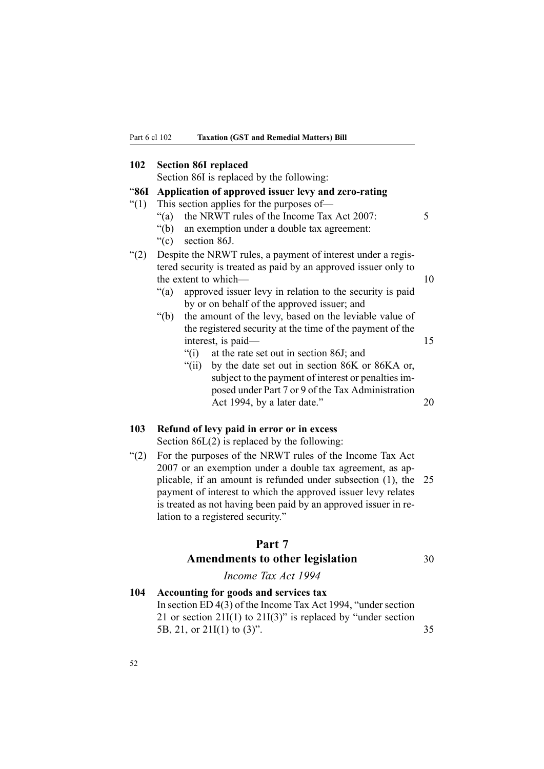## **102 Section 86I replaced**

Section 86I is replaced by the following:

#### "**86I Application of approved issuer levy and zero-rating**

- "(1) This section applies for the purposes of—
	- "(a) the NRWT rules of the Income Tax Act 2007:  $5$
	- "(b) an exemption under <sup>a</sup> double tax agreement:
	- "(c) section 86J.

# "(2) Despite the NRWT rules, <sup>a</sup> paymen<sup>t</sup> of interest under <sup>a</sup> registered security is treated as paid by an approved issuer only to the extent to which— 10

- "(a) approved issuer levy in relation to the security is paid by or on behalf of the approved issuer; and
- "(b) the amount of the levy, based on the leviable value of the registered security at the time of the paymen<sup>t</sup> of the interest, is paid— 15
	- "(i) at the rate set out in section 86J; and
	- "(ii) by the date set out in section 86K or 86KA or, subject to the paymen<sup>t</sup> of interest or penalties imposed under Part 7 or 9 of the Tax Administration Act 1994, by a later date." 20

#### **103 Refund of levy paid in error or in excess**

Section 86L(2) is replaced by the following:

"(2) For the purposes of the NRWT rules of the Income Tax Act 2007 or an exemption under <sup>a</sup> double tax agreement, as applicable, if an amount is refunded under subsection (1), the 25 paymen<sup>t</sup> of interest to which the approved issuer levy relates is treated as not having been paid by an approved issuer in relation to <sup>a</sup> registered security."

# **Part 7**

# **Amendments to other legislation** <sup>30</sup>

# *Income Tax Act 1994*

# **104 Accounting for goods and services tax** In section  $ED 4(3)$  of the Income Tax Act 1994, "under section 21 or section  $21I(1)$  to  $21I(3)$ " is replaced by "under section 5B, 21, or 21I(1) to (3)". 35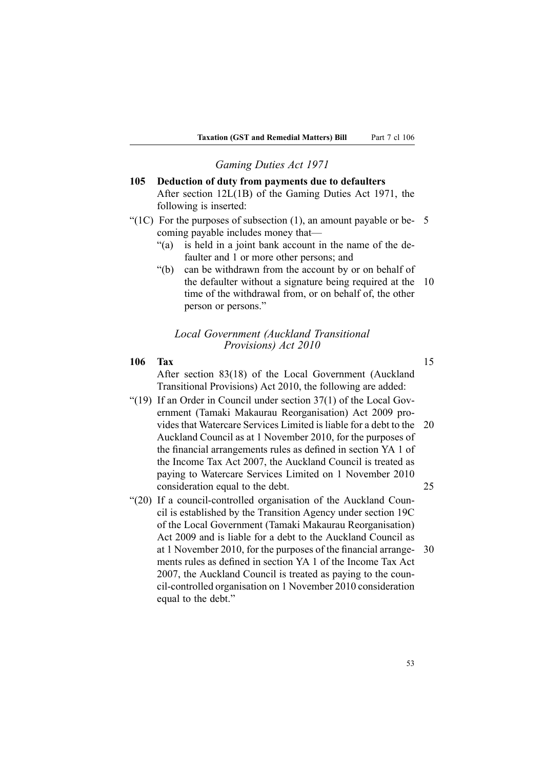# *Gaming Duties Act 1971*

**105 Deduction of duty from payments due to defaulters** After section 12L(1B) of the Gaming Duties Act 1971, the following is inserted:

"(1C) For the purposes of subsection  $(1)$ , an amount payable or be- 5 coming payable includes money that—

- "(a) is held in <sup>a</sup> joint bank account in the name of the defaulter and 1 or more other persons; and
- "(b) can be withdrawn from the account by or on behalf of the defaulter without <sup>a</sup> signature being required at the 10 time of the withdrawal from, or on behalf of, the other person or persons."

#### *Local Government (Auckland Transitional Provisions) Act 2010*

#### **106 Tax** 15

After section 83(18) of the Local Government (Auckland Transitional Provisions) Act 2010, the following are added:

- "(19) If an Order in Council under section  $37(1)$  of the Local Government (Tamaki Makaurau Reorganisation) Act 2009 provides that Watercare Services Limited is liable for <sup>a</sup> debt to the 20 Auckland Council as at 1 November 2010, for the purposes of the financial arrangements rules as defined in section YA 1 of the Income Tax Act 2007, the Auckland Council is treated as paying to Watercare Services Limited on 1 November 2010 consideration equal to the debt. 25
- "(20) If <sup>a</sup> council-controlled organisation of the Auckland Council is established by the Transition Agency under section 19C of the Local Government (Tamaki Makaurau Reorganisation) Act 2009 and is liable for <sup>a</sup> debt to the Auckland Council as at 1 November 2010, for the purposes of the financial arrange- 30 ments rules as defined in section YA 1 of the Income Tax Act 2007, the Auckland Council is treated as paying to the council-controlled organisation on 1 November 2010 consideration equal to the debt."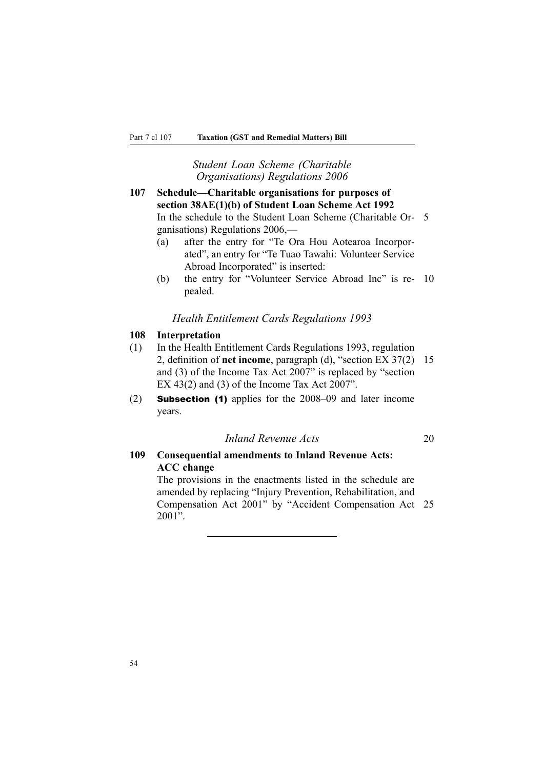## *Student Loan Scheme (Charitable Organisations) Regulations 2006*

**107 Schedule—Charitable organisations for purposes of section 38AE(1)(b) of Student Loan Scheme Act 1992** In the schedule to the Student Loan Scheme (Charitable Or- 5 ganisations) Regulations 2006,—

- (a) after the entry for "Te Ora Hou Aotearoa Incorporated", an entry for "Te Tuao Tawahi: Volunteer Service Abroad Incorporated" is inserted:
- (b) the entry for "Volunteer Service Abroad Inc" is re- 10 pealed.

#### *Health Entitlement Cards Regulations 1993*

### **108 Interpretation**

- (1) In the Health Entitlement Cards Regulations 1993, regulation 2, definition of **net income**, paragraph (d), "section EX 37(2) 15 and (3) of the Income Tax Act 2007" is replaced by "section EX 43(2) and (3) of the Income Tax Act 2007".
- (2) Subsection (1) applies for the 2008–09 and later income years.

# *Inland Revenue Acts* 20

# **109 Consequential amendments to Inland Revenue Acts: ACC change**

The provisions in the enactments listed in the schedule are amended by replacing "Injury Prevention, Rehabilitation, and Compensation Act 2001" by "Accident Compensation Act 25 2001".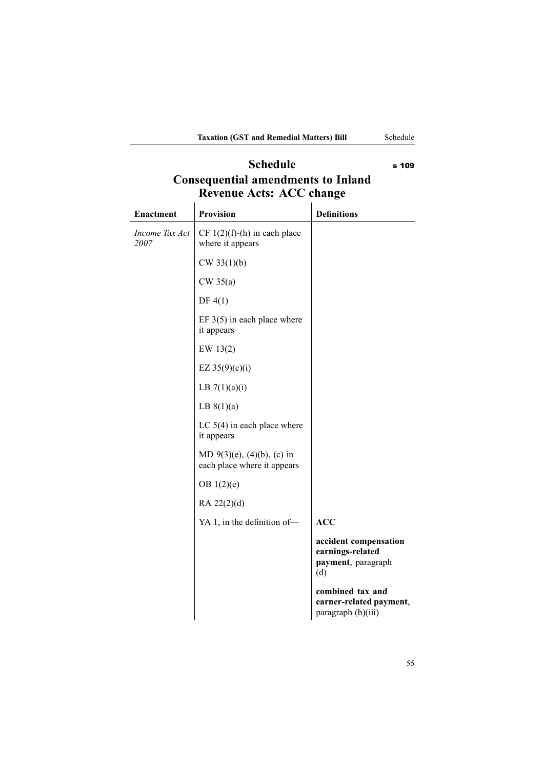# **Schedule** s 109 **Consequential amendments to Inland Revenue Acts: ACC change**

| <b>Enactment</b>       | <b>Provision</b>                                                  | <b>Definitions</b>                                                     |
|------------------------|-------------------------------------------------------------------|------------------------------------------------------------------------|
| Income Tax Act<br>2007 | CF $1(2)(f)$ -(h) in each place<br>where it appears               |                                                                        |
|                        | CW 33(1)(b)                                                       |                                                                        |
|                        | $CW$ 35(a)                                                        |                                                                        |
|                        | DF $4(1)$                                                         |                                                                        |
|                        | EF $3(5)$ in each place where<br>it appears                       |                                                                        |
|                        | EW 13(2)                                                          |                                                                        |
|                        | EZ $35(9)(c)(i)$                                                  |                                                                        |
|                        | LB $7(1)(a)(i)$                                                   |                                                                        |
|                        | LB $8(1)(a)$                                                      |                                                                        |
|                        | LC $5(4)$ in each place where<br>it appears                       |                                                                        |
|                        | MD $9(3)(e)$ , $(4)(b)$ , $(c)$ in<br>each place where it appears |                                                                        |
|                        | OB $1(2)(e)$                                                      |                                                                        |
|                        | $RA$ 22 $(2)(d)$                                                  |                                                                        |
|                        | YA 1, in the definition of-                                       | <b>ACC</b>                                                             |
|                        |                                                                   | accident compensation<br>earnings-related<br>payment, paragraph<br>(d) |
|                        |                                                                   | combined tax and<br>earner-related payment,<br>paragraph (b)(iii)      |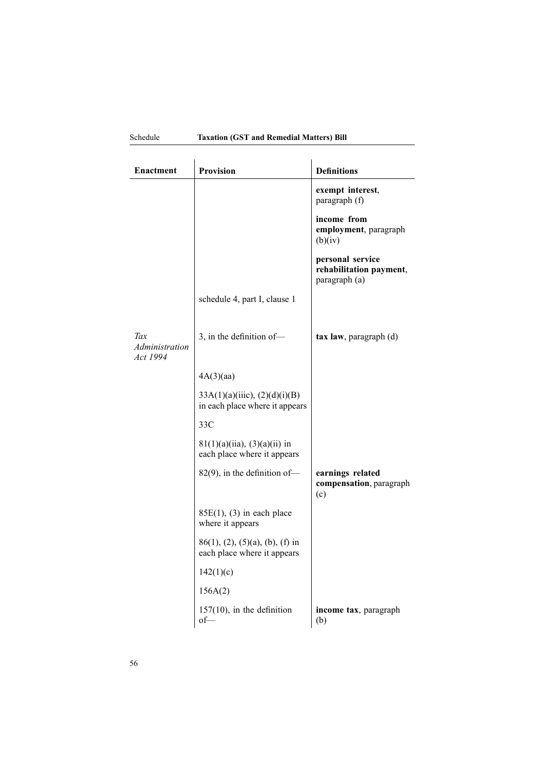| Enactment                         | <b>Provision</b>                                                  | <b>Definitions</b>                                           |
|-----------------------------------|-------------------------------------------------------------------|--------------------------------------------------------------|
|                                   |                                                                   | exempt interest,<br>paragraph (f)                            |
|                                   |                                                                   | income from<br>employment, paragraph<br>(b)(iv)              |
|                                   |                                                                   | personal service<br>rehabilitation payment,<br>paragraph (a) |
|                                   | schedule 4, part I, clause 1                                      |                                                              |
| Tax<br>Administration<br>Act 1994 | 3, in the definition of-                                          | $\textbf{tax law}, \textbf{paragraph}$ (d)                   |
|                                   | 4A(3)(aa)                                                         |                                                              |
|                                   | 33A(1)(a)(iiic), (2)(d)(i)(B)<br>in each place where it appears   |                                                              |
|                                   | 33C                                                               |                                                              |
|                                   | $81(1)(a)(ii)$ , $(3)(a)(ii)$ in<br>each place where it appears   |                                                              |
|                                   | $82(9)$ , in the definition of-                                   | earnings related<br>compensation, paragraph<br>(c)           |
|                                   | $85E(1)$ , (3) in each place<br>where it appears                  |                                                              |
|                                   | $86(1)$ , (2), (5)(a), (b), (f) in<br>each place where it appears |                                                              |
|                                   | 142(1)(c)                                                         |                                                              |
|                                   | 156A(2)                                                           |                                                              |
|                                   | $157(10)$ , in the definition<br>of—                              | income tax, paragraph<br>(b)                                 |